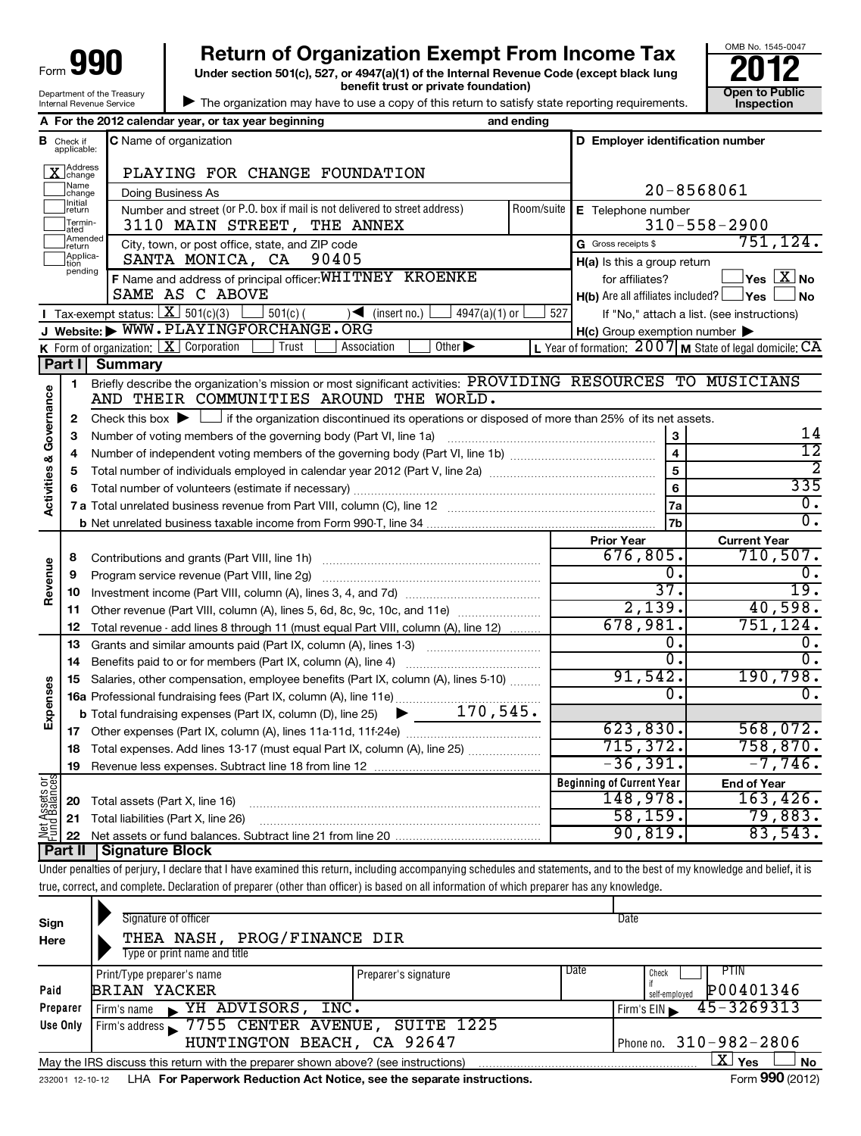| Form 990                                               |
|--------------------------------------------------------|
| Department of the Treasury<br>Internal Revenue Service |

**Under section 501(c), 527, or 4947(a)(1) of the Internal Revenue Code (except black lung benefit trust or private foundation) Construction Construction Construction Construction 990** Return of Organization Exempt From Income Tax  $\frac{6008 \text{ No. }1545-004}{2012}$ <br>Under section 501(c), 527, or 4947(a)(1) of the Internal Revenue Code (except black lung



| The organization may have to use a copy of this return to satisfy state reporting requirements.

|                                    |                                  | A For the 2012 calendar year, or tax year beginning                                                                                                                        | and ending |                                                            |                                                           |  |  |  |  |
|------------------------------------|----------------------------------|----------------------------------------------------------------------------------------------------------------------------------------------------------------------------|------------|------------------------------------------------------------|-----------------------------------------------------------|--|--|--|--|
|                                    | <b>B</b> Check if<br>applicable: | <b>C</b> Name of organization                                                                                                                                              |            | D Employer identification number                           |                                                           |  |  |  |  |
|                                    | ]Address<br>]change              | PLAYING FOR CHANGE FOUNDATION                                                                                                                                              |            |                                                            |                                                           |  |  |  |  |
|                                    | Name<br>change                   | Doing Business As                                                                                                                                                          |            | 20-8568061                                                 |                                                           |  |  |  |  |
|                                    | Initial<br>return                | Number and street (or P.O. box if mail is not delivered to street address)                                                                                                 | Room/suite | E Telephone number                                         |                                                           |  |  |  |  |
|                                    | Termin-<br>ated                  | 3110 MAIN STREET, THE ANNEX                                                                                                                                                |            | $310 - 558 - 2900$                                         |                                                           |  |  |  |  |
|                                    | Amended<br>return                | City, town, or post office, state, and ZIP code                                                                                                                            |            | G Gross receipts \$                                        | 751, 124.                                                 |  |  |  |  |
|                                    | Applica-<br>tion<br>pending      | SANTA MONICA, CA<br>90405                                                                                                                                                  |            | H(a) Is this a group return                                |                                                           |  |  |  |  |
|                                    |                                  | F Name and address of principal officer: WHITNEY KROENKE                                                                                                                   |            | for affiliates?                                            | $\overline{\ }$ Yes $\overline{\ \text{X}}$ No            |  |  |  |  |
|                                    |                                  | SAME AS C ABOVE                                                                                                                                                            |            | <b>H(b)</b> Are all affiliates included? $\Box$ Yes $\Box$ | $\Box$ No                                                 |  |  |  |  |
|                                    |                                  | <b>I</b> Tax-exempt status: $X \ 501(c)(3)$ 501(c)(<br>4947(a)(1) or<br>$\sqrt{\bullet}$ (insert no.)                                                                      | 527        |                                                            | If "No," attach a list. (see instructions)                |  |  |  |  |
|                                    |                                  | J Website: WWW.PLAYINGFORCHANGE.ORG                                                                                                                                        |            | $H(c)$ Group exemption number $\blacktriangleright$        |                                                           |  |  |  |  |
|                                    | Part I                           | K Form of organization: $X$ Corporation<br>  Trust<br>Association<br>Other $\blacktriangleright$                                                                           |            |                                                            | L Year of formation: $2007$ M State of legal domicile: CA |  |  |  |  |
|                                    |                                  | <b>Summary</b><br>Briefly describe the organization's mission or most significant activities: PROVIDING RESOURCES TO MUSICIANS                                             |            |                                                            |                                                           |  |  |  |  |
| <b>Activities &amp; Governance</b> | 1                                | AND THEIR COMMUNITIES AROUND THE WORLD.                                                                                                                                    |            |                                                            |                                                           |  |  |  |  |
|                                    | 2                                | Check this box $\blacktriangleright$ $\Box$ if the organization discontinued its operations or disposed of more than 25% of its net assets.                                |            |                                                            |                                                           |  |  |  |  |
|                                    | 3                                | Number of voting members of the governing body (Part VI, line 1a)                                                                                                          |            | 3                                                          | 14                                                        |  |  |  |  |
|                                    | 4                                |                                                                                                                                                                            |            | $\overline{\mathbf{4}}$                                    | $\overline{12}$                                           |  |  |  |  |
|                                    | 5                                |                                                                                                                                                                            |            | $\overline{5}$                                             | $\overline{2}$                                            |  |  |  |  |
|                                    | 6                                |                                                                                                                                                                            |            | 6                                                          | 335                                                       |  |  |  |  |
|                                    |                                  |                                                                                                                                                                            |            | <b>7a</b>                                                  | $\overline{\mathfrak{o}}$ .                               |  |  |  |  |
|                                    |                                  |                                                                                                                                                                            |            | 7b                                                         | $\overline{\mathfrak{o}}$ .                               |  |  |  |  |
|                                    |                                  |                                                                                                                                                                            |            | <b>Prior Year</b>                                          | <b>Current Year</b>                                       |  |  |  |  |
|                                    | 8                                |                                                                                                                                                                            |            | 676,805.                                                   | 710,507.                                                  |  |  |  |  |
|                                    | 9                                | Program service revenue (Part VIII, line 2g)                                                                                                                               |            | О.                                                         | 0.                                                        |  |  |  |  |
| Revenue                            | 10                               |                                                                                                                                                                            |            | $\overline{37}$ .                                          | 19.                                                       |  |  |  |  |
|                                    | 11                               | Other revenue (Part VIII, column (A), lines 5, 6d, 8c, 9c, 10c, and 11e)                                                                                                   |            | 2,139.                                                     | 40,598.                                                   |  |  |  |  |
|                                    | 12                               | Total revenue - add lines 8 through 11 (must equal Part VIII, column (A), line 12)                                                                                         |            | 678,981.                                                   | 751, 124.                                                 |  |  |  |  |
|                                    | 13                               | Grants and similar amounts paid (Part IX, column (A), lines 1-3)                                                                                                           |            | О.<br>σ.                                                   | 0.<br>σ.                                                  |  |  |  |  |
|                                    | 14                               | Benefits paid to or for members (Part IX, column (A), line 4)                                                                                                              |            | 91,542.                                                    | 190,798.                                                  |  |  |  |  |
| Expenses                           | 15                               | Salaries, other compensation, employee benefits (Part IX, column (A), lines 5-10)                                                                                          |            | Ο.                                                         | $\overline{0}$ .                                          |  |  |  |  |
|                                    |                                  | $\blacktriangleright$ 170,545.                                                                                                                                             |            |                                                            |                                                           |  |  |  |  |
|                                    |                                  | <b>b</b> Total fundraising expenses (Part IX, column (D), line 25)                                                                                                         |            | 623,830.                                                   | 568,072.                                                  |  |  |  |  |
|                                    |                                  | 18 Total expenses. Add lines 13-17 (must equal Part IX, column (A), line 25)                                                                                               |            | 715, 372.                                                  | 758,870.                                                  |  |  |  |  |
|                                    | 19                               |                                                                                                                                                                            |            | $-36,391$ .                                                | $-7,746$ .                                                |  |  |  |  |
|                                    |                                  |                                                                                                                                                                            |            | <b>Beginning of Current Year</b>                           | <b>End of Year</b>                                        |  |  |  |  |
|                                    | 20                               | Total assets (Part X, line 16)                                                                                                                                             |            | 148,978.                                                   | 163,426.                                                  |  |  |  |  |
|                                    | 21                               | Total liabilities (Part X, line 26)                                                                                                                                        |            | 58, 159.                                                   | 79,883.                                                   |  |  |  |  |
| Net Assets or                      | 22                               |                                                                                                                                                                            |            | 90, 819.                                                   | 83,543.                                                   |  |  |  |  |
|                                    | Part II                          | Signature Block                                                                                                                                                            |            |                                                            |                                                           |  |  |  |  |
|                                    |                                  | Under penalties of perjury, I declare that I have examined this return, including accompanying schedules and statements, and to the best of my knowledge and belief, it is |            |                                                            |                                                           |  |  |  |  |
|                                    |                                  | true, correct, and complete. Declaration of preparer (other than officer) is based on all information of which preparer has any knowledge.                                 |            |                                                            |                                                           |  |  |  |  |

| Sign<br>Here | Signature of officer<br>THEA NASH, PROG/FINANCE DIR<br>Type or print name and title |                      |      | Date                                               |
|--------------|-------------------------------------------------------------------------------------|----------------------|------|----------------------------------------------------|
| Paid         | Print/Type preparer's name<br><b>BRIAN YACKER</b>                                   | Preparer's signature | Date | <b>PTIN</b><br>Check<br>P00401346<br>self-emploved |
| Preparer     | YH ADVISORS, INC.<br>Firm's name                                                    |                      |      | $45 - 3269313$<br>Firm's EIN                       |
| Use Only     | Firm's address 7755 CENTER AVENUE, SUITE 1225<br>HUNTINGTON BEACH, CA 92647         |                      |      | Phone no. 310-982-2806                             |
|              | May the IRS discuss this return with the preparer shown above? (see instructions)   |                      |      | $\mathbf{X}$ Yes<br><b>No</b><br>$\cdots$          |

232001 12-10-12 **For Paperwork Reduction Act Notice, see the separate instructions.** LHA Form (2012)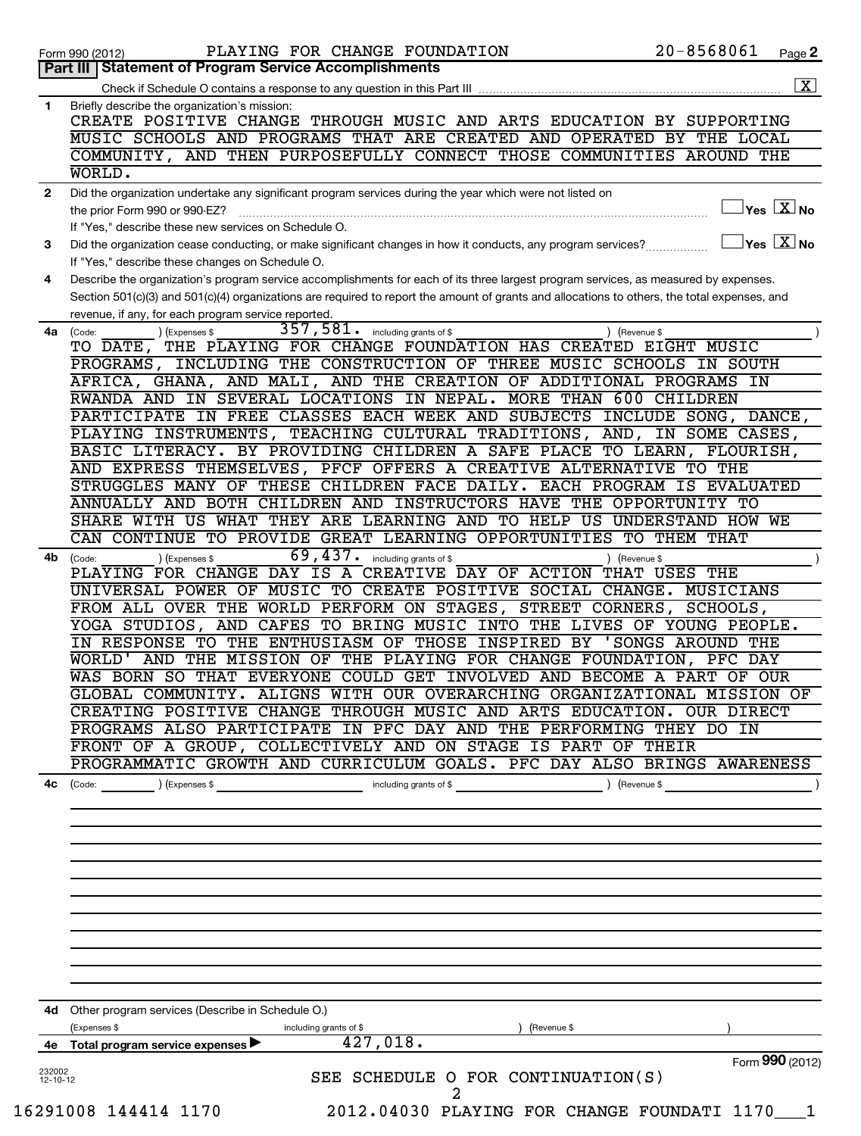|                | PLAYING FOR CHANGE FOUNDATION<br>Form 990 (2012)                                                                                             | 20-8568061                                | Page 2               |
|----------------|----------------------------------------------------------------------------------------------------------------------------------------------|-------------------------------------------|----------------------|
|                | Part III   Statement of Program Service Accomplishments                                                                                      |                                           |                      |
|                |                                                                                                                                              |                                           | $\boxed{\textbf{X}}$ |
| 1              | Briefly describe the organization's mission:                                                                                                 |                                           |                      |
|                | CREATE POSITIVE CHANGE THROUGH MUSIC AND ARTS EDUCATION BY SUPPORTING                                                                        |                                           |                      |
|                | MUSIC SCHOOLS AND PROGRAMS THAT ARE CREATED AND OPERATED BY THE LOCAL                                                                        |                                           |                      |
|                | COMMUNITY, AND THEN PURPOSEFULLY CONNECT THOSE COMMUNITIES AROUND THE                                                                        |                                           |                      |
|                | WORLD.                                                                                                                                       |                                           |                      |
| $\mathbf{2}$   | Did the organization undertake any significant program services during the year which were not listed on                                     |                                           |                      |
|                | the prior Form 990 or 990-EZ?                                                                                                                | $\overline{\ }$ Yes $\overline{\rm X}$ No |                      |
|                | If "Yes," describe these new services on Schedule O.                                                                                         |                                           |                      |
| 3              | Did the organization cease conducting, or make significant changes in how it conducts, any program services?                                 | $\Box$ Yes $\boxed{\text{X}}$ No          |                      |
|                | If "Yes," describe these changes on Schedule O.                                                                                              |                                           |                      |
| 4              | Describe the organization's program service accomplishments for each of its three largest program services, as measured by expenses.         |                                           |                      |
|                | Section 501(c)(3) and 501(c)(4) organizations are required to report the amount of grants and allocations to others, the total expenses, and |                                           |                      |
|                | revenue, if any, for each program service reported.                                                                                          |                                           |                      |
| 4a             | $357$ , $581$ . including grants of \$<br>) (Expenses \$<br>(Code:<br>) (Revenue \$                                                          |                                           |                      |
|                | TO DATE, THE PLAYING FOR CHANGE FOUNDATION HAS CREATED EIGHT MUSIC                                                                           |                                           |                      |
|                | PROGRAMS, INCLUDING THE CONSTRUCTION OF THREE MUSIC SCHOOLS IN SOUTH                                                                         |                                           |                      |
|                | AFRICA, GHANA, AND MALI, AND THE CREATION OF ADDITIONAL PROGRAMS IN                                                                          |                                           |                      |
|                |                                                                                                                                              |                                           |                      |
|                | RWANDA AND IN SEVERAL LOCATIONS IN NEPAL. MORE THAN 600 CHILDREN                                                                             |                                           |                      |
|                | PARTICIPATE IN FREE CLASSES EACH WEEK AND SUBJECTS INCLUDE SONG, DANCE,                                                                      |                                           |                      |
|                | PLAYING INSTRUMENTS, TEACHING CULTURAL TRADITIONS, AND, IN SOME CASES,                                                                       |                                           |                      |
|                | BASIC LITERACY. BY PROVIDING CHILDREN A SAFE PLACE TO LEARN, FLOURISH,                                                                       |                                           |                      |
|                | AND EXPRESS THEMSELVES, PFCF OFFERS A CREATIVE ALTERNATIVE TO THE                                                                            |                                           |                      |
|                | STRUGGLES MANY OF THESE CHILDREN FACE DAILY. EACH PROGRAM IS EVALUATED                                                                       |                                           |                      |
|                | ANNUALLY AND BOTH CHILDREN AND INSTRUCTORS HAVE THE OPPORTUNITY TO                                                                           |                                           |                      |
|                | SHARE WITH US WHAT THEY ARE LEARNING AND TO HELP US UNDERSTAND HOW WE                                                                        |                                           |                      |
|                | CAN CONTINUE TO PROVIDE GREAT LEARNING OPPORTUNITIES TO THEM THAT                                                                            |                                           |                      |
| 4b             | $\overline{69}$ , $\overline{437}$ . including grants of \$<br>(Expenses \$<br>) (Revenue \$<br>(Code:                                       |                                           |                      |
|                | PLAYING FOR CHANGE DAY IS A CREATIVE DAY OF ACTION THAT USES THE                                                                             |                                           |                      |
|                | UNIVERSAL POWER OF MUSIC TO CREATE POSITIVE SOCIAL CHANGE. MUSICIANS                                                                         |                                           |                      |
|                | FROM ALL OVER THE WORLD PERFORM ON STAGES, STREET CORNERS, SCHOOLS,                                                                          |                                           |                      |
|                | YOGA STUDIOS, AND CAFES TO BRING MUSIC INTO THE LIVES OF YOUNG PEOPLE.                                                                       |                                           |                      |
|                | IN RESPONSE TO THE ENTHUSIASM OF THOSE INSPIRED BY 'SONGS AROUND THE                                                                         |                                           |                      |
|                | WORLD' AND THE MISSION OF THE PLAYING FOR CHANGE FOUNDATION, PFC DAY                                                                         |                                           |                      |
|                | WAS BORN SO THAT EVERYONE COULD GET INVOLVED AND BECOME A PART OF OUR                                                                        |                                           |                      |
|                | GLOBAL COMMUNITY. ALIGNS WITH OUR OVERARCHING ORGANIZATIONAL MISSION OF                                                                      |                                           |                      |
|                | CREATING POSITIVE CHANGE THROUGH MUSIC AND ARTS EDUCATION. OUR DIRECT                                                                        |                                           |                      |
|                | PROGRAMS ALSO PARTICIPATE IN PFC DAY AND THE PERFORMING THEY DO IN                                                                           |                                           |                      |
|                | FRONT OF A GROUP, COLLECTIVELY AND ON STAGE IS PART OF THEIR                                                                                 |                                           |                      |
|                | PROGRAMMATIC GROWTH AND CURRICULUM GOALS. PFC DAY ALSO BRINGS AWARENESS                                                                      |                                           |                      |
|                |                                                                                                                                              |                                           |                      |
| 4c             | including grants of \$<br>) (Revenue \$<br>(Code:<br>) (Expenses \$                                                                          |                                           |                      |
|                |                                                                                                                                              |                                           |                      |
|                |                                                                                                                                              |                                           |                      |
|                |                                                                                                                                              |                                           |                      |
|                |                                                                                                                                              |                                           |                      |
|                |                                                                                                                                              |                                           |                      |
|                |                                                                                                                                              |                                           |                      |
|                |                                                                                                                                              |                                           |                      |
|                |                                                                                                                                              |                                           |                      |
|                |                                                                                                                                              |                                           |                      |
|                |                                                                                                                                              |                                           |                      |
|                |                                                                                                                                              |                                           |                      |
|                |                                                                                                                                              |                                           |                      |
| 4d -           | Other program services (Describe in Schedule O.)                                                                                             |                                           |                      |
|                | Expenses \$<br>including grants of \$<br>(Revenue \$                                                                                         |                                           |                      |
|                | 427,018.<br>4e Total program service expenses                                                                                                |                                           |                      |
| 232002         |                                                                                                                                              | Form 990 (2012)                           |                      |
| $12 - 10 - 12$ | SEE SCHEDULE O FOR CONTINUATION(S)                                                                                                           |                                           |                      |
|                | $\overline{a}$                                                                                                                               |                                           |                      |
|                | 16291008 144414 1170<br>2012.04030 PLAYING FOR CHANGE FOUNDATI 1170 1                                                                        |                                           |                      |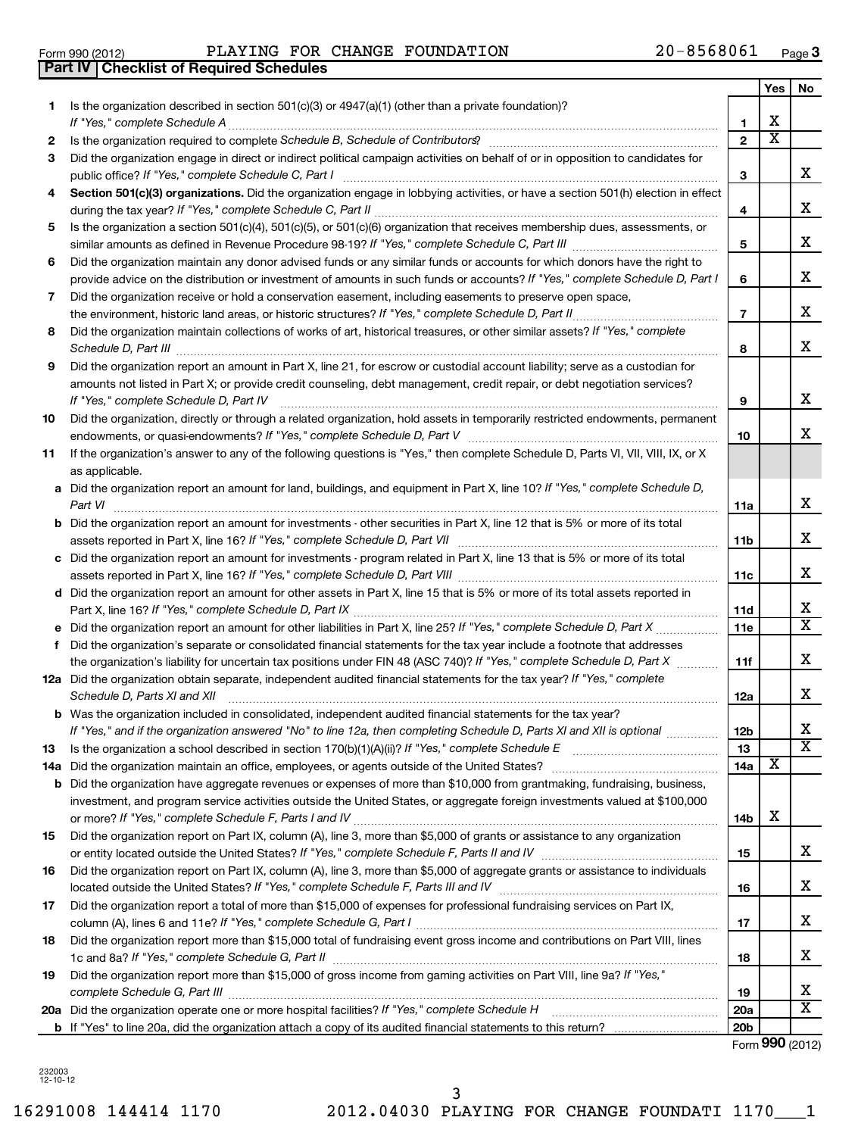16291008 144414 1170 2012.04030 PLAYING FOR CHANGE FOUNDATI 1170\_\_\_1

**Part IV Checklist of Required Schedules**

|     |                                                                                                                                                                                                                                |                | Yes                   | No                      |
|-----|--------------------------------------------------------------------------------------------------------------------------------------------------------------------------------------------------------------------------------|----------------|-----------------------|-------------------------|
| 1.  | Is the organization described in section 501(c)(3) or 4947(a)(1) (other than a private foundation)?                                                                                                                            |                |                       |                         |
|     | If "Yes," complete Schedule A                                                                                                                                                                                                  | 1              | х                     |                         |
| 2   | Is the organization required to complete Schedule B, Schedule of Contributors? [111] [12] the organization required to complete Schedule B, Schedule of Contributors? [11] [12] [12] the organization required to complete Sch | $\overline{2}$ | $\overline{\text{x}}$ |                         |
| 3   | Did the organization engage in direct or indirect political campaign activities on behalf of or in opposition to candidates for<br>public office? If "Yes," complete Schedule C, Part I                                        | 3              |                       | х                       |
| 4   | Section 501(c)(3) organizations. Did the organization engage in lobbying activities, or have a section 501(h) election in effect                                                                                               | 4              |                       | х                       |
| 5   | Is the organization a section 501(c)(4), 501(c)(5), or 501(c)(6) organization that receives membership dues, assessments, or                                                                                                   |                |                       |                         |
|     |                                                                                                                                                                                                                                | 5              |                       | X                       |
| 6   | Did the organization maintain any donor advised funds or any similar funds or accounts for which donors have the right to                                                                                                      |                |                       |                         |
|     | provide advice on the distribution or investment of amounts in such funds or accounts? If "Yes," complete Schedule D, Part I                                                                                                   | 6              |                       | х                       |
| 7   | Did the organization receive or hold a conservation easement, including easements to preserve open space,                                                                                                                      |                |                       |                         |
|     | the environment, historic land areas, or historic structures? If "Yes," complete Schedule D, Part II                                                                                                                           | $\overline{7}$ |                       | X                       |
| 8   | Did the organization maintain collections of works of art, historical treasures, or other similar assets? If "Yes," complete                                                                                                   | 8              |                       | x                       |
| 9   | Did the organization report an amount in Part X, line 21, for escrow or custodial account liability; serve as a custodian for                                                                                                  |                |                       |                         |
|     | amounts not listed in Part X; or provide credit counseling, debt management, credit repair, or debt negotiation services?                                                                                                      |                |                       |                         |
|     | If "Yes," complete Schedule D, Part IV                                                                                                                                                                                         | 9              |                       | x                       |
| 10  | Did the organization, directly or through a related organization, hold assets in temporarily restricted endowments, permanent                                                                                                  | 10             |                       | х                       |
| 11  | If the organization's answer to any of the following questions is "Yes," then complete Schedule D, Parts VI, VII, VIII, IX, or X                                                                                               |                |                       |                         |
|     | as applicable.                                                                                                                                                                                                                 |                |                       |                         |
|     | a Did the organization report an amount for land, buildings, and equipment in Part X, line 10? If "Yes," complete Schedule D,                                                                                                  |                |                       |                         |
|     | Part VI                                                                                                                                                                                                                        | 11a            |                       | x                       |
|     | <b>b</b> Did the organization report an amount for investments - other securities in Part X, line 12 that is 5% or more of its total                                                                                           |                |                       |                         |
|     |                                                                                                                                                                                                                                | 11b            |                       | X                       |
| c   | Did the organization report an amount for investments - program related in Part X, line 13 that is 5% or more of its total                                                                                                     |                |                       |                         |
|     |                                                                                                                                                                                                                                | 11c            |                       | х                       |
|     | d Did the organization report an amount for other assets in Part X, line 15 that is 5% or more of its total assets reported in                                                                                                 |                |                       |                         |
|     |                                                                                                                                                                                                                                | 11d            |                       | х                       |
|     | e Did the organization report an amount for other liabilities in Part X, line 25? If "Yes," complete Schedule D, Part X                                                                                                        | 11e            |                       | $\overline{\mathtt{x}}$ |
| f   | Did the organization's separate or consolidated financial statements for the tax year include a footnote that addresses                                                                                                        |                |                       |                         |
|     | the organization's liability for uncertain tax positions under FIN 48 (ASC 740)? If "Yes," complete Schedule D, Part X                                                                                                         | 11f            |                       | х                       |
|     | 12a Did the organization obtain separate, independent audited financial statements for the tax year? If "Yes," complete<br>Schedule D, Parts XI and XII                                                                        | 12a            |                       | X                       |
|     | <b>b</b> Was the organization included in consolidated, independent audited financial statements for the tax year?                                                                                                             |                |                       |                         |
|     | If "Yes," and if the organization answered "No" to line 12a, then completing Schedule D, Parts XI and XII is optional                                                                                                          | 12b            |                       | Χ                       |
| 13  | Is the organization a school described in section 170(b)(1)(A)(ii)? If "Yes," complete Schedule E                                                                                                                              | 13             |                       | $\overline{\text{x}}$   |
| 14a | Did the organization maintain an office, employees, or agents outside of the United States?                                                                                                                                    | 14a            | х                     |                         |
|     | <b>b</b> Did the organization have aggregate revenues or expenses of more than \$10,000 from grantmaking, fundraising, business,                                                                                               |                |                       |                         |
|     | investment, and program service activities outside the United States, or aggregate foreign investments valued at \$100,000                                                                                                     | 14b            | х                     |                         |
| 15  | Did the organization report on Part IX, column (A), line 3, more than \$5,000 of grants or assistance to any organization                                                                                                      |                |                       |                         |
|     |                                                                                                                                                                                                                                | 15             |                       | x                       |
| 16  | Did the organization report on Part IX, column (A), line 3, more than \$5,000 of aggregate grants or assistance to individuals                                                                                                 |                |                       |                         |
|     |                                                                                                                                                                                                                                | 16             |                       | x                       |
| 17  | Did the organization report a total of more than \$15,000 of expenses for professional fundraising services on Part IX,                                                                                                        | 17             |                       | х                       |
| 18  | Did the organization report more than \$15,000 total of fundraising event gross income and contributions on Part VIII, lines                                                                                                   |                |                       |                         |
|     |                                                                                                                                                                                                                                | 18             |                       | х                       |
| 19  | Did the organization report more than \$15,000 of gross income from gaming activities on Part VIII, line 9a? If "Yes,"                                                                                                         |                |                       |                         |
|     |                                                                                                                                                                                                                                | 19             |                       | x                       |
|     |                                                                                                                                                                                                                                | <b>20a</b>     |                       | $\overline{\text{x}}$   |

**b** If "Yes" to line 20a, did the organization attach a copy of its audited financial statements to this return? Form (2012) **990**

**20b**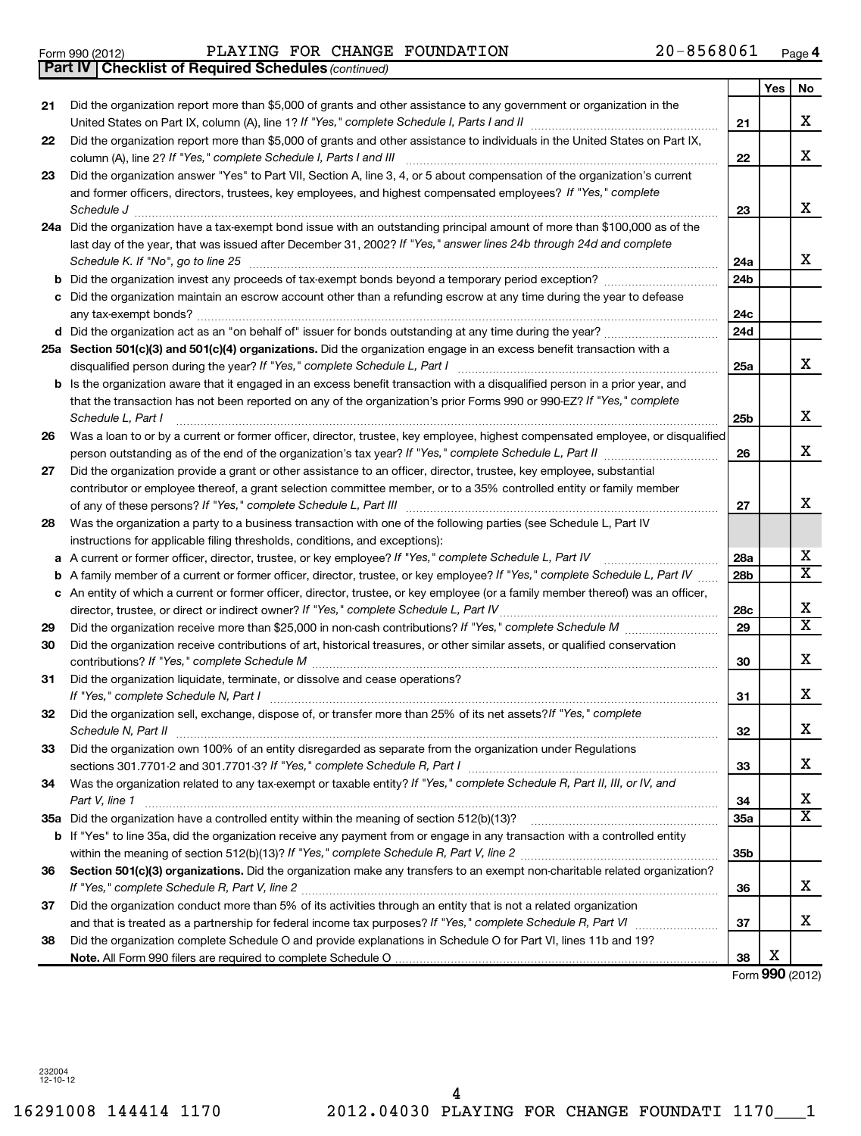Form 990 (2012)  $PLAYING$  FOR CHANGE FOUNDATION  $20-8568061$  Page

*(continued)* **Part IV Checklist of Required Schedules**

|    |                                                                                                                                                                                                                                                                                         |     | Yes | No                      |
|----|-----------------------------------------------------------------------------------------------------------------------------------------------------------------------------------------------------------------------------------------------------------------------------------------|-----|-----|-------------------------|
| 21 | Did the organization report more than \$5,000 of grants and other assistance to any government or organization in the                                                                                                                                                                   | 21  |     | X                       |
| 22 | Did the organization report more than \$5,000 of grants and other assistance to individuals in the United States on Part IX,<br>column (A), line 2? If "Yes," complete Schedule I, Parts I and III                                                                                      | 22  |     | х                       |
| 23 | Did the organization answer "Yes" to Part VII, Section A, line 3, 4, or 5 about compensation of the organization's current<br>and former officers, directors, trustees, key employees, and highest compensated employees? If "Yes," complete<br>Schedule J                              | 23  |     | x                       |
|    | 24a Did the organization have a tax-exempt bond issue with an outstanding principal amount of more than \$100,000 as of the<br>last day of the year, that was issued after December 31, 2002? If "Yes," answer lines 24b through 24d and complete<br>Schedule K. If "No", go to line 25 | 24a |     | x                       |
| b  |                                                                                                                                                                                                                                                                                         | 24b |     |                         |
|    | Did the organization maintain an escrow account other than a refunding escrow at any time during the year to defease                                                                                                                                                                    | 24c |     |                         |
|    |                                                                                                                                                                                                                                                                                         | 24d |     |                         |
|    | 25a Section 501(c)(3) and 501(c)(4) organizations. Did the organization engage in an excess benefit transaction with a<br>disqualified person during the year? If "Yes," complete Schedule L, Part I                                                                                    | 25a |     | x                       |
| b  | Is the organization aware that it engaged in an excess benefit transaction with a disqualified person in a prior year, and<br>that the transaction has not been reported on any of the organization's prior Forms 990 or 990-EZ? If "Yes," complete<br>Schedule L, Part I               | 25b |     | x                       |
| 26 | Was a loan to or by a current or former officer, director, trustee, key employee, highest compensated employee, or disqualified<br>person outstanding as of the end of the organization's tax year? If "Yes," complete Schedule L, Part II manumerrow                                   | 26  |     | x                       |
| 27 | Did the organization provide a grant or other assistance to an officer, director, trustee, key employee, substantial                                                                                                                                                                    |     |     |                         |
|    | contributor or employee thereof, a grant selection committee member, or to a 35% controlled entity or family member                                                                                                                                                                     | 27  |     | х                       |
| 28 | Was the organization a party to a business transaction with one of the following parties (see Schedule L, Part IV<br>instructions for applicable filing thresholds, conditions, and exceptions):                                                                                        |     |     |                         |
| а  | A current or former officer, director, trustee, or key employee? If "Yes," complete Schedule L, Part IV                                                                                                                                                                                 | 28a |     | X                       |
| b  | A family member of a current or former officer, director, trustee, or key employee? If "Yes," complete Schedule L, Part IV                                                                                                                                                              | 28b |     | $\overline{\texttt{x}}$ |
|    | c An entity of which a current or former officer, director, trustee, or key employee (or a family member thereof) was an officer,<br>director, trustee, or direct or indirect owner? If "Yes," complete Schedule L, Part IV                                                             | 28c |     | х                       |
| 29 |                                                                                                                                                                                                                                                                                         | 29  |     | $\overline{\texttt{x}}$ |
| 30 | Did the organization receive contributions of art, historical treasures, or other similar assets, or qualified conservation                                                                                                                                                             | 30  |     | x                       |
| 31 | Did the organization liquidate, terminate, or dissolve and cease operations?<br>If "Yes," complete Schedule N, Part I                                                                                                                                                                   | 31  |     | x                       |
| 32 | Did the organization sell, exchange, dispose of, or transfer more than 25% of its net assets? If "Yes," complete<br>Schedule N, Part II                                                                                                                                                 | 32  |     | Χ                       |
| 33 | Did the organization own 100% of an entity disregarded as separate from the organization under Regulations                                                                                                                                                                              | 33  |     | x                       |
| 34 | Was the organization related to any tax-exempt or taxable entity? If "Yes," complete Schedule R, Part II, III, or IV, and<br>Part V, line 1                                                                                                                                             | 34  |     | x                       |
|    |                                                                                                                                                                                                                                                                                         | 35a |     | $\overline{\mathtt{x}}$ |
|    | b If "Yes" to line 35a, did the organization receive any payment from or engage in any transaction with a controlled entity                                                                                                                                                             | 35b |     |                         |
| 36 | Section 501(c)(3) organizations. Did the organization make any transfers to an exempt non-charitable related organization?                                                                                                                                                              | 36  |     | x                       |
| 37 | Did the organization conduct more than 5% of its activities through an entity that is not a related organization                                                                                                                                                                        |     |     |                         |
|    |                                                                                                                                                                                                                                                                                         | 37  |     | x                       |
| 38 | Did the organization complete Schedule O and provide explanations in Schedule O for Part VI, lines 11b and 19?                                                                                                                                                                          | 38  | х   |                         |
|    |                                                                                                                                                                                                                                                                                         |     |     |                         |

Form (2012) **990**

232004 12-10-12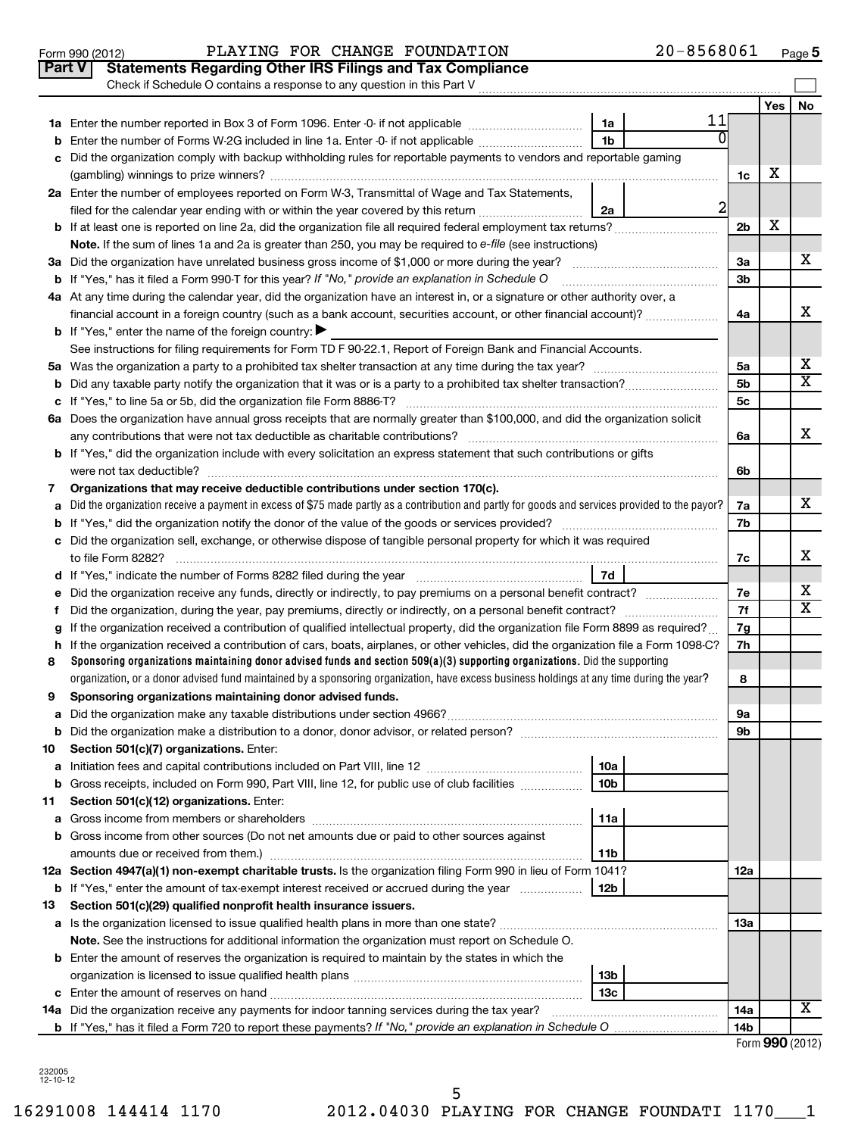|    | Check if Schedule O contains a response to any question in this Part V                                                                                                                                           |                 |                |     |                         |  |  |  |  |  |  |
|----|------------------------------------------------------------------------------------------------------------------------------------------------------------------------------------------------------------------|-----------------|----------------|-----|-------------------------|--|--|--|--|--|--|
|    |                                                                                                                                                                                                                  |                 |                | Yes | No                      |  |  |  |  |  |  |
|    |                                                                                                                                                                                                                  | 11<br>1a        |                |     |                         |  |  |  |  |  |  |
| b  | Enter the number of Forms W-2G included in line 1a. Enter -0- if not applicable                                                                                                                                  | 1 <sub>b</sub>  |                |     |                         |  |  |  |  |  |  |
| c  | Did the organization comply with backup withholding rules for reportable payments to vendors and reportable gaming                                                                                               |                 |                |     |                         |  |  |  |  |  |  |
|    |                                                                                                                                                                                                                  |                 | 1c             | х   |                         |  |  |  |  |  |  |
|    | 2a Enter the number of employees reported on Form W-3, Transmittal of Wage and Tax Statements,                                                                                                                   |                 |                |     |                         |  |  |  |  |  |  |
|    | filed for the calendar year ending with or within the year covered by this return                                                                                                                                | 2a              | $\mathbf{2}$   |     |                         |  |  |  |  |  |  |
|    |                                                                                                                                                                                                                  |                 | 2 <sub>b</sub> | х   |                         |  |  |  |  |  |  |
|    | Note. If the sum of lines 1a and 2a is greater than 250, you may be required to e-file (see instructions)                                                                                                        |                 |                |     |                         |  |  |  |  |  |  |
|    | 3a Did the organization have unrelated business gross income of \$1,000 or more during the year?                                                                                                                 |                 | За             |     | x                       |  |  |  |  |  |  |
|    | <b>b</b> If "Yes," has it filed a Form 990-T for this year? If "No," provide an explanation in Schedule O                                                                                                        |                 |                |     |                         |  |  |  |  |  |  |
|    | 4a At any time during the calendar year, did the organization have an interest in, or a signature or other authority over, a                                                                                     |                 |                |     |                         |  |  |  |  |  |  |
|    | financial account in a foreign country (such as a bank account, securities account, or other financial account)?                                                                                                 |                 | 4a             |     | х                       |  |  |  |  |  |  |
|    | <b>b</b> If "Yes," enter the name of the foreign country:                                                                                                                                                        |                 |                |     |                         |  |  |  |  |  |  |
|    | See instructions for filing requirements for Form TD F 90-22.1, Report of Foreign Bank and Financial Accounts.                                                                                                   |                 |                |     |                         |  |  |  |  |  |  |
|    |                                                                                                                                                                                                                  |                 | 5a             |     | х                       |  |  |  |  |  |  |
|    |                                                                                                                                                                                                                  |                 | 5 <sub>b</sub> |     | $\overline{\texttt{x}}$ |  |  |  |  |  |  |
|    |                                                                                                                                                                                                                  |                 | 5 <sub>c</sub> |     |                         |  |  |  |  |  |  |
|    | 6a Does the organization have annual gross receipts that are normally greater than \$100,000, and did the organization solicit                                                                                   |                 |                |     |                         |  |  |  |  |  |  |
|    | any contributions that were not tax deductible as charitable contributions?                                                                                                                                      |                 | 6a             |     | x                       |  |  |  |  |  |  |
|    | b If "Yes," did the organization include with every solicitation an express statement that such contributions or gifts                                                                                           |                 |                |     |                         |  |  |  |  |  |  |
|    | were not tax deductible?                                                                                                                                                                                         |                 | 6b             |     |                         |  |  |  |  |  |  |
| 7  | Organizations that may receive deductible contributions under section 170(c).                                                                                                                                    |                 | 7a             |     | x                       |  |  |  |  |  |  |
|    | Did the organization receive a payment in excess of \$75 made partly as a contribution and partly for goods and services provided to the payor?<br>a                                                             |                 |                |     |                         |  |  |  |  |  |  |
|    |                                                                                                                                                                                                                  |                 | 7b             |     |                         |  |  |  |  |  |  |
|    | c Did the organization sell, exchange, or otherwise dispose of tangible personal property for which it was required                                                                                              |                 | 7c             |     | х                       |  |  |  |  |  |  |
|    | to file Form 8282?<br>7d<br>d If "Yes," indicate the number of Forms 8282 filed during the year manufactured in the second of the number of Forms 8282 filed during the year manufactured in the second of the S |                 |                |     |                         |  |  |  |  |  |  |
| е  | Did the organization receive any funds, directly or indirectly, to pay premiums on a personal benefit contract?                                                                                                  |                 | 7e             |     | х                       |  |  |  |  |  |  |
| f  |                                                                                                                                                                                                                  |                 | 7f             |     | $\overline{\textbf{x}}$ |  |  |  |  |  |  |
| g  | If the organization received a contribution of qualified intellectual property, did the organization file Form 8899 as required?                                                                                 |                 | 7g             |     |                         |  |  |  |  |  |  |
|    | h If the organization received a contribution of cars, boats, airplanes, or other vehicles, did the organization file a Form 1098-C?                                                                             |                 | 7h             |     |                         |  |  |  |  |  |  |
| 8  | Sponsoring organizations maintaining donor advised funds and section 509(a)(3) supporting organizations. Did the supporting                                                                                      |                 |                |     |                         |  |  |  |  |  |  |
|    | organization, or a donor advised fund maintained by a sponsoring organization, have excess business holdings at any time during the year?                                                                        |                 | 8              |     |                         |  |  |  |  |  |  |
| 9  | Sponsoring organizations maintaining donor advised funds.                                                                                                                                                        |                 |                |     |                         |  |  |  |  |  |  |
| а  | Did the organization make any taxable distributions under section 4966? [[[[[[[[[[[[[[[[[[[[[[[[[[[[[[[[[[]]]]                                                                                                   |                 | 9а             |     |                         |  |  |  |  |  |  |
|    |                                                                                                                                                                                                                  |                 | 9b             |     |                         |  |  |  |  |  |  |
| 10 | Section 501(c)(7) organizations. Enter:                                                                                                                                                                          |                 |                |     |                         |  |  |  |  |  |  |
| a  |                                                                                                                                                                                                                  | 10a             |                |     |                         |  |  |  |  |  |  |
| b  | Gross receipts, included on Form 990, Part VIII, line 12, for public use of club facilities                                                                                                                      | 10 <sub>b</sub> |                |     |                         |  |  |  |  |  |  |
| 11 | Section 501(c)(12) organizations. Enter:                                                                                                                                                                         |                 |                |     |                         |  |  |  |  |  |  |
| а  |                                                                                                                                                                                                                  | 11a             |                |     |                         |  |  |  |  |  |  |
| b  | Gross income from other sources (Do not net amounts due or paid to other sources against                                                                                                                         |                 |                |     |                         |  |  |  |  |  |  |
|    |                                                                                                                                                                                                                  | 11b             |                |     |                         |  |  |  |  |  |  |
|    | 12a Section 4947(a)(1) non-exempt charitable trusts. Is the organization filing Form 990 in lieu of Form 1041?                                                                                                   |                 | 12a            |     |                         |  |  |  |  |  |  |
|    | <b>b</b> If "Yes," enter the amount of tax-exempt interest received or accrued during the year                                                                                                                   | 12b             |                |     |                         |  |  |  |  |  |  |
| 13 | Section 501(c)(29) qualified nonprofit health insurance issuers.                                                                                                                                                 |                 | 1За            |     |                         |  |  |  |  |  |  |
|    |                                                                                                                                                                                                                  |                 |                |     |                         |  |  |  |  |  |  |
|    | Note. See the instructions for additional information the organization must report on Schedule O.                                                                                                                |                 |                |     |                         |  |  |  |  |  |  |
|    | <b>b</b> Enter the amount of reserves the organization is required to maintain by the states in which the                                                                                                        |                 |                |     |                         |  |  |  |  |  |  |
|    | 13 <sub>b</sub>                                                                                                                                                                                                  |                 |                |     |                         |  |  |  |  |  |  |
|    |                                                                                                                                                                                                                  | 13c             |                |     | x                       |  |  |  |  |  |  |
|    | <b>14a</b> Did the organization receive any payments for indoor tanning services during the tax year?                                                                                                            |                 | 14a            |     |                         |  |  |  |  |  |  |
|    |                                                                                                                                                                                                                  |                 | 14b            |     |                         |  |  |  |  |  |  |

232005 12-10-12

16291008 144414 1170 2012.04030 PLAYING FOR CHANGE FOUNDATI 1170\_\_\_1 5

### Form 990 (2012)  $PLAYING$  FOR CHANGE FOUNDATION  $20-8568061$  Page **Part V Statements Regarding Other IRS Filings and Tax Compliance**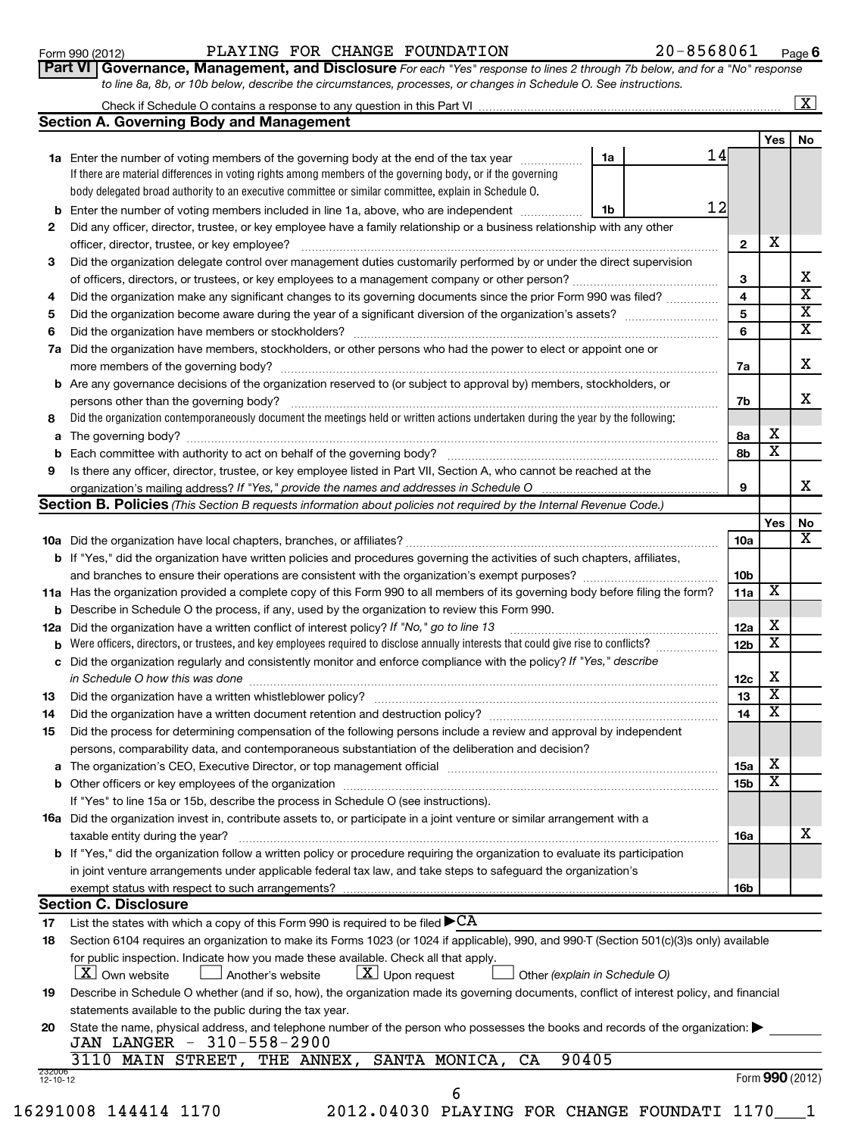### Form 990 (2012)  $PLAYING$  FOR CHANGE FOUNDATION  $20-8568061$  Page

**6**

| <b>VI   Governance, Management, and Disclosure</b> For each "Yes" response to lines 2 through 7b below, and for a "No" response |  |  |  |  |  |
|---------------------------------------------------------------------------------------------------------------------------------|--|--|--|--|--|
| to line 8a, 8b, or 10b below, describe the circumstances, processes, or changes in Schedule O. See instructions.                |  |  |  |  |  |

|    | to line 8a, 8b, or 10b below, describe the circumstances, processes, or changes in Schedule O. See instructions.                  |    |    |    |     |                         |  |  |  |  |
|----|-----------------------------------------------------------------------------------------------------------------------------------|----|----|----|-----|-------------------------|--|--|--|--|
|    | Section A. Governing Body and Management                                                                                          |    |    |    |     | $\lfloor x \rfloor$     |  |  |  |  |
|    |                                                                                                                                   |    |    |    | Yes | <b>No</b>               |  |  |  |  |
|    | <b>1a</b> Enter the number of voting members of the governing body at the end of the tax year                                     | 1a | 14 |    |     |                         |  |  |  |  |
|    | If there are material differences in voting rights among members of the governing body, or if the governing                       |    |    |    |     |                         |  |  |  |  |
|    | body delegated broad authority to an executive committee or similar committee, explain in Schedule O.                             |    |    |    |     |                         |  |  |  |  |
|    | 12<br>Enter the number of voting members included in line 1a, above, who are independent<br>1b<br>b                               |    |    |    |     |                         |  |  |  |  |
| 2  | Did any officer, director, trustee, or key employee have a family relationship or a business relationship with any other          |    |    |    |     |                         |  |  |  |  |
|    | officer, director, trustee, or key employee?                                                                                      |    |    |    |     |                         |  |  |  |  |
| 3  | Did the organization delegate control over management duties customarily performed by or under the direct supervision             |    |    |    |     |                         |  |  |  |  |
|    |                                                                                                                                   |    |    |    |     |                         |  |  |  |  |
| 4  | Did the organization make any significant changes to its governing documents since the prior Form 990 was filed?                  |    |    |    |     |                         |  |  |  |  |
| 5  |                                                                                                                                   |    |    | 5  |     | X                       |  |  |  |  |
| 6  | Did the organization have members or stockholders?                                                                                |    |    | 6  |     | $\overline{\mathbf{X}}$ |  |  |  |  |
| 7a | Did the organization have members, stockholders, or other persons who had the power to elect or appoint one or                    |    |    |    |     |                         |  |  |  |  |
|    | more members of the governing body?                                                                                               |    |    | 7a |     | x                       |  |  |  |  |
|    | <b>b</b> Are any governance decisions of the organization reserved to (or subject to approval by) members, stockholders, or       |    |    |    |     |                         |  |  |  |  |
|    | persons other than the governing body?                                                                                            |    |    | 7b |     | x                       |  |  |  |  |
| 8  | Did the organization contemporaneously document the meetings held or written actions undertaken during the year by the following: |    |    |    |     |                         |  |  |  |  |
| а  | The governing body?                                                                                                               |    |    | 8a | х   |                         |  |  |  |  |
| b  |                                                                                                                                   |    |    | 8b | x   |                         |  |  |  |  |
| 9  | Is there any officer, director, trustee, or key employee listed in Part VII, Section A, who cannot be reached at the              |    |    |    |     | х                       |  |  |  |  |
|    | organization's mailing address? If "Yes," provide the names and addresses in Schedule O                                           |    |    |    |     |                         |  |  |  |  |

|                          | <b>Section B. Policies</b> (This Section B requests information about policies not required by the Internal Revenue Code.)                                                                                               |                 |                         |                 |
|--------------------------|--------------------------------------------------------------------------------------------------------------------------------------------------------------------------------------------------------------------------|-----------------|-------------------------|-----------------|
|                          |                                                                                                                                                                                                                          |                 | Yes                     | No              |
|                          |                                                                                                                                                                                                                          | 10a             |                         | X               |
|                          | <b>b</b> If "Yes," did the organization have written policies and procedures governing the activities of such chapters, affiliates,                                                                                      |                 |                         |                 |
|                          |                                                                                                                                                                                                                          | 10 <sub>b</sub> |                         |                 |
|                          | 11a Has the organization provided a complete copy of this Form 990 to all members of its governing body before filing the form?                                                                                          | 11a             | х                       |                 |
| b                        | Describe in Schedule O the process, if any, used by the organization to review this Form 990.                                                                                                                            |                 |                         |                 |
| 12a                      | Did the organization have a written conflict of interest policy? If "No," go to line 13                                                                                                                                  | 12a             | X                       |                 |
| b                        | Were officers, directors, or trustees, and key employees required to disclose annually interests that could give rise to conflicts?                                                                                      | 12 <sub>b</sub> | $\overline{\textbf{x}}$ |                 |
| c                        | Did the organization regularly and consistently monitor and enforce compliance with the policy? If "Yes," describe                                                                                                       |                 |                         |                 |
|                          | in Schedule O how this was done                                                                                                                                                                                          | 12c             | X                       |                 |
| 13                       |                                                                                                                                                                                                                          | 13              | X                       |                 |
| 14                       | Did the organization have a written document retention and destruction policy? [11] manufaction in the organization have a written document retention and destruction policy?                                            | 14              | $\overline{\textbf{x}}$ |                 |
| 15                       | Did the process for determining compensation of the following persons include a review and approval by independent                                                                                                       |                 |                         |                 |
|                          | persons, comparability data, and contemporaneous substantiation of the deliberation and decision?                                                                                                                        |                 |                         |                 |
| a                        | The organization's CEO, Executive Director, or top management official manufactured content content of the organization's CEO, Executive Director, or top management official manufactured content of the organization's | 15a             | х                       |                 |
|                          |                                                                                                                                                                                                                          | 15 <sub>b</sub> | $\overline{\textbf{X}}$ |                 |
|                          | If "Yes" to line 15a or 15b, describe the process in Schedule O (see instructions).                                                                                                                                      |                 |                         |                 |
|                          | 16a Did the organization invest in, contribute assets to, or participate in a joint venture or similar arrangement with a                                                                                                |                 |                         |                 |
|                          | taxable entity during the year?                                                                                                                                                                                          | <b>16a</b>      |                         | x               |
|                          | b If "Yes," did the organization follow a written policy or procedure requiring the organization to evaluate its participation                                                                                           |                 |                         |                 |
|                          | in joint venture arrangements under applicable federal tax law, and take steps to safeguard the organization's                                                                                                           |                 |                         |                 |
|                          | exempt status with respect to such arrangements?                                                                                                                                                                         | 16b             |                         |                 |
|                          | <b>Section C. Disclosure</b>                                                                                                                                                                                             |                 |                         |                 |
| 17                       | List the states with which a copy of this Form 990 is required to be filed $\blacktriangleright$ CA                                                                                                                      |                 |                         |                 |
| 18                       | Section 6104 requires an organization to make its Forms 1023 (or 1024 if applicable), 990, and 990-T (Section 501(c)(3)s only) available                                                                                 |                 |                         |                 |
|                          | for public inspection. Indicate how you made these available. Check all that apply.                                                                                                                                      |                 |                         |                 |
|                          | $\lfloor x \rfloor$ Own website<br>$\lfloor x \rfloor$ Upon request<br>Another's website<br>Other (explain in Schedule O)                                                                                                |                 |                         |                 |
| 19                       | Describe in Schedule O whether (and if so, how), the organization made its governing documents, conflict of interest policy, and financial                                                                               |                 |                         |                 |
|                          | statements available to the public during the tax year.                                                                                                                                                                  |                 |                         |                 |
| 20                       | State the name, physical address, and telephone number of the person who possesses the books and records of the organization:                                                                                            |                 |                         |                 |
|                          | JAN LANGER - 310-558-2900                                                                                                                                                                                                |                 |                         |                 |
|                          | 3110 MAIN STREET, THE ANNEX, SANTA MONICA,<br>90405<br>CA                                                                                                                                                                |                 |                         |                 |
| 232000<br>$12 - 10 - 12$ |                                                                                                                                                                                                                          |                 |                         | Form 990 (2012) |
|                          | 6                                                                                                                                                                                                                        |                 |                         |                 |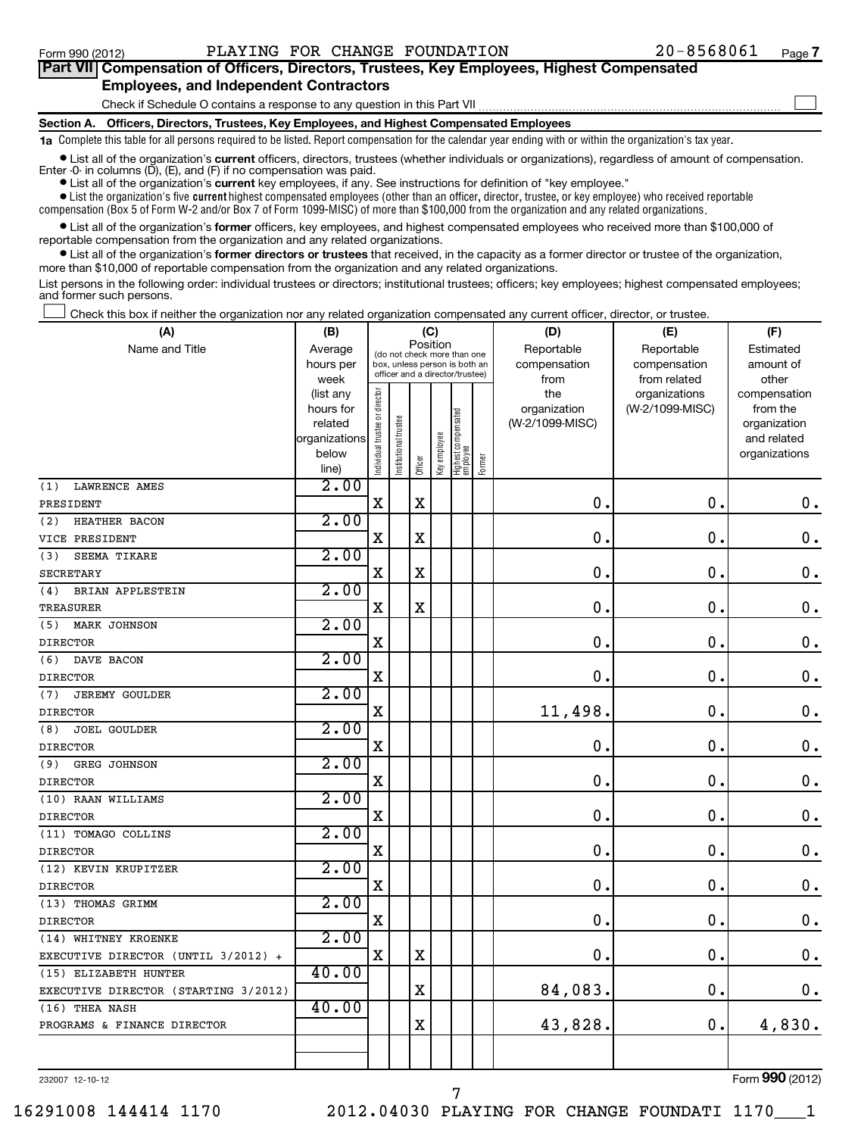## **Part VII Compensation of Officers, Directors, Trustees, Key Employees, Highest Compensated Employees, and Independent Contractors**  $\sim$

Check if Schedule O contains a response to any question in this Part VII

**Section A. Officers, Directors, Trustees, Key Employees, and Highest Compensated Employees**

**1a**  Complete this table for all persons required to be listed. Report compensation for the calendar year ending with or within the organization's tax year.

**•** List all of the organization's current officers, directors, trustees (whether individuals or organizations), regardless of amount of compensation. Enter -0- in columns  $(D)$ ,  $(E)$ , and  $(F)$  if no compensation was paid.

**•** List all of the organization's **current** key employees, if any. See instructions for definition of "key employee."

 $\bullet$  List the organization's five  $\tt current$  highest compensated employees (other than an officer, director, trustee, or key employee) who received reportable

compensation (Box 5 of Form W-2 and/or Box 7 of Form 1099-MISC) of more than \$100,000 from the organization and any related organizations .

 $\bullet$  List all of the organization's former officers, key employees, and highest compensated employees who received more than \$100,000 of reportable compensation from the organization and any related organizations.

**•** List all of the organization's former directors or trustees that received, in the capacity as a former director or trustee of the organization, more than \$10,000 of reportable compensation from the organization and any related organizations.

List persons in the following order: individual trustees or directors; institutional trustees; officers; key employees; highest compensated employees; and former such persons.

Check this box if neither the organization nor any related organization compensated any current officer, director, or trustee.  $\pm$ 

| (A)                                  | (B)                    |                                |                                                                  | (C)         |              |                                 |        | (D)             | (E)             | (F)                          |  |  |
|--------------------------------------|------------------------|--------------------------------|------------------------------------------------------------------|-------------|--------------|---------------------------------|--------|-----------------|-----------------|------------------------------|--|--|
| Name and Title                       | Average                |                                | (do not check more than one                                      |             | Position     |                                 |        | Reportable      | Reportable      | Estimated                    |  |  |
|                                      | hours per              |                                | box, unless person is both an<br>officer and a director/trustee) |             |              |                                 |        | compensation    | compensation    | amount of                    |  |  |
|                                      | week                   |                                |                                                                  |             |              |                                 |        | from            | from related    | other                        |  |  |
|                                      | (list any              |                                |                                                                  |             |              |                                 |        | the             | organizations   | compensation                 |  |  |
|                                      | hours for              |                                |                                                                  |             |              |                                 |        | organization    | (W-2/1099-MISC) | from the                     |  |  |
|                                      | related                |                                |                                                                  |             |              |                                 |        | (W-2/1099-MISC) |                 | organization                 |  |  |
|                                      | organizations<br>below |                                |                                                                  |             |              |                                 |        |                 |                 | and related<br>organizations |  |  |
|                                      | line)                  | Individual trustee or director | Institutional trustee                                            | Officer     | Key employee | Highest compensated<br>employee | Former |                 |                 |                              |  |  |
| (1)<br><b>LAWRENCE AMES</b>          | 2.00                   |                                |                                                                  |             |              |                                 |        |                 |                 |                              |  |  |
| PRESIDENT                            |                        | $\mathbf X$                    |                                                                  | $\mathbf X$ |              |                                 |        | $\mathbf 0$     | $\mathbf 0$ .   | $\mathbf 0$ .                |  |  |
| (2)<br>HEATHER BACON                 | 2.00                   |                                |                                                                  |             |              |                                 |        |                 |                 |                              |  |  |
| VICE PRESIDENT                       |                        | $\mathbf X$                    |                                                                  | $\mathbf X$ |              |                                 |        | $\mathbf 0$     | $\mathbf 0$     | $\mathbf 0$ .                |  |  |
| (3)<br>SEEMA TIKARE                  | 2.00                   |                                |                                                                  |             |              |                                 |        |                 |                 |                              |  |  |
| <b>SECRETARY</b>                     |                        | $\mathbf X$                    |                                                                  | $\mathbf X$ |              |                                 |        | 0               | $\mathbf 0$     | $\mathbf 0$ .                |  |  |
| BRIAN APPLESTEIN<br>(4)              | 2.00                   |                                |                                                                  |             |              |                                 |        |                 |                 |                              |  |  |
| <b>TREASURER</b>                     |                        | $\mathbf X$                    |                                                                  | $\mathbf X$ |              |                                 |        | $\mathbf 0$     | $\mathbf 0$     | $\mathbf 0$ .                |  |  |
| MARK JOHNSON<br>(5)                  | 2.00                   |                                |                                                                  |             |              |                                 |        |                 |                 |                              |  |  |
| <b>DIRECTOR</b>                      |                        | $\mathbf X$                    |                                                                  |             |              |                                 |        | $\mathbf 0$     | $\mathbf 0$     | $\mathbf 0$ .                |  |  |
| (6)<br>DAVE BACON                    | 2.00                   |                                |                                                                  |             |              |                                 |        |                 |                 |                              |  |  |
| <b>DIRECTOR</b>                      |                        | $\mathbf X$                    |                                                                  |             |              |                                 |        | 0               | $\mathbf 0$     | $\mathbf 0$ .                |  |  |
| (7)<br><b>JEREMY GOULDER</b>         | 2.00                   |                                |                                                                  |             |              |                                 |        |                 |                 |                              |  |  |
| <b>DIRECTOR</b>                      |                        | $\mathbf X$                    |                                                                  |             |              |                                 |        | 11,498.         | $\mathbf 0$     | $\mathbf 0$ .                |  |  |
| <b>JOEL GOULDER</b><br>(8)           | 2.00                   |                                |                                                                  |             |              |                                 |        |                 |                 |                              |  |  |
| <b>DIRECTOR</b>                      |                        | $\mathbf X$                    |                                                                  |             |              |                                 |        | 0               | 0               | $\mathbf 0$ .                |  |  |
| (9)<br>GREG JOHNSON                  | 2.00                   |                                |                                                                  |             |              |                                 |        |                 |                 |                              |  |  |
| <b>DIRECTOR</b>                      |                        | $\mathbf X$                    |                                                                  |             |              |                                 |        | $\mathbf 0$     | $\mathbf 0$     | $\mathbf 0$ .                |  |  |
| (10) RAAN WILLIAMS                   | 2.00                   |                                |                                                                  |             |              |                                 |        |                 |                 |                              |  |  |
| <b>DIRECTOR</b>                      |                        | $\mathbf X$                    |                                                                  |             |              |                                 |        | 0               | 0               | $\mathbf 0$ .                |  |  |
| (11) TOMAGO COLLINS                  | 2.00                   |                                |                                                                  |             |              |                                 |        |                 |                 |                              |  |  |
| <b>DIRECTOR</b>                      |                        | $\mathbf X$                    |                                                                  |             |              |                                 |        | 0               | $\mathbf 0$     | $\mathbf 0$ .                |  |  |
| (12) KEVIN KRUPITZER                 | 2.00                   |                                |                                                                  |             |              |                                 |        |                 |                 |                              |  |  |
| <b>DIRECTOR</b>                      |                        | $\mathbf X$                    |                                                                  |             |              |                                 |        | 0               | $\mathbf 0$     | $\mathbf 0$ .                |  |  |
| (13) THOMAS GRIMM                    | 2.00                   |                                |                                                                  |             |              |                                 |        |                 |                 |                              |  |  |
| <b>DIRECTOR</b>                      |                        | $\mathbf X$                    |                                                                  |             |              |                                 |        | 0               | $\mathbf 0$     | $\mathbf 0$ .                |  |  |
| (14) WHITNEY KROENKE                 | 2.00                   |                                |                                                                  |             |              |                                 |        |                 |                 |                              |  |  |
| EXECUTIVE DIRECTOR (UNTIL 3/2012) +  |                        | $\mathbf X$                    |                                                                  | $\mathbf X$ |              |                                 |        | 0               | 0               | $\mathbf 0$ .                |  |  |
| (15) ELIZABETH HUNTER                | 40.00                  |                                |                                                                  |             |              |                                 |        |                 |                 |                              |  |  |
| EXECUTIVE DIRECTOR (STARTING 3/2012) |                        |                                |                                                                  | $\mathbf X$ |              |                                 |        | 84,083.         | $\mathbf 0$     | $\mathbf 0$ .                |  |  |
| (16) THEA NASH                       | 40.00                  |                                |                                                                  |             |              |                                 |        |                 |                 |                              |  |  |
| PROGRAMS & FINANCE DIRECTOR          |                        |                                |                                                                  | $\rm X$     |              |                                 |        | 43,828.         | 0.              | 4,830.                       |  |  |
|                                      |                        |                                |                                                                  |             |              |                                 |        |                 |                 |                              |  |  |
|                                      |                        |                                |                                                                  |             |              |                                 |        |                 |                 |                              |  |  |

7

232007 12-10-12

Form (2012) **990**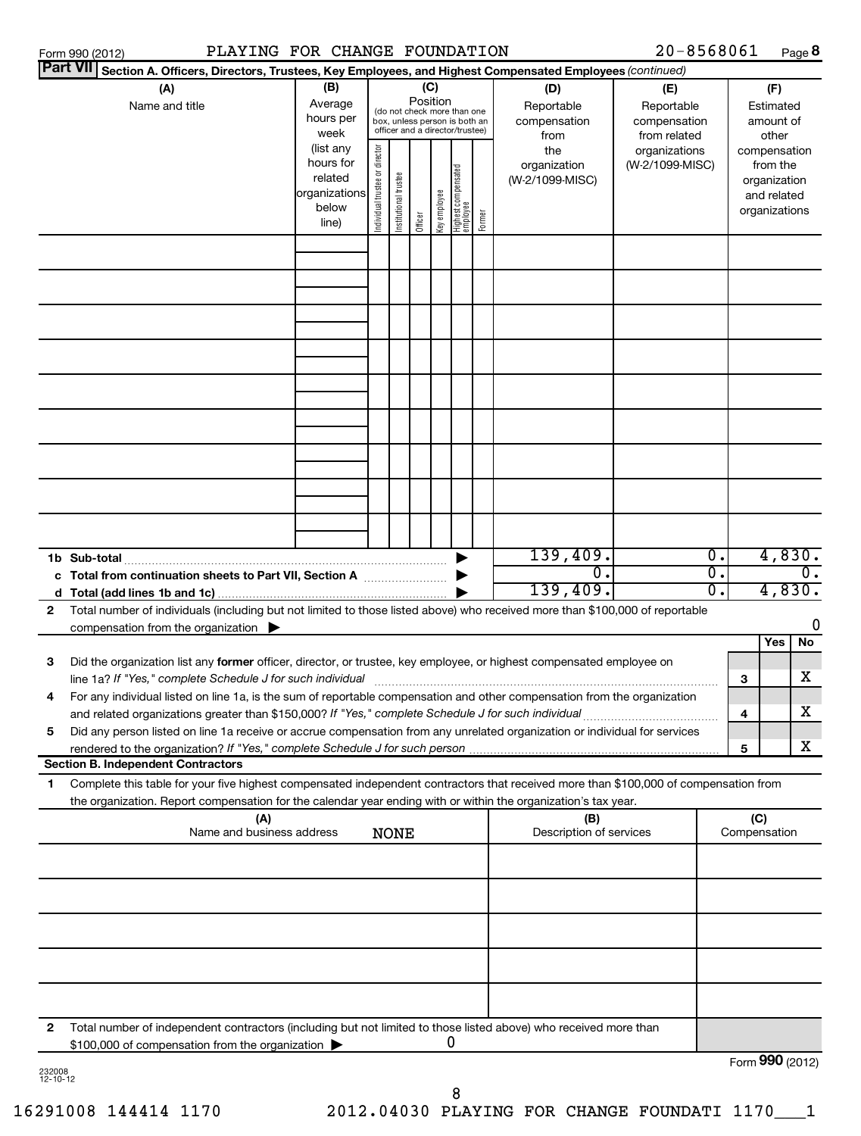|              | PLAYING FOR CHANGE FOUNDATION<br>Form 990 (2012)                                                                                                                                                                                                       |                                                                      |                                |                       |          |              |                                                                                                 |        |                                           | $20 - 8568061$                                    |                  |                     |                                                                          | Page 8 |
|--------------|--------------------------------------------------------------------------------------------------------------------------------------------------------------------------------------------------------------------------------------------------------|----------------------------------------------------------------------|--------------------------------|-----------------------|----------|--------------|-------------------------------------------------------------------------------------------------|--------|-------------------------------------------|---------------------------------------------------|------------------|---------------------|--------------------------------------------------------------------------|--------|
|              | Part VII <br>Section A. Officers, Directors, Trustees, Key Employees, and Highest Compensated Employees (continued)                                                                                                                                    |                                                                      |                                |                       |          |              |                                                                                                 |        |                                           |                                                   |                  |                     |                                                                          |        |
|              | (A)<br>Name and title                                                                                                                                                                                                                                  | (B)<br>Average<br>hours per<br>week                                  |                                |                       | Position | (C)          | (do not check more than one<br>box, unless person is both an<br>officer and a director/trustee) |        | (D)<br>Reportable<br>compensation<br>from | (E)<br>Reportable<br>compensation<br>from related |                  |                     | (F)<br>Estimated<br>amount of<br>other                                   |        |
|              |                                                                                                                                                                                                                                                        | (list any<br>hours for<br>related<br>organizations<br>below<br>line) | Individual trustee or director | Institutional trustee | Officer  | Key employee | Highest compensated<br>  employee                                                               | Former | the<br>organization<br>(W-2/1099-MISC)    | organizations<br>(W-2/1099-MISC)                  |                  |                     | compensation<br>from the<br>organization<br>and related<br>organizations |        |
|              |                                                                                                                                                                                                                                                        |                                                                      |                                |                       |          |              |                                                                                                 |        |                                           |                                                   |                  |                     |                                                                          |        |
|              |                                                                                                                                                                                                                                                        |                                                                      |                                |                       |          |              |                                                                                                 |        |                                           |                                                   |                  |                     |                                                                          |        |
|              |                                                                                                                                                                                                                                                        |                                                                      |                                |                       |          |              |                                                                                                 |        |                                           |                                                   |                  |                     |                                                                          |        |
|              |                                                                                                                                                                                                                                                        |                                                                      |                                |                       |          |              |                                                                                                 |        |                                           |                                                   |                  |                     |                                                                          |        |
|              |                                                                                                                                                                                                                                                        |                                                                      |                                |                       |          |              |                                                                                                 |        |                                           |                                                   |                  |                     |                                                                          |        |
|              |                                                                                                                                                                                                                                                        |                                                                      |                                |                       |          |              |                                                                                                 |        |                                           |                                                   |                  |                     |                                                                          |        |
|              |                                                                                                                                                                                                                                                        |                                                                      |                                |                       |          |              |                                                                                                 |        |                                           |                                                   |                  |                     |                                                                          |        |
|              |                                                                                                                                                                                                                                                        |                                                                      |                                |                       |          |              |                                                                                                 |        |                                           |                                                   |                  |                     |                                                                          |        |
|              |                                                                                                                                                                                                                                                        |                                                                      |                                |                       |          |              |                                                                                                 |        | 139,409.                                  |                                                   | $\overline{0}$ . |                     |                                                                          | 4,830. |
|              | c Total from continuation sheets to Part VII, Section A                                                                                                                                                                                                |                                                                      |                                |                       |          |              |                                                                                                 |        | 0.<br>139,409.                            |                                                   | σ.<br>σ.         |                     | 4,830.                                                                   | 0.     |
| $\mathbf{2}$ | Total number of individuals (including but not limited to those listed above) who received more than \$100,000 of reportable                                                                                                                           |                                                                      |                                |                       |          |              |                                                                                                 |        |                                           |                                                   |                  |                     |                                                                          | 0      |
|              | compensation from the organization $\blacktriangleright$                                                                                                                                                                                               |                                                                      |                                |                       |          |              |                                                                                                 |        |                                           |                                                   |                  |                     | Yes                                                                      | No     |
| з            | Did the organization list any former officer, director, or trustee, key employee, or highest compensated employee on<br>line 1a? If "Yes," complete Schedule J for such individual                                                                     |                                                                      |                                |                       |          |              |                                                                                                 |        |                                           |                                                   |                  | 3                   |                                                                          | x      |
| 4            | For any individual listed on line 1a, is the sum of reportable compensation and other compensation from the organization<br>and related organizations greater than \$150,000? If "Yes," complete Schedule J for such individual                        |                                                                      |                                |                       |          |              |                                                                                                 |        |                                           |                                                   |                  | 4                   |                                                                          | x      |
| 5            | Did any person listed on line 1a receive or accrue compensation from any unrelated organization or individual for services                                                                                                                             |                                                                      |                                |                       |          |              |                                                                                                 |        |                                           |                                                   |                  | 5                   |                                                                          | x      |
|              | <b>Section B. Independent Contractors</b>                                                                                                                                                                                                              |                                                                      |                                |                       |          |              |                                                                                                 |        |                                           |                                                   |                  |                     |                                                                          |        |
| 1            | Complete this table for your five highest compensated independent contractors that received more than \$100,000 of compensation from<br>the organization. Report compensation for the calendar year ending with or within the organization's tax year. |                                                                      |                                |                       |          |              |                                                                                                 |        |                                           |                                                   |                  |                     |                                                                          |        |
|              | (A)<br>Name and business address                                                                                                                                                                                                                       |                                                                      |                                | <b>NONE</b>           |          |              |                                                                                                 |        | (B)<br>Description of services            |                                                   |                  | (C)<br>Compensation |                                                                          |        |
|              |                                                                                                                                                                                                                                                        |                                                                      |                                |                       |          |              |                                                                                                 |        |                                           |                                                   |                  |                     |                                                                          |        |
|              |                                                                                                                                                                                                                                                        |                                                                      |                                |                       |          |              |                                                                                                 |        |                                           |                                                   |                  |                     |                                                                          |        |
|              |                                                                                                                                                                                                                                                        |                                                                      |                                |                       |          |              |                                                                                                 |        |                                           |                                                   |                  |                     |                                                                          |        |
|              |                                                                                                                                                                                                                                                        |                                                                      |                                |                       |          |              |                                                                                                 |        |                                           |                                                   |                  |                     |                                                                          |        |
|              |                                                                                                                                                                                                                                                        |                                                                      |                                |                       |          |              |                                                                                                 |        |                                           |                                                   |                  |                     |                                                                          |        |
| 2            | Total number of independent contractors (including but not limited to those listed above) who received more than<br>\$100,000 of compensation from the organization                                                                                    |                                                                      |                                |                       |          |              | 0                                                                                               |        |                                           |                                                   |                  |                     |                                                                          |        |

| 232008       |  |
|--------------|--|
| -10-12<br>יי |  |

Form (2012) **990**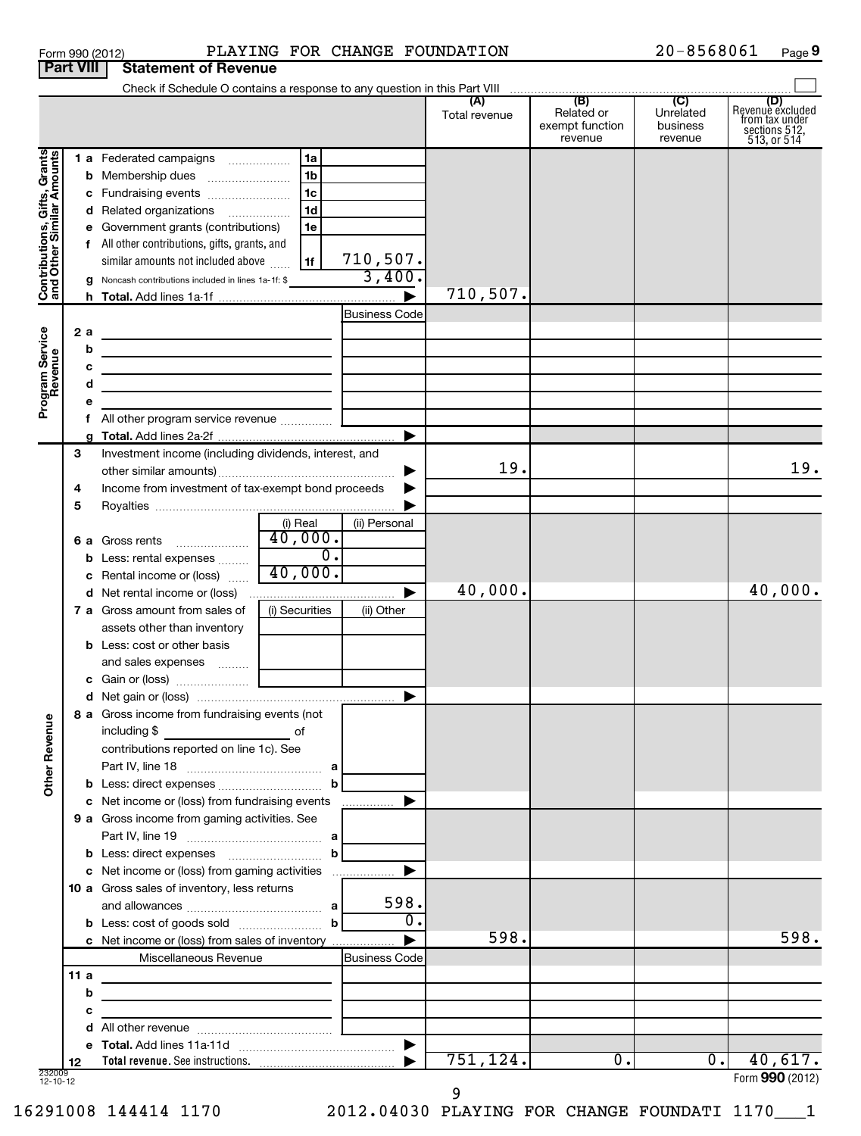| Form 990 (2012) |                                       | PLAYING |
|-----------------|---------------------------------------|---------|
|                 | <b>Part VIII Statement of Revenue</b> |         |

# Form 990 (2012)  $PLAYING FOR CHANGE FOUNDATION$   $20-8568061$  Page

 $20 - 8568061$  Page 9

|                                                           |     | Check if Schedule O contains a response to any question in this Part VIII                                                       |                           |               |                                                 |                                         |                                                                                   |
|-----------------------------------------------------------|-----|---------------------------------------------------------------------------------------------------------------------------------|---------------------------|---------------|-------------------------------------------------|-----------------------------------------|-----------------------------------------------------------------------------------|
|                                                           |     |                                                                                                                                 |                           | Total revenue | (B)<br>Related or<br>exempt function<br>revenue | (C)<br>Unrelated<br>business<br>revenue | (D)<br>Revenue excluded<br>from tax under<br>sections $512$ ,<br>$513$ , or $514$ |
|                                                           |     | 1 a Federated campaigns<br>  1a                                                                                                 |                           |               |                                                 |                                         |                                                                                   |
|                                                           |     | 1 <sub>b</sub><br><b>b</b> Membership dues                                                                                      |                           |               |                                                 |                                         |                                                                                   |
|                                                           |     | l 1c<br>c Fundraising events                                                                                                    |                           |               |                                                 |                                         |                                                                                   |
|                                                           |     | 1 <sub>d</sub><br>d Related organizations                                                                                       |                           |               |                                                 |                                         |                                                                                   |
| Contributions, Gifts, Grants<br>and Other Similar Amounts |     | e Government grants (contributions)<br>1e                                                                                       |                           |               |                                                 |                                         |                                                                                   |
|                                                           |     | f All other contributions, gifts, grants, and                                                                                   |                           |               |                                                 |                                         |                                                                                   |
|                                                           |     | similar amounts not included above<br>1f                                                                                        | $\frac{710,507.}{3,400.}$ |               |                                                 |                                         |                                                                                   |
|                                                           |     | g Noncash contributions included in lines 1a-1f: \$                                                                             |                           |               |                                                 |                                         |                                                                                   |
|                                                           |     |                                                                                                                                 |                           | 710,507.      |                                                 |                                         |                                                                                   |
|                                                           |     |                                                                                                                                 | <b>Business Code</b>      |               |                                                 |                                         |                                                                                   |
| Program Service<br>Revenue                                | 2 a |                                                                                                                                 |                           |               |                                                 |                                         |                                                                                   |
|                                                           |     | b                                                                                                                               |                           |               |                                                 |                                         |                                                                                   |
|                                                           |     | с                                                                                                                               |                           |               |                                                 |                                         |                                                                                   |
|                                                           |     | d<br><u> 1989 - Johann Barn, mars ann an t-Amhain an t-Amhain an t-Amhain an t-Amhain an t-Amhain an t-Amhain an t-Amh</u><br>е |                           |               |                                                 |                                         |                                                                                   |
|                                                           |     |                                                                                                                                 |                           |               |                                                 |                                         |                                                                                   |
|                                                           |     | g.                                                                                                                              |                           |               |                                                 |                                         |                                                                                   |
|                                                           | 3   | Investment income (including dividends, interest, and                                                                           |                           |               |                                                 |                                         |                                                                                   |
|                                                           |     |                                                                                                                                 |                           | 19.           |                                                 |                                         | 19.                                                                               |
|                                                           | 4   | Income from investment of tax-exempt bond proceeds                                                                              |                           |               |                                                 |                                         |                                                                                   |
|                                                           | 5   |                                                                                                                                 |                           |               |                                                 |                                         |                                                                                   |
|                                                           |     | (i) Real                                                                                                                        | (ii) Personal             |               |                                                 |                                         |                                                                                   |
|                                                           | 6а  | 40,000.<br>Gross rents                                                                                                          |                           |               |                                                 |                                         |                                                                                   |
|                                                           |     | σ.<br>Less: rental expenses<br>b                                                                                                |                           |               |                                                 |                                         |                                                                                   |
|                                                           |     | 40,000.<br>c Rental income or (loss)                                                                                            |                           |               |                                                 |                                         |                                                                                   |
|                                                           |     | d Net rental income or (loss)                                                                                                   | ▶                         | 40,000.       |                                                 |                                         | 40,000.                                                                           |
|                                                           |     | (i) Securities<br><b>7 a</b> Gross amount from sales of                                                                         | (ii) Other                |               |                                                 |                                         |                                                                                   |
|                                                           |     | assets other than inventory<br><b>b</b> Less: cost or other basis                                                               |                           |               |                                                 |                                         |                                                                                   |
|                                                           |     | and sales expenses                                                                                                              |                           |               |                                                 |                                         |                                                                                   |
|                                                           |     |                                                                                                                                 |                           |               |                                                 |                                         |                                                                                   |
|                                                           |     |                                                                                                                                 | ▶                         |               |                                                 |                                         |                                                                                   |
|                                                           |     | 8 a Gross income from fundraising events (not                                                                                   |                           |               |                                                 |                                         |                                                                                   |
| g                                                         |     | including \$<br>оf                                                                                                              |                           |               |                                                 |                                         |                                                                                   |
| Other Reven                                               |     | contributions reported on line 1c). See                                                                                         |                           |               |                                                 |                                         |                                                                                   |
|                                                           |     |                                                                                                                                 |                           |               |                                                 |                                         |                                                                                   |
|                                                           |     | b                                                                                                                               |                           |               |                                                 |                                         |                                                                                   |
|                                                           |     | c Net income or (loss) from fundraising events                                                                                  |                           |               |                                                 |                                         |                                                                                   |
|                                                           |     | 9 a Gross income from gaming activities. See                                                                                    |                           |               |                                                 |                                         |                                                                                   |
|                                                           |     |                                                                                                                                 |                           |               |                                                 |                                         |                                                                                   |
|                                                           |     |                                                                                                                                 |                           |               |                                                 |                                         |                                                                                   |
|                                                           |     | c Net income or (loss) from gaming activities                                                                                   |                           |               |                                                 |                                         |                                                                                   |
|                                                           |     | 10 a Gross sales of inventory, less returns                                                                                     | 598.                      |               |                                                 |                                         |                                                                                   |
|                                                           |     | $\mathbf b$                                                                                                                     | $\overline{0}$ .          |               |                                                 |                                         |                                                                                   |
|                                                           |     | c Net income or (loss) from sales of inventory                                                                                  |                           | 598.          |                                                 |                                         | 598.                                                                              |
|                                                           |     | Miscellaneous Revenue                                                                                                           | <b>Business Code</b>      |               |                                                 |                                         |                                                                                   |
|                                                           | 11a |                                                                                                                                 |                           |               |                                                 |                                         |                                                                                   |
|                                                           |     | b                                                                                                                               |                           |               |                                                 |                                         |                                                                                   |
|                                                           |     | с                                                                                                                               |                           |               |                                                 |                                         |                                                                                   |
|                                                           |     | d                                                                                                                               |                           |               |                                                 |                                         |                                                                                   |
|                                                           |     |                                                                                                                                 | $\blacktriangleright$     |               |                                                 |                                         |                                                                                   |
|                                                           | 12  |                                                                                                                                 |                           | 751,124.      | о.                                              | 0.                                      | 40,617.                                                                           |
| 232009<br>12-10-12                                        |     |                                                                                                                                 |                           | 9             |                                                 |                                         | Form 990 (2012)                                                                   |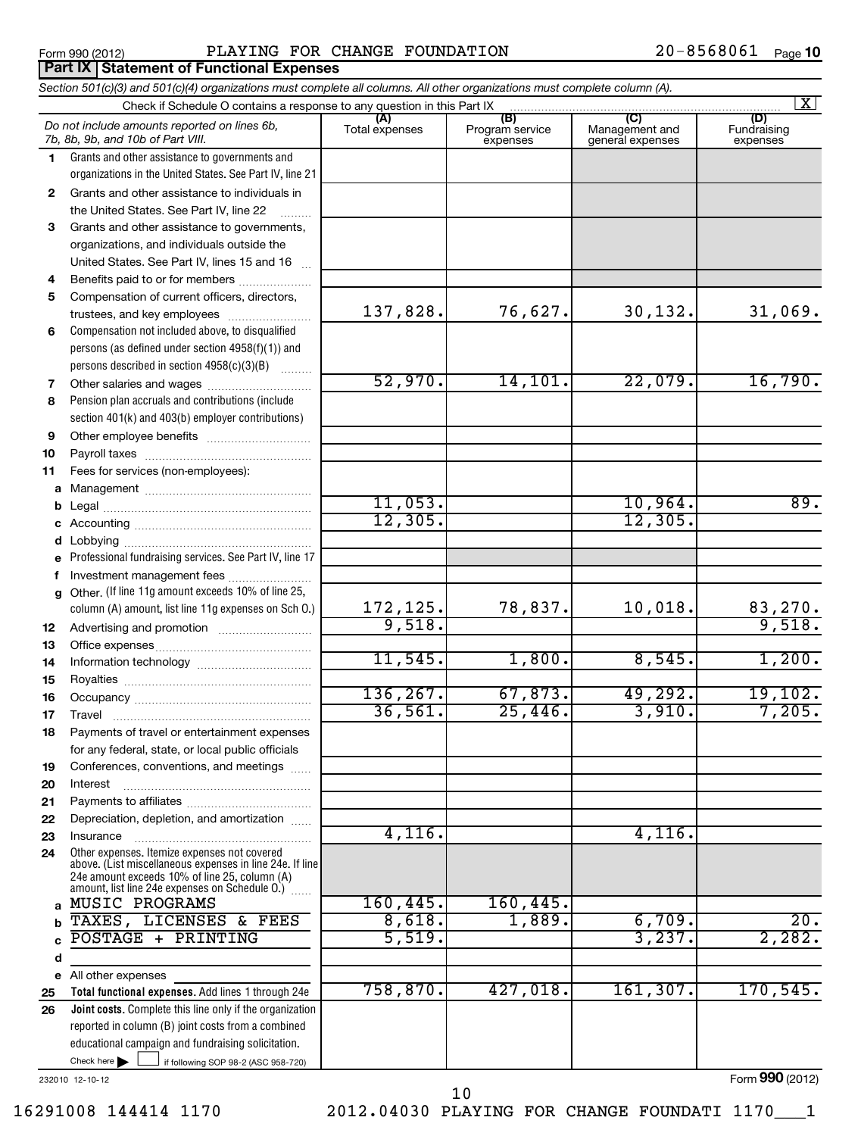# Form 990 (2012) **PLAYING FOR CHANGE FOUNDATION**  $20-8568061$   $_{\text{Page}}$

|          | Section 501(c)(3) and 501(c)(4) organizations must complete all columns. All other organizations must complete column (A).                                |                           |                                    |                                           |                                |
|----------|-----------------------------------------------------------------------------------------------------------------------------------------------------------|---------------------------|------------------------------------|-------------------------------------------|--------------------------------|
|          | Check if Schedule O contains a response to any question in this Part IX                                                                                   |                           |                                    |                                           | X                              |
|          | Do not include amounts reported on lines 6b,<br>7b, 8b, 9b, and 10b of Part VIII.                                                                         | Total expenses            | (B)<br>Program service<br>expenses | (C)<br>Management and<br>general expenses | (D)<br>Fundraising<br>expenses |
| 1.       | Grants and other assistance to governments and                                                                                                            |                           |                                    |                                           |                                |
|          | organizations in the United States. See Part IV, line 21                                                                                                  |                           |                                    |                                           |                                |
| 2        | Grants and other assistance to individuals in                                                                                                             |                           |                                    |                                           |                                |
|          | the United States. See Part IV, line 22                                                                                                                   |                           |                                    |                                           |                                |
| 3        | Grants and other assistance to governments,                                                                                                               |                           |                                    |                                           |                                |
|          | organizations, and individuals outside the                                                                                                                |                           |                                    |                                           |                                |
|          | United States. See Part IV, lines 15 and 16                                                                                                               |                           |                                    |                                           |                                |
| 4        | Benefits paid to or for members                                                                                                                           |                           |                                    |                                           |                                |
| 5        | Compensation of current officers, directors,                                                                                                              |                           |                                    |                                           |                                |
|          | trustees, and key employees                                                                                                                               | 137,828.                  | 76,627.                            | 30,132.                                   | 31,069.                        |
| 6        | Compensation not included above, to disqualified                                                                                                          |                           |                                    |                                           |                                |
|          | persons (as defined under section 4958(f)(1)) and                                                                                                         |                           |                                    |                                           |                                |
|          | persons described in section 4958(c)(3)(B)                                                                                                                |                           |                                    |                                           |                                |
| 7        | Other salaries and wages                                                                                                                                  | 52,970.                   | 14, 101.                           | 22,079.                                   | 16,790.                        |
| 8        | Pension plan accruals and contributions (include                                                                                                          |                           |                                    |                                           |                                |
|          | section 401(k) and 403(b) employer contributions)                                                                                                         |                           |                                    |                                           |                                |
| 9        |                                                                                                                                                           |                           |                                    |                                           |                                |
| 10       |                                                                                                                                                           |                           |                                    |                                           |                                |
| 11       | Fees for services (non-employees):                                                                                                                        |                           |                                    |                                           |                                |
| a        |                                                                                                                                                           |                           |                                    | 10,964.                                   | $\overline{89}$ .              |
| b        |                                                                                                                                                           | $\frac{11,053.}{12,305.}$ |                                    | 12,305.                                   |                                |
| d        |                                                                                                                                                           |                           |                                    |                                           |                                |
|          | Professional fundraising services. See Part IV, line 17                                                                                                   |                           |                                    |                                           |                                |
| f        | Investment management fees                                                                                                                                |                           |                                    |                                           |                                |
| g        | Other. (If line 11g amount exceeds 10% of line 25,                                                                                                        |                           |                                    |                                           |                                |
|          | column (A) amount, list line 11g expenses on Sch O.)                                                                                                      |                           | 78,837.                            | 10,018.                                   |                                |
| 12       |                                                                                                                                                           | $\frac{172,125.}{9,518.}$ |                                    |                                           | $\frac{83,270}{9,518}$         |
| 13       |                                                                                                                                                           |                           |                                    |                                           |                                |
| 14       |                                                                                                                                                           | 11,545.                   | 1,800.                             | 8,545.                                    | 1,200.                         |
| 15       |                                                                                                                                                           |                           |                                    |                                           |                                |
| 16       |                                                                                                                                                           | 136, 267.                 | 67,873.                            | 49,292.                                   | 19, 102.                       |
| 17       |                                                                                                                                                           | 36,561.                   | $\overline{25,446}$ .              | 3,910.                                    | 7,205.                         |
| 18       | Payments of travel or entertainment expenses                                                                                                              |                           |                                    |                                           |                                |
|          | for any federal, state, or local public officials                                                                                                         |                           |                                    |                                           |                                |
| 19       | Conferences, conventions, and meetings                                                                                                                    |                           |                                    |                                           |                                |
| 20       | Interest                                                                                                                                                  |                           |                                    |                                           |                                |
| 21       |                                                                                                                                                           |                           |                                    |                                           |                                |
| 22       | Depreciation, depletion, and amortization                                                                                                                 | 4,116.                    |                                    | 4,116.                                    |                                |
| 23       | Insurance                                                                                                                                                 |                           |                                    |                                           |                                |
| 24       | Other expenses. Itemize expenses not covered<br>above. (List miscellaneous expenses in line 24e. If line<br>24e amount exceeds 10% of line 25, column (A) |                           |                                    |                                           |                                |
|          | amount, list line 24e expenses on Schedule O.)                                                                                                            |                           |                                    |                                           |                                |
| a        | MUSIC PROGRAMS                                                                                                                                            | 160, 445.                 | 160, 445.                          |                                           |                                |
|          | TAXES, LICENSES & FEES                                                                                                                                    | 8,618.<br>5,519.          | 1,889.                             | 6,709.<br>3,237.                          | 20.<br>2,282.                  |
|          | POSTAGE + PRINTING                                                                                                                                        |                           |                                    |                                           |                                |
| d        |                                                                                                                                                           |                           |                                    |                                           |                                |
| е        | All other expenses<br>Total functional expenses. Add lines 1 through 24e                                                                                  | 758,870.                  | 427,018.                           | 161, 307.                                 | 170, 545.                      |
| 25<br>26 | Joint costs. Complete this line only if the organization                                                                                                  |                           |                                    |                                           |                                |
|          | reported in column (B) joint costs from a combined                                                                                                        |                           |                                    |                                           |                                |
|          | educational campaign and fundraising solicitation.                                                                                                        |                           |                                    |                                           |                                |
|          | Check here<br>if following SOP 98-2 (ASC 958-720)                                                                                                         |                           |                                    |                                           |                                |
|          |                                                                                                                                                           |                           |                                    |                                           |                                |

232010 12-10-12

Form **990** (2012)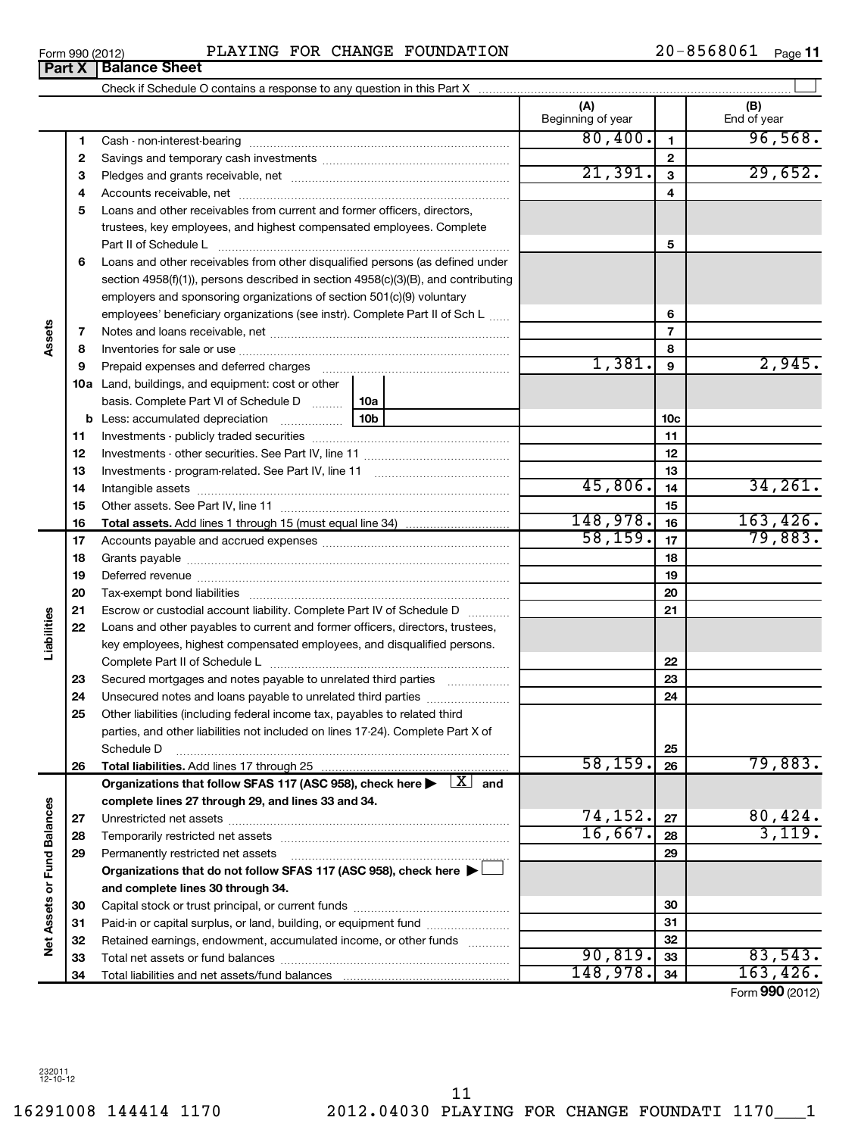16291008 144414 1170 2012.04030 PLAYING FOR CHANGE FOUNDATI 1170\_\_\_1 11

| Form 990 (2012) | CHANGE FOUNDATION<br>PLAYING<br>FOR                                    | $20 - 8568061$ |                          | Page 11 |
|-----------------|------------------------------------------------------------------------|----------------|--------------------------|---------|
| <b>Part X</b>   | <b>Balance Sheet</b>                                                   |                |                          |         |
|                 | Check if Schedule O contains a response to any question in this Part X |                |                          |         |
|                 |                                                                        |                | Expedition of the second |         |

|                             |          |                                                                                                                                                                                                                                | (A)<br>Beginning of year |                 | (B)<br>End of year |
|-----------------------------|----------|--------------------------------------------------------------------------------------------------------------------------------------------------------------------------------------------------------------------------------|--------------------------|-----------------|--------------------|
|                             | 1        |                                                                                                                                                                                                                                | 80,400.                  | 1               | 96,568.            |
|                             | 2        |                                                                                                                                                                                                                                |                          | $\mathbf{2}$    |                    |
|                             | З        |                                                                                                                                                                                                                                | 21,391.                  | $\mathbf{3}$    | 29,652.            |
|                             | 4        |                                                                                                                                                                                                                                |                          | 4               |                    |
|                             | 5        | Loans and other receivables from current and former officers, directors,                                                                                                                                                       |                          |                 |                    |
|                             |          | trustees, key employees, and highest compensated employees. Complete                                                                                                                                                           |                          |                 |                    |
|                             |          | Part II of Schedule Later and Communications and Contract II of Schedule Later and Communications and Den                                                                                                                      |                          | 5               |                    |
|                             | 6        | Loans and other receivables from other disqualified persons (as defined under                                                                                                                                                  |                          |                 |                    |
|                             |          | section $4958(f)(1)$ , persons described in section $4958(c)(3)(B)$ , and contributing                                                                                                                                         |                          |                 |                    |
|                             |          | employers and sponsoring organizations of section 501(c)(9) voluntary                                                                                                                                                          |                          |                 |                    |
|                             |          | employees' beneficiary organizations (see instr). Complete Part II of Sch L                                                                                                                                                    |                          | 6               |                    |
| Assets                      | 7        |                                                                                                                                                                                                                                |                          | $\overline{7}$  |                    |
|                             | 8        |                                                                                                                                                                                                                                |                          | 8               |                    |
|                             | 9        | Prepaid expenses and deferred charges [11] matter continuum matter and referred charges [11] matter continuum matter continuum matter and continuum matter continuum matter and continuum matter continuum matter continuum ma | 1,381.                   | 9               | 2,945.             |
|                             |          | <b>10a</b> Land, buildings, and equipment: cost or other                                                                                                                                                                       |                          |                 |                    |
|                             |          | basis. Complete Part VI of Schedule D    10a                                                                                                                                                                                   |                          |                 |                    |
|                             |          |                                                                                                                                                                                                                                |                          | 10 <sub>c</sub> |                    |
|                             | 11       |                                                                                                                                                                                                                                |                          | 11              |                    |
|                             | 12       |                                                                                                                                                                                                                                |                          | 12              |                    |
|                             | 13       |                                                                                                                                                                                                                                | 45,806.                  | 13              |                    |
|                             | 14       |                                                                                                                                                                                                                                |                          | 14              | 34, 261.           |
|                             | 15       |                                                                                                                                                                                                                                | 148,978.                 | 15              | 163,426.           |
|                             | 16<br>17 | <b>Total assets.</b> Add lines 1 through 15 (must equal line 34) <i></i>                                                                                                                                                       | 58, 159.                 | 16<br>17        | 79,883.            |
|                             | 18       |                                                                                                                                                                                                                                |                          | 18              |                    |
|                             | 19       |                                                                                                                                                                                                                                |                          | 19              |                    |
|                             | 20       |                                                                                                                                                                                                                                |                          | 20              |                    |
|                             | 21       | Escrow or custodial account liability. Complete Part IV of Schedule D                                                                                                                                                          |                          | 21              |                    |
| Liabilities                 | 22       | Loans and other payables to current and former officers, directors, trustees,                                                                                                                                                  |                          |                 |                    |
|                             |          | key employees, highest compensated employees, and disqualified persons.                                                                                                                                                        |                          |                 |                    |
|                             |          |                                                                                                                                                                                                                                |                          | 22              |                    |
|                             | 23       | Secured mortgages and notes payable to unrelated third parties                                                                                                                                                                 |                          | 23              |                    |
|                             | 24       |                                                                                                                                                                                                                                |                          | 24              |                    |
|                             | 25       | Other liabilities (including federal income tax, payables to related third                                                                                                                                                     |                          |                 |                    |
|                             |          | parties, and other liabilities not included on lines 17-24). Complete Part X of                                                                                                                                                |                          |                 |                    |
|                             |          | Schedule D                                                                                                                                                                                                                     |                          | 25              |                    |
|                             | 26       | Total liabilities. Add lines 17 through 25                                                                                                                                                                                     | 58, 159.                 | 26              | 79,883.            |
|                             |          | Organizations that follow SFAS 117 (ASC 958), check here $\blacktriangleright$ $\boxed{X}$ and                                                                                                                                 |                          |                 |                    |
|                             |          | complete lines 27 through 29, and lines 33 and 34.                                                                                                                                                                             |                          |                 |                    |
|                             | 27       |                                                                                                                                                                                                                                | 74,152.                  | 27              | 80,424.            |
|                             | 28       | Temporarily restricted net assets                                                                                                                                                                                              | 16,667.                  | 28              | 3,119.             |
|                             | 29       | Permanently restricted net assets                                                                                                                                                                                              |                          | 29              |                    |
|                             |          | Organizations that do not follow SFAS 117 (ASC 958), check here ▶ □                                                                                                                                                            |                          |                 |                    |
| Net Assets or Fund Balances |          | and complete lines 30 through 34.                                                                                                                                                                                              |                          |                 |                    |
|                             | 30       |                                                                                                                                                                                                                                |                          | 30              |                    |
|                             | 31       | Paid-in or capital surplus, or land, building, or equipment fund                                                                                                                                                               |                          | 31<br>32        |                    |
|                             | 32       | Retained earnings, endowment, accumulated income, or other funds                                                                                                                                                               | 90,819.                  | 33              | 83,543.            |
|                             | 33<br>34 |                                                                                                                                                                                                                                | 148,978.                 | 34              | 163, 426.          |
|                             |          |                                                                                                                                                                                                                                |                          |                 |                    |

Form (2012) **990**

**Part X Balance Sheet**<br>**Part X Balance**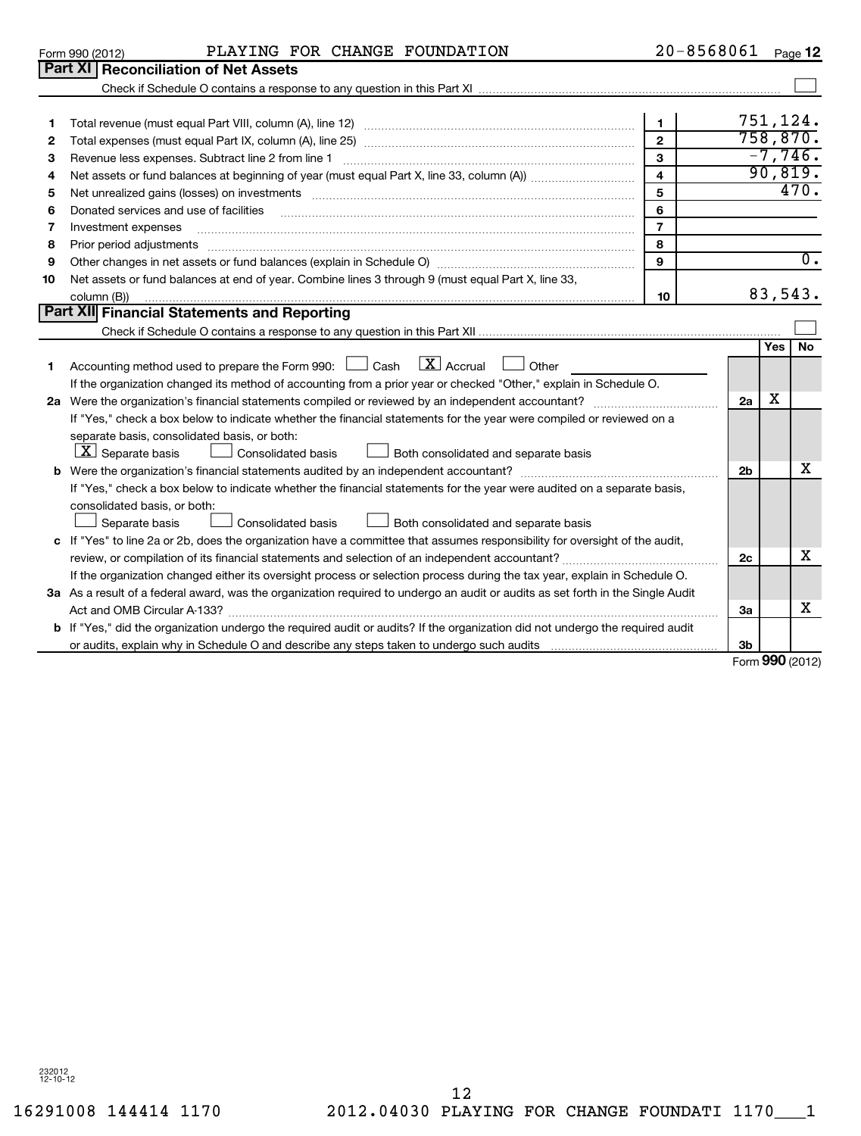| 1  |                                                                                                                                 | $\mathbf{1}$            |                | 751,124.  |                  |
|----|---------------------------------------------------------------------------------------------------------------------------------|-------------------------|----------------|-----------|------------------|
| 2  |                                                                                                                                 | $\mathbf{2}$            |                | 758,870.  |                  |
| 3  | Revenue less expenses. Subtract line 2 from line 1                                                                              | $\mathbf{3}$            |                | $-7,746.$ |                  |
| 4  |                                                                                                                                 | $\overline{\mathbf{4}}$ |                | 90,819.   |                  |
| 5  |                                                                                                                                 | 5                       |                |           | 470.             |
| 6  | Donated services and use of facilities                                                                                          | 6                       |                |           |                  |
| 7  | Investment expenses                                                                                                             | $\overline{7}$          |                |           |                  |
| 8  | Prior period adjustments                                                                                                        | 8                       |                |           |                  |
| 9  |                                                                                                                                 | $\mathbf{9}$            |                |           | $\overline{0}$ . |
| 10 | Net assets or fund balances at end of year. Combine lines 3 through 9 (must equal Part X, line 33,                              |                         |                |           |                  |
|    | column (B))                                                                                                                     | 10                      |                | 83,543.   |                  |
|    | Part XII Financial Statements and Reporting                                                                                     |                         |                |           |                  |
|    |                                                                                                                                 |                         |                |           |                  |
|    |                                                                                                                                 |                         |                | Yes l     | <b>No</b>        |
|    | Accounting method used to prepare the Form 990: $\Box$ Cash $\Box X$ Accrual $\Box$ Other                                       |                         |                |           |                  |
|    | If the organization changed its method of accounting from a prior year or checked "Other," explain in Schedule O.               |                         |                |           |                  |
| 2a |                                                                                                                                 |                         | 2a             | х         |                  |
|    | If "Yes," check a box below to indicate whether the financial statements for the year were compiled or reviewed on a            |                         |                |           |                  |
|    | separate basis, consolidated basis, or both:                                                                                    |                         |                |           |                  |
|    | $\lfloor \underline{X} \rfloor$ Separate basis<br><b>Consolidated basis</b><br>Both consolidated and separate basis             |                         |                |           |                  |
|    |                                                                                                                                 |                         | 2 <sub>b</sub> |           | x                |
|    | If "Yes," check a box below to indicate whether the financial statements for the year were audited on a separate basis,         |                         |                |           |                  |
|    | consolidated basis, or both:                                                                                                    |                         |                |           |                  |
|    | Consolidated basis<br>Both consolidated and separate basis<br>Separate basis                                                    |                         |                |           |                  |
|    | c If "Yes" to line 2a or 2b, does the organization have a committee that assumes responsibility for oversight of the audit,     |                         |                |           |                  |
|    |                                                                                                                                 |                         | 2c             |           | x                |
|    | If the organization changed either its oversight process or selection process during the tax year, explain in Schedule O.       |                         |                |           |                  |
|    | 3a As a result of a federal award, was the organization required to undergo an audit or audits as set forth in the Single Audit |                         |                |           |                  |
|    |                                                                                                                                 |                         | 3a             |           | x                |
|    | b If "Yes," did the organization undergo the required audit or audits? If the organization did not undergo the required audit   |                         |                |           |                  |
|    |                                                                                                                                 |                         | 3 <sub>b</sub> |           |                  |

Check if Schedule O contains a response to any question in this Part XI

Form **990** (2012)

 $\sim$ 

| Form 990 (2012) |                                             | PLAYING FOR CHANGE FOUNDATION | 20-8568061 | Page 12 |
|-----------------|---------------------------------------------|-------------------------------|------------|---------|
|                 | <b>Part XI Reconciliation of Net Assets</b> |                               |            |         |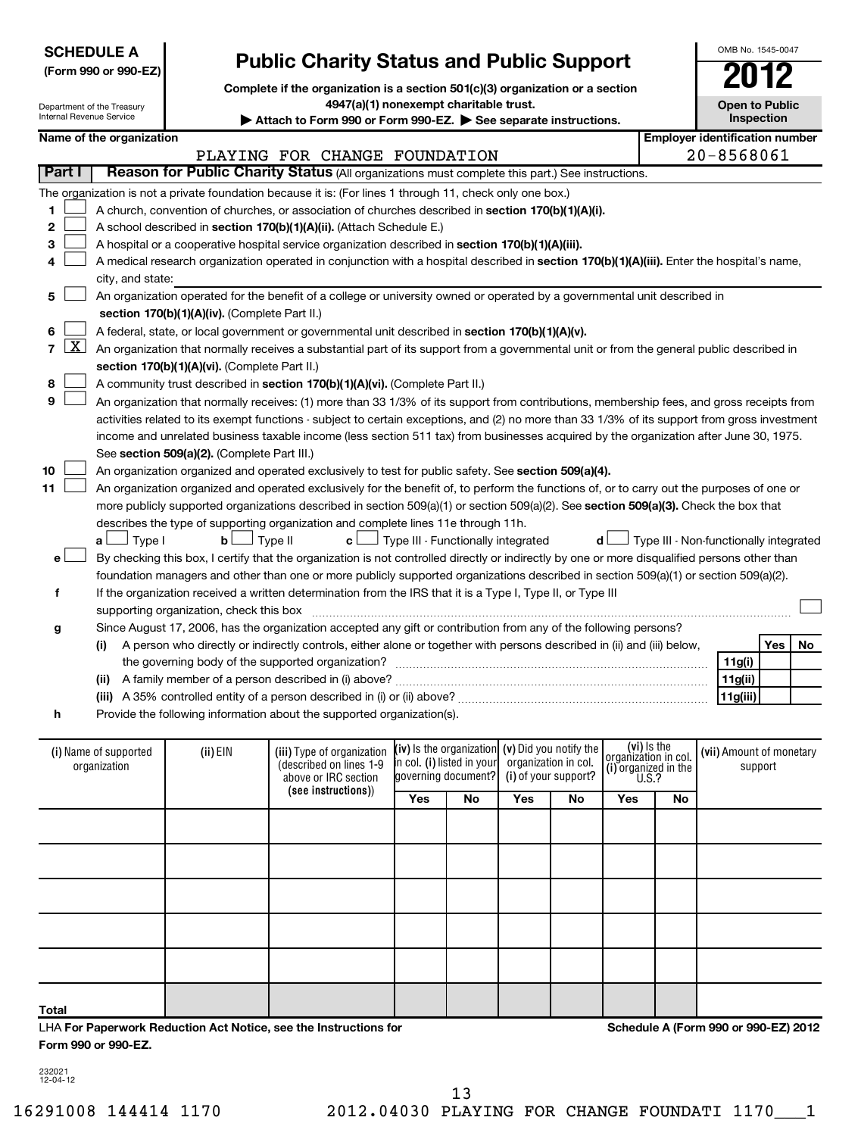| <b>SCHEDULE A</b><br><b>Public Charity Status and Public Support</b><br>(Form 990 or 990-EZ)<br>Complete if the organization is a section 501(c)(3) organization or a section |                                       |                                               |                                                                                                                                               |                                    |                                                   |     | OMB No. 1545-0047    |                                                             |    |                                        |                   |    |
|-------------------------------------------------------------------------------------------------------------------------------------------------------------------------------|---------------------------------------|-----------------------------------------------|-----------------------------------------------------------------------------------------------------------------------------------------------|------------------------------------|---------------------------------------------------|-----|----------------------|-------------------------------------------------------------|----|----------------------------------------|-------------------|----|
| Internal Revenue Service                                                                                                                                                      | Department of the Treasury            |                                               | 4947(a)(1) nonexempt charitable trust.                                                                                                        |                                    |                                                   |     |                      |                                                             |    | <b>Open to Public</b>                  | <b>Inspection</b> |    |
|                                                                                                                                                                               | Name of the organization              |                                               | Attach to Form 990 or Form 990-EZ. See separate instructions.                                                                                 |                                    |                                                   |     |                      |                                                             |    | <b>Employer identification number</b>  |                   |    |
|                                                                                                                                                                               |                                       |                                               | PLAYING FOR CHANGE FOUNDATION                                                                                                                 |                                    |                                                   |     |                      |                                                             |    | 20-8568061                             |                   |    |
| Part I                                                                                                                                                                        |                                       |                                               | Reason for Public Charity Status (All organizations must complete this part.) See instructions.                                               |                                    |                                                   |     |                      |                                                             |    |                                        |                   |    |
|                                                                                                                                                                               |                                       |                                               | The organization is not a private foundation because it is: (For lines 1 through 11, check only one box.)                                     |                                    |                                                   |     |                      |                                                             |    |                                        |                   |    |
| 1                                                                                                                                                                             |                                       |                                               | A church, convention of churches, or association of churches described in section 170(b)(1)(A)(i).                                            |                                    |                                                   |     |                      |                                                             |    |                                        |                   |    |
| 2                                                                                                                                                                             |                                       |                                               | A school described in section 170(b)(1)(A)(ii). (Attach Schedule E.)                                                                          |                                    |                                                   |     |                      |                                                             |    |                                        |                   |    |
| з                                                                                                                                                                             |                                       |                                               | A hospital or a cooperative hospital service organization described in section 170(b)(1)(A)(iii).                                             |                                    |                                                   |     |                      |                                                             |    |                                        |                   |    |
| 4                                                                                                                                                                             |                                       |                                               | A medical research organization operated in conjunction with a hospital described in section 170(b)(1)(A)(iii). Enter the hospital's name,    |                                    |                                                   |     |                      |                                                             |    |                                        |                   |    |
|                                                                                                                                                                               | city, and state:                      |                                               |                                                                                                                                               |                                    |                                                   |     |                      |                                                             |    |                                        |                   |    |
| 5                                                                                                                                                                             |                                       |                                               | An organization operated for the benefit of a college or university owned or operated by a governmental unit described in                     |                                    |                                                   |     |                      |                                                             |    |                                        |                   |    |
|                                                                                                                                                                               |                                       | section 170(b)(1)(A)(iv). (Complete Part II.) |                                                                                                                                               |                                    |                                                   |     |                      |                                                             |    |                                        |                   |    |
| 6                                                                                                                                                                             |                                       |                                               | A federal, state, or local government or governmental unit described in section 170(b)(1)(A)(v).                                              |                                    |                                                   |     |                      |                                                             |    |                                        |                   |    |
| $\mathbf{X}$<br>$\overline{7}$                                                                                                                                                |                                       |                                               | An organization that normally receives a substantial part of its support from a governmental unit or from the general public described in     |                                    |                                                   |     |                      |                                                             |    |                                        |                   |    |
|                                                                                                                                                                               |                                       | section 170(b)(1)(A)(vi). (Complete Part II.) |                                                                                                                                               |                                    |                                                   |     |                      |                                                             |    |                                        |                   |    |
| 8                                                                                                                                                                             |                                       |                                               | A community trust described in section 170(b)(1)(A)(vi). (Complete Part II.)                                                                  |                                    |                                                   |     |                      |                                                             |    |                                        |                   |    |
| 9                                                                                                                                                                             |                                       |                                               | An organization that normally receives: (1) more than 33 1/3% of its support from contributions, membership fees, and gross receipts from     |                                    |                                                   |     |                      |                                                             |    |                                        |                   |    |
|                                                                                                                                                                               |                                       |                                               | activities related to its exempt functions - subject to certain exceptions, and (2) no more than 33 1/3% of its support from gross investment |                                    |                                                   |     |                      |                                                             |    |                                        |                   |    |
|                                                                                                                                                                               |                                       |                                               | income and unrelated business taxable income (less section 511 tax) from businesses acquired by the organization after June 30, 1975.         |                                    |                                                   |     |                      |                                                             |    |                                        |                   |    |
|                                                                                                                                                                               |                                       | See section 509(a)(2). (Complete Part III.)   |                                                                                                                                               |                                    |                                                   |     |                      |                                                             |    |                                        |                   |    |
| 10                                                                                                                                                                            |                                       |                                               | An organization organized and operated exclusively to test for public safety. See section 509(a)(4).                                          |                                    |                                                   |     |                      |                                                             |    |                                        |                   |    |
| 11                                                                                                                                                                            |                                       |                                               | An organization organized and operated exclusively for the benefit of, to perform the functions of, or to carry out the purposes of one or    |                                    |                                                   |     |                      |                                                             |    |                                        |                   |    |
|                                                                                                                                                                               |                                       |                                               | more publicly supported organizations described in section 509(a)(1) or section 509(a)(2). See section 509(a)(3). Check the box that          |                                    |                                                   |     |                      |                                                             |    |                                        |                   |    |
|                                                                                                                                                                               |                                       |                                               | describes the type of supporting organization and complete lines 11e through 11h.                                                             |                                    |                                                   |     |                      |                                                             |    |                                        |                   |    |
|                                                                                                                                                                               | $\Box$ Type I<br>a L                  | bl                                            | Type II<br>c l                                                                                                                                | Fype III - Functionally integrated |                                                   |     |                      | d l                                                         |    | Type III - Non-functionally integrated |                   |    |
| e۱                                                                                                                                                                            |                                       |                                               | By checking this box, I certify that the organization is not controlled directly or indirectly by one or more disqualified persons other than |                                    |                                                   |     |                      |                                                             |    |                                        |                   |    |
|                                                                                                                                                                               |                                       |                                               | foundation managers and other than one or more publicly supported organizations described in section 509(a)(1) or section 509(a)(2).          |                                    |                                                   |     |                      |                                                             |    |                                        |                   |    |
| f                                                                                                                                                                             |                                       |                                               | If the organization received a written determination from the IRS that it is a Type I, Type II, or Type III                                   |                                    |                                                   |     |                      |                                                             |    |                                        |                   |    |
|                                                                                                                                                                               |                                       | supporting organization, check this box       |                                                                                                                                               |                                    |                                                   |     |                      |                                                             |    |                                        |                   |    |
| g                                                                                                                                                                             |                                       |                                               | Since August 17, 2006, has the organization accepted any gift or contribution from any of the following persons?                              |                                    |                                                   |     |                      |                                                             |    |                                        |                   |    |
|                                                                                                                                                                               | (i)                                   |                                               | A person who directly or indirectly controls, either alone or together with persons described in (ii) and (iii) below,                        |                                    |                                                   |     |                      |                                                             |    |                                        | Yes               | No |
|                                                                                                                                                                               |                                       |                                               | the governing body of the supported organization?                                                                                             |                                    |                                                   |     |                      |                                                             |    | 11g(i)                                 |                   |    |
|                                                                                                                                                                               | (ii)                                  |                                               |                                                                                                                                               |                                    |                                                   |     |                      |                                                             |    | 11g(ii)                                |                   |    |
|                                                                                                                                                                               |                                       |                                               | (iii) A 35% controlled entity of a person described in (i) or (ii) above?                                                                     |                                    |                                                   |     |                      |                                                             |    | 11g(iii)                               |                   |    |
| h                                                                                                                                                                             |                                       |                                               | Provide the following information about the supported organization(s).                                                                        |                                    |                                                   |     |                      |                                                             |    |                                        |                   |    |
|                                                                                                                                                                               |                                       |                                               |                                                                                                                                               |                                    |                                                   |     |                      |                                                             |    |                                        |                   |    |
|                                                                                                                                                                               | (i) Name of supported<br>organization | (ii) EIN                                      | (iii) Type of organization<br>(described on lines 1-9                                                                                         | In col. (i) listed in your         | (iv) is the organization $(v)$ Did you notify the |     | organization in col. | (vi) is the<br>organizátion in col.<br>(i) organized in the |    | (vii) Amount of monetary<br>support    |                   |    |
|                                                                                                                                                                               |                                       |                                               | above or IRC section                                                                                                                          | governing document?                |                                                   |     | (i) of your support? | U.S.?                                                       |    |                                        |                   |    |
|                                                                                                                                                                               |                                       |                                               | (see instructions))                                                                                                                           | Yes                                | No                                                | Yes | No                   | Yes                                                         | No |                                        |                   |    |
|                                                                                                                                                                               |                                       |                                               |                                                                                                                                               |                                    |                                                   |     |                      |                                                             |    |                                        |                   |    |

LHA **For Paperwork Reduction Act Notice, see the Instructions for Form 990 or 990-EZ.**

**Schedule A (Form 990 or 990-EZ) 2012**

232021 12-04-12

**Total**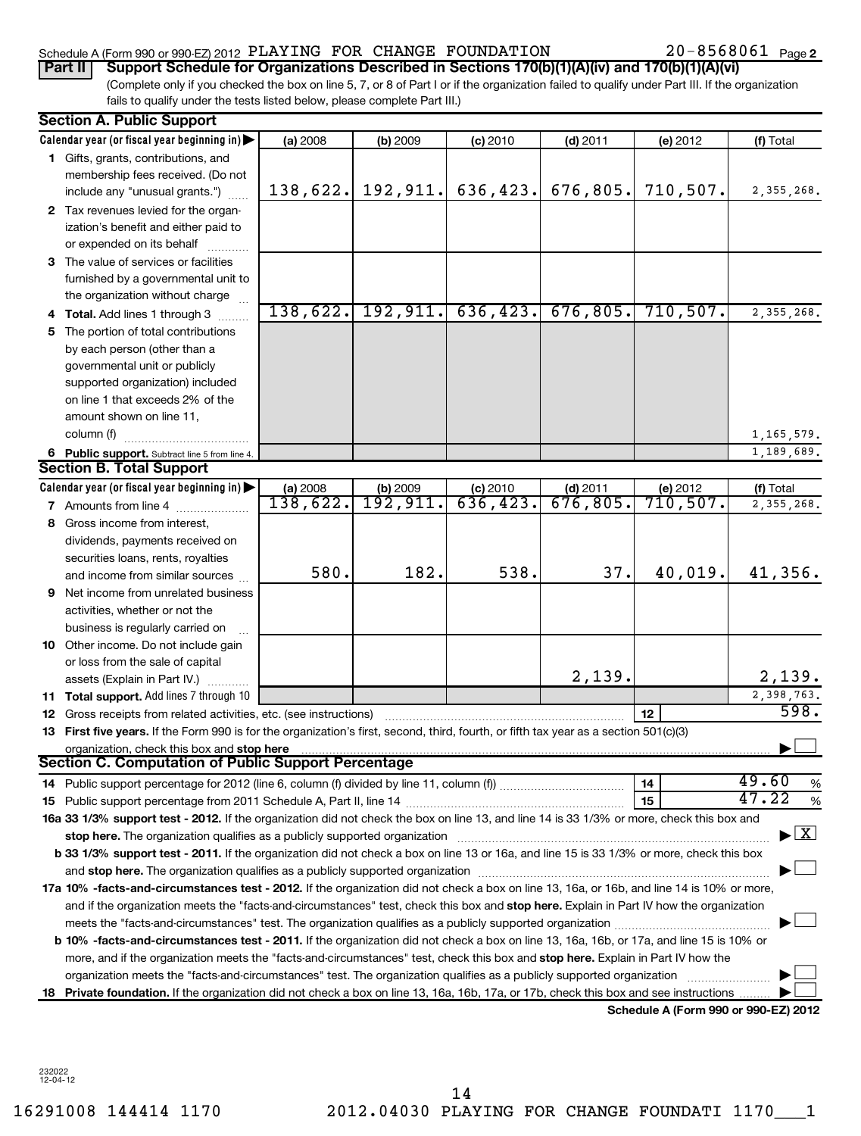# Schedule A (Form 990 or 990-EZ) 2012  $\rm\,PLAYING$   $\rm\,FOR$   $\rm\,CHANGE$   $\rm\,FOUNDATION$  20-8568061  $\rm\,Page$

20-8568061 Page 2

(Complete only if you checked the box on line 5, 7, or 8 of Part I or if the organization failed to qualify under Part III. If the organization fails to qualify under the tests listed below, please complete Part III.) **Part II Support Schedule for Organizations Described in Sections 170(b)(1)(A)(iv) and 170(b)(1)(A)(vi)**

|   | <b>Section A. Public Support</b>                                                                                                                                                                                               |          |                           |                                |            |                                      |                                    |
|---|--------------------------------------------------------------------------------------------------------------------------------------------------------------------------------------------------------------------------------|----------|---------------------------|--------------------------------|------------|--------------------------------------|------------------------------------|
|   | Calendar year (or fiscal year beginning in)                                                                                                                                                                                    | (a) 2008 | (b) 2009                  | $(c)$ 2010                     | $(d)$ 2011 | (e) 2012                             | (f) Total                          |
|   | 1 Gifts, grants, contributions, and                                                                                                                                                                                            |          |                           |                                |            |                                      |                                    |
|   | membership fees received. (Do not                                                                                                                                                                                              |          |                           |                                |            |                                      |                                    |
|   | include any "unusual grants.")                                                                                                                                                                                                 | 138,622. |                           | $192, 911.$ 636, 423.          | 676,805.   | 710,507.                             | 2, 355, 268.                       |
|   | 2 Tax revenues levied for the organ-                                                                                                                                                                                           |          |                           |                                |            |                                      |                                    |
|   | ization's benefit and either paid to                                                                                                                                                                                           |          |                           |                                |            |                                      |                                    |
|   | or expended on its behalf                                                                                                                                                                                                      |          |                           |                                |            |                                      |                                    |
|   | 3 The value of services or facilities                                                                                                                                                                                          |          |                           |                                |            |                                      |                                    |
|   | furnished by a governmental unit to                                                                                                                                                                                            |          |                           |                                |            |                                      |                                    |
|   | the organization without charge                                                                                                                                                                                                |          |                           |                                |            |                                      |                                    |
|   | <b>Total.</b> Add lines 1 through 3                                                                                                                                                                                            |          |                           | $138,622.$ 192, 911. 636, 423. | 676,805.   | 710, 507.                            | 2,355,268.                         |
|   | 5 The portion of total contributions                                                                                                                                                                                           |          |                           |                                |            |                                      |                                    |
|   | by each person (other than a                                                                                                                                                                                                   |          |                           |                                |            |                                      |                                    |
|   | governmental unit or publicly                                                                                                                                                                                                  |          |                           |                                |            |                                      |                                    |
|   | supported organization) included                                                                                                                                                                                               |          |                           |                                |            |                                      |                                    |
|   | on line 1 that exceeds 2% of the                                                                                                                                                                                               |          |                           |                                |            |                                      |                                    |
|   | amount shown on line 11,                                                                                                                                                                                                       |          |                           |                                |            |                                      |                                    |
|   | column (f)                                                                                                                                                                                                                     |          |                           |                                |            |                                      | 1, 165, 579.                       |
|   | 6 Public support. Subtract line 5 from line 4.                                                                                                                                                                                 |          |                           |                                |            |                                      | 1,189,689.                         |
|   | <b>Section B. Total Support</b>                                                                                                                                                                                                |          |                           |                                |            |                                      |                                    |
|   | Calendar year (or fiscal year beginning in)                                                                                                                                                                                    | (a) 2008 | $\frac{192,909}{192,911}$ | (c) 2010                       | $(d)$ 2011 | (e) $2012$<br>710, 507.              | (f) Total                          |
|   | 7 Amounts from line 4                                                                                                                                                                                                          | 138,622. |                           | 636,423.                       | 676,805.   |                                      | 2,355,268.                         |
| 8 | Gross income from interest,                                                                                                                                                                                                    |          |                           |                                |            |                                      |                                    |
|   | dividends, payments received on                                                                                                                                                                                                |          |                           |                                |            |                                      |                                    |
|   | securities loans, rents, royalties                                                                                                                                                                                             |          |                           |                                |            |                                      |                                    |
|   | and income from similar sources                                                                                                                                                                                                | 580.     | 182.                      | 538.                           | 37.        | 40,019.                              | 41,356.                            |
| 9 | Net income from unrelated business                                                                                                                                                                                             |          |                           |                                |            |                                      |                                    |
|   | activities, whether or not the                                                                                                                                                                                                 |          |                           |                                |            |                                      |                                    |
|   | business is regularly carried on                                                                                                                                                                                               |          |                           |                                |            |                                      |                                    |
|   | 10 Other income. Do not include gain                                                                                                                                                                                           |          |                           |                                |            |                                      |                                    |
|   | or loss from the sale of capital                                                                                                                                                                                               |          |                           |                                |            |                                      |                                    |
|   | assets (Explain in Part IV.)                                                                                                                                                                                                   |          |                           |                                | 2,139.     |                                      | 2,139.                             |
|   | 11 Total support. Add lines 7 through 10                                                                                                                                                                                       |          |                           |                                |            |                                      | 2,398,763.<br>598.                 |
|   | 12 Gross receipts from related activities, etc. (see instructions)                                                                                                                                                             |          |                           |                                |            | 12                                   |                                    |
|   | 13 First five years. If the Form 990 is for the organization's first, second, third, fourth, or fifth tax year as a section 501(c)(3)                                                                                          |          |                           |                                |            |                                      |                                    |
|   | organization, check this box and stop here<br><b>Section C. Computation of Public Support Percentage</b>                                                                                                                       |          |                           |                                |            |                                      |                                    |
|   |                                                                                                                                                                                                                                |          |                           |                                |            | 14                                   | 49.60                              |
|   |                                                                                                                                                                                                                                |          |                           |                                |            | 15                                   | %<br>47.22<br>%                    |
|   | 16a 33 1/3% support test - 2012. If the organization did not check the box on line 13, and line 14 is 33 1/3% or more, check this box and                                                                                      |          |                           |                                |            |                                      |                                    |
|   | stop here. The organization qualifies as a publicly supported organization manufaction contains and the organization of the state of the state of the state of the state of the state of the state of the state of the state o |          |                           |                                |            |                                      | $\blacktriangleright$ $\mathbf{X}$ |
|   | b 33 1/3% support test - 2011. If the organization did not check a box on line 13 or 16a, and line 15 is 33 1/3% or more, check this box                                                                                       |          |                           |                                |            |                                      |                                    |
|   |                                                                                                                                                                                                                                |          |                           |                                |            |                                      |                                    |
|   | 17a 10% -facts-and-circumstances test - 2012. If the organization did not check a box on line 13, 16a, or 16b, and line 14 is 10% or more,                                                                                     |          |                           |                                |            |                                      |                                    |
|   | and if the organization meets the "facts-and-circumstances" test, check this box and stop here. Explain in Part IV how the organization                                                                                        |          |                           |                                |            |                                      |                                    |
|   | meets the "facts-and-circumstances" test. The organization qualifies as a publicly supported organization <i>[[[[[[[[]]</i>                                                                                                    |          |                           |                                |            |                                      |                                    |
|   | b 10% -facts-and-circumstances test - 2011. If the organization did not check a box on line 13, 16a, 16b, or 17a, and line 15 is 10% or                                                                                        |          |                           |                                |            |                                      |                                    |
|   | more, and if the organization meets the "facts-and-circumstances" test, check this box and stop here. Explain in Part IV how the                                                                                               |          |                           |                                |            |                                      |                                    |
|   | organization meets the "facts-and-circumstances" test. The organization qualifies as a publicly supported organization                                                                                                         |          |                           |                                |            |                                      |                                    |
|   | 18 Private foundation. If the organization did not check a box on line 13, 16a, 16b, 17a, or 17b, check this box and see instructions                                                                                          |          |                           |                                |            |                                      |                                    |
|   |                                                                                                                                                                                                                                |          |                           |                                |            | Schedule A (Form 990 or 990-EZ) 2012 |                                    |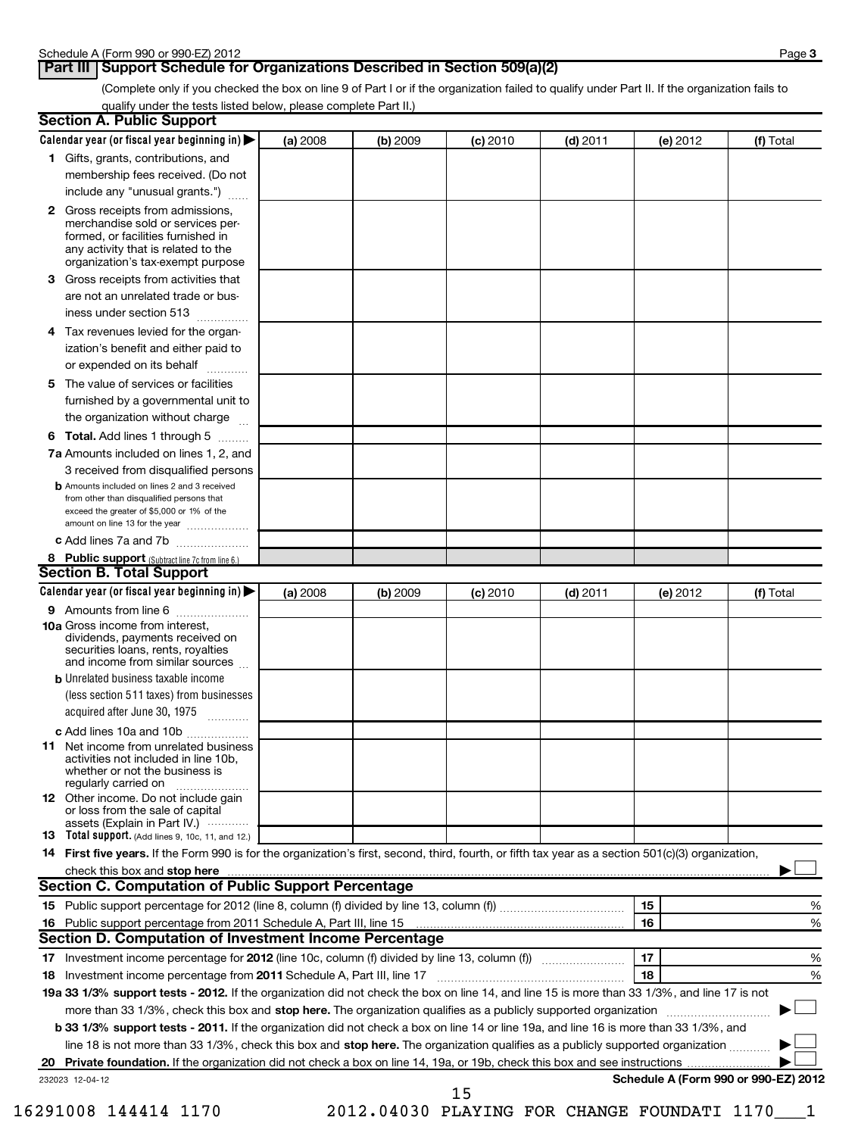### **Part III Support Schedule for Organizations Described in Section 509(a)(2)**

(Complete only if you checked the box on line 9 of Part I or if the organization failed to qualify under Part II. If the organization fails to qualify under the tests listed below, please complete Part II.)

| <b>Section A. Public Support</b>                                                                                                                                                                                               |          |          |            |            |                                      |           |
|--------------------------------------------------------------------------------------------------------------------------------------------------------------------------------------------------------------------------------|----------|----------|------------|------------|--------------------------------------|-----------|
| Calendar year (or fiscal year beginning in)                                                                                                                                                                                    | (a) 2008 | (b) 2009 | $(c)$ 2010 | $(d)$ 2011 | (e) 2012                             | (f) Total |
| 1 Gifts, grants, contributions, and                                                                                                                                                                                            |          |          |            |            |                                      |           |
| membership fees received. (Do not                                                                                                                                                                                              |          |          |            |            |                                      |           |
| include any "unusual grants.")                                                                                                                                                                                                 |          |          |            |            |                                      |           |
| <b>2</b> Gross receipts from admissions,<br>merchandise sold or services per-<br>formed, or facilities furnished in<br>any activity that is related to the<br>organization's tax-exempt purpose                                |          |          |            |            |                                      |           |
| 3 Gross receipts from activities that<br>are not an unrelated trade or bus-                                                                                                                                                    |          |          |            |            |                                      |           |
| iness under section 513                                                                                                                                                                                                        |          |          |            |            |                                      |           |
| Tax revenues levied for the organ-<br>4<br>ization's benefit and either paid to                                                                                                                                                |          |          |            |            |                                      |           |
| or expended on its behalf                                                                                                                                                                                                      |          |          |            |            |                                      |           |
| 5 The value of services or facilities<br>furnished by a governmental unit to<br>the organization without charge                                                                                                                |          |          |            |            |                                      |           |
| <b>6 Total.</b> Add lines 1 through 5                                                                                                                                                                                          |          |          |            |            |                                      |           |
| 7a Amounts included on lines 1, 2, and<br>3 received from disqualified persons                                                                                                                                                 |          |          |            |            |                                      |           |
| <b>b</b> Amounts included on lines 2 and 3 received<br>from other than disqualified persons that<br>exceed the greater of \$5,000 or 1% of the<br>amount on line 13 for the year                                               |          |          |            |            |                                      |           |
| c Add lines 7a and 7b                                                                                                                                                                                                          |          |          |            |            |                                      |           |
| 8 Public support (Subtract line 7c from line 6.)                                                                                                                                                                               |          |          |            |            |                                      |           |
| <b>Section B. Total Support</b>                                                                                                                                                                                                |          |          |            |            |                                      |           |
| Calendar year (or fiscal year beginning in)                                                                                                                                                                                    | (a) 2008 | (b) 2009 | (c) 2010   | $(d)$ 2011 | (e) 2012                             | (f) Total |
| <b>9</b> Amounts from line 6                                                                                                                                                                                                   |          |          |            |            |                                      |           |
| <b>10a</b> Gross income from interest,<br>dividends, payments received on<br>securities loans, rents, royalties<br>and income from similar sources                                                                             |          |          |            |            |                                      |           |
| <b>b</b> Unrelated business taxable income                                                                                                                                                                                     |          |          |            |            |                                      |           |
| (less section 511 taxes) from businesses<br>acquired after June 30, 1975<br>$\overline{\phantom{a}}$                                                                                                                           |          |          |            |            |                                      |           |
| c Add lines 10a and 10b                                                                                                                                                                                                        |          |          |            |            |                                      |           |
| <b>11</b> Net income from unrelated business<br>activities not included in line 10b,<br>whether or not the business is<br>regularly carried on                                                                                 |          |          |            |            |                                      |           |
| 12 Other income. Do not include gain<br>or loss from the sale of capital<br>assets (Explain in Part IV.)                                                                                                                       |          |          |            |            |                                      |           |
| <b>13</b> Total support. (Add lines 9, 10c, 11, and 12.)                                                                                                                                                                       |          |          |            |            |                                      |           |
| 14 First five years. If the Form 990 is for the organization's first, second, third, fourth, or fifth tax year as a section 501(c)(3) organization,                                                                            |          |          |            |            |                                      |           |
| check this box and stop here manufactured and content to the state of the state of the state of the state of the state of the state of the state of the state of the state of the state of the state of the state of the state |          |          |            |            |                                      |           |
| Section C. Computation of Public Support Percentage                                                                                                                                                                            |          |          |            |            |                                      |           |
|                                                                                                                                                                                                                                |          |          |            |            | 15                                   | %         |
| Section D. Computation of Investment Income Percentage                                                                                                                                                                         |          |          |            |            | 16                                   | %         |
|                                                                                                                                                                                                                                |          |          |            |            | 17                                   |           |
| 18 Investment income percentage from 2011 Schedule A, Part III, line 17                                                                                                                                                        |          |          |            |            | 18                                   | %<br>%    |
| 19a 33 1/3% support tests - 2012. If the organization did not check the box on line 14, and line 15 is more than 33 1/3%, and line 17 is not                                                                                   |          |          |            |            |                                      |           |
| more than 33 1/3%, check this box and stop here. The organization qualifies as a publicly supported organization                                                                                                               |          |          |            |            |                                      |           |
| b 33 1/3% support tests - 2011. If the organization did not check a box on line 14 or line 19a, and line 16 is more than 33 1/3%, and                                                                                          |          |          |            |            |                                      |           |
| line 18 is not more than 33 1/3%, check this box and stop here. The organization qualifies as a publicly supported organization                                                                                                |          |          |            |            |                                      |           |
| 20                                                                                                                                                                                                                             |          |          |            |            |                                      |           |
| 232023 12-04-12                                                                                                                                                                                                                |          |          |            |            | Schedule A (Form 990 or 990-EZ) 2012 |           |
|                                                                                                                                                                                                                                |          |          | 15         |            |                                      |           |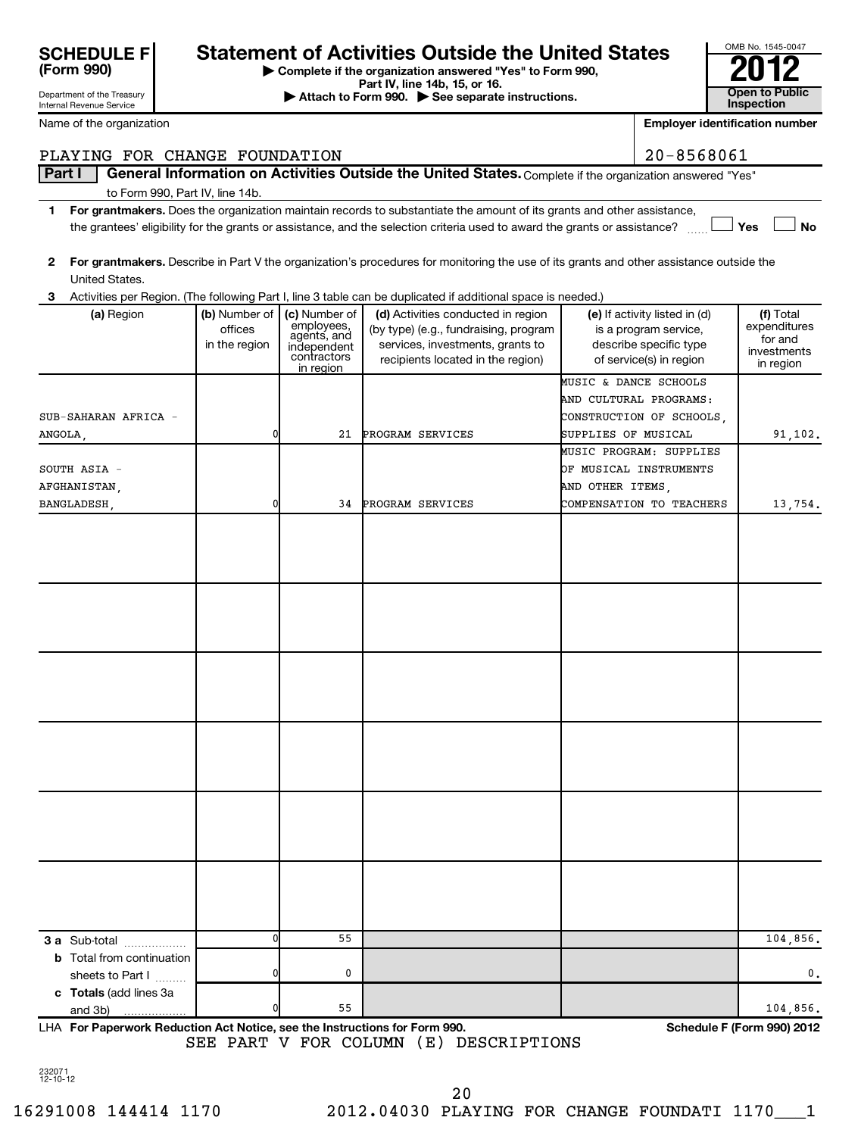| SCHEDULE F<br>(Form 990) |  |
|--------------------------|--|

Department of the Treasury

# **Statement of Activities Outside the United States**

**| Complete if the organization answered "Yes" to Form 990,**

**Part IV, line 14b, 15, or 16. and Separate instructions.** The Attach to Form 990. All See separate instructions. **The Conduction of the See Separate instructions.** The See Separate instructions. The See Separate instruc

| OMB No. 1545-0047                   |
|-------------------------------------|
| - 1<br><b>10</b>                    |
| <b>Open to Public</b><br>Inspection |

| Internal Revenue Service                   |                                                                                                                                                                                                                                                           |                                                                                       |                                                                                                                                                      |                     |                                                                                                             | Inspection                                                       |  |  |  |  |
|--------------------------------------------|-----------------------------------------------------------------------------------------------------------------------------------------------------------------------------------------------------------------------------------------------------------|---------------------------------------------------------------------------------------|------------------------------------------------------------------------------------------------------------------------------------------------------|---------------------|-------------------------------------------------------------------------------------------------------------|------------------------------------------------------------------|--|--|--|--|
| Name of the organization                   |                                                                                                                                                                                                                                                           |                                                                                       |                                                                                                                                                      |                     | <b>Employer identification number</b>                                                                       |                                                                  |  |  |  |  |
| PLAYING FOR CHANGE FOUNDATION              |                                                                                                                                                                                                                                                           |                                                                                       |                                                                                                                                                      |                     | 20-8568061                                                                                                  |                                                                  |  |  |  |  |
| Part I                                     |                                                                                                                                                                                                                                                           |                                                                                       | General Information on Activities Outside the United States. Complete if the organization answered "Yes"                                             |                     |                                                                                                             |                                                                  |  |  |  |  |
| to Form 990, Part IV, line 14b.            |                                                                                                                                                                                                                                                           |                                                                                       |                                                                                                                                                      |                     |                                                                                                             |                                                                  |  |  |  |  |
|                                            | For grantmakers. Does the organization maintain records to substantiate the amount of its grants and other assistance,<br>1<br>the grantees' eligibility for the grants or assistance, and the selection criteria used to award the grants or assistance? |                                                                                       |                                                                                                                                                      |                     |                                                                                                             |                                                                  |  |  |  |  |
|                                            |                                                                                                                                                                                                                                                           |                                                                                       |                                                                                                                                                      |                     |                                                                                                             | Yes<br><b>No</b>                                                 |  |  |  |  |
| 2<br>United States.                        |                                                                                                                                                                                                                                                           |                                                                                       | For grantmakers. Describe in Part V the organization's procedures for monitoring the use of its grants and other assistance outside the              |                     |                                                                                                             |                                                                  |  |  |  |  |
| 3                                          |                                                                                                                                                                                                                                                           |                                                                                       | Activities per Region. (The following Part I, line 3 table can be duplicated if additional space is needed.)                                         |                     |                                                                                                             |                                                                  |  |  |  |  |
| (a) Region                                 | (b) Number of<br>offices<br>in the region                                                                                                                                                                                                                 | (c) Number of<br>employees,<br>agents, and<br>independent<br>contractors<br>in region | (d) Activities conducted in region<br>(by type) (e.g., fundraising, program<br>services, investments, grants to<br>recipients located in the region) |                     | (e) If activity listed in (d)<br>is a program service,<br>describe specific type<br>of service(s) in region | (f) Total<br>expenditures<br>for and<br>investments<br>in region |  |  |  |  |
|                                            |                                                                                                                                                                                                                                                           |                                                                                       |                                                                                                                                                      |                     | MUSIC & DANCE SCHOOLS                                                                                       |                                                                  |  |  |  |  |
|                                            |                                                                                                                                                                                                                                                           |                                                                                       |                                                                                                                                                      |                     | AND CULTURAL PROGRAMS:                                                                                      |                                                                  |  |  |  |  |
| SUB-SAHARAN AFRICA -                       |                                                                                                                                                                                                                                                           |                                                                                       |                                                                                                                                                      |                     | CONSTRUCTION OF SCHOOLS.                                                                                    |                                                                  |  |  |  |  |
| ANGOLA,                                    | 0                                                                                                                                                                                                                                                         | 21                                                                                    | PROGRAM SERVICES                                                                                                                                     | SUPPLIES OF MUSICAL | MUSIC PROGRAM: SUPPLIES                                                                                     | 91,102.                                                          |  |  |  |  |
| SOUTH ASIA -                               |                                                                                                                                                                                                                                                           |                                                                                       |                                                                                                                                                      |                     | OF MUSICAL INSTRUMENTS                                                                                      |                                                                  |  |  |  |  |
| AFGHANISTAN.                               |                                                                                                                                                                                                                                                           |                                                                                       |                                                                                                                                                      | AND OTHER ITEMS,    |                                                                                                             |                                                                  |  |  |  |  |
| BANGLADESH,                                | 0                                                                                                                                                                                                                                                         | 34                                                                                    | PROGRAM SERVICES                                                                                                                                     |                     | COMPENSATION TO TEACHERS                                                                                    | 13,754.                                                          |  |  |  |  |
|                                            |                                                                                                                                                                                                                                                           |                                                                                       |                                                                                                                                                      |                     |                                                                                                             |                                                                  |  |  |  |  |
|                                            |                                                                                                                                                                                                                                                           |                                                                                       |                                                                                                                                                      |                     |                                                                                                             |                                                                  |  |  |  |  |
| 3 a Sub-total                              | 0                                                                                                                                                                                                                                                         | 55                                                                                    |                                                                                                                                                      |                     |                                                                                                             | 104,856.                                                         |  |  |  |  |
| <b>b</b> Total from continuation           |                                                                                                                                                                                                                                                           |                                                                                       |                                                                                                                                                      |                     |                                                                                                             |                                                                  |  |  |  |  |
| sheets to Part I<br>c Totals (add lines 3a | 0                                                                                                                                                                                                                                                         | 0                                                                                     |                                                                                                                                                      |                     |                                                                                                             | $\mathbf{0}$ .                                                   |  |  |  |  |
| and 3b)                                    | 0                                                                                                                                                                                                                                                         | 55                                                                                    |                                                                                                                                                      |                     |                                                                                                             | 104,856.                                                         |  |  |  |  |

**For Paperwork Reduction Act Notice, see the Instructions for Form 990. Schedule F (Form 990) 2012** LHA SEE PART V FOR COLUMN (E) DESCRIPTIONS

232071 12-10-12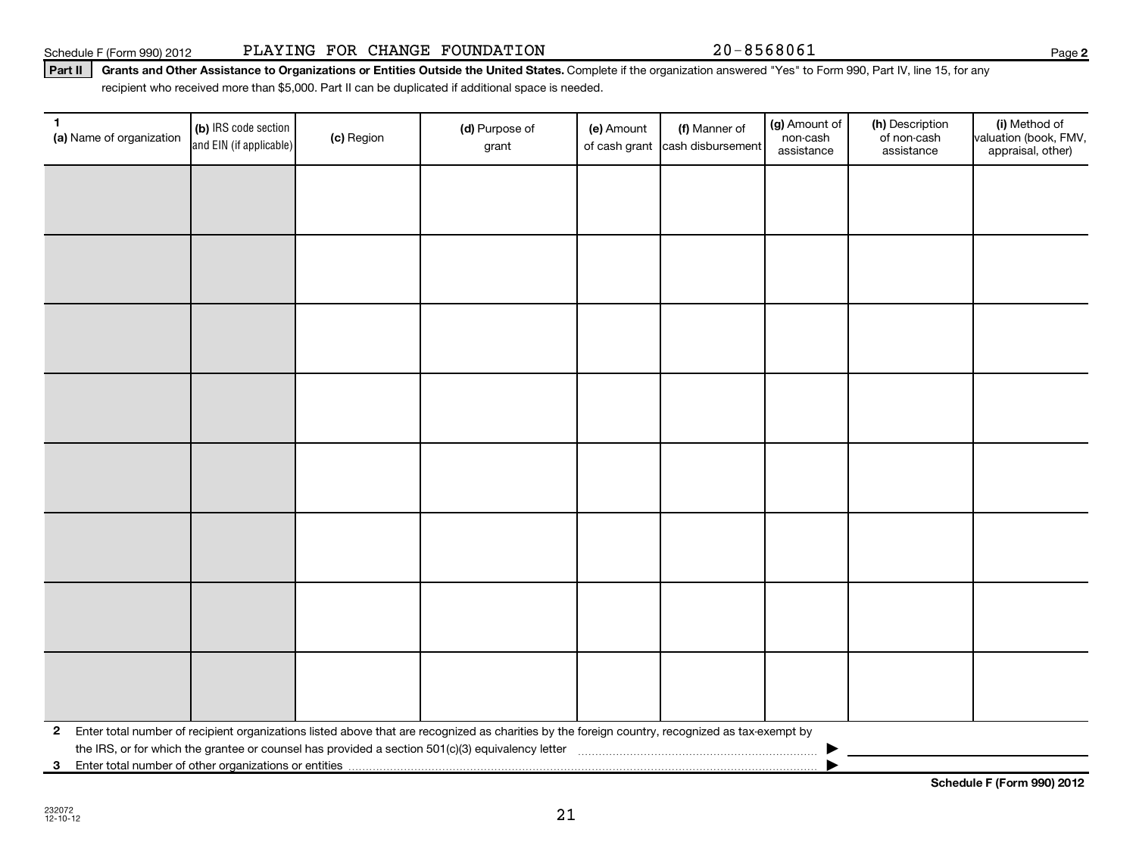**3** Enter total number of other organizations or entities |

**Schedule F (Form 990) 2012**

## Part II | Grants and Other Assistance to Organizations or Entities Outside the United States. Complete if the organization answered "Yes" to Form 990, Part IV, line 15, for any recipient who received more than \$5,000. Part II can be duplicated if additional space is needed.

| $\mathbf{1}$<br>(a) Name of organization | (b) IRS code section<br>and EIN (if applicable) | (c) Region | (d) Purpose of<br>grant                                                                                                                                                                                                                                          | (e) Amount<br>of cash grant | (f) Manner of<br>cash disbursement | (g) Amount of<br>non-cash<br>assistance | (h) Description<br>of non-cash<br>assistance | (i) Method of<br>valuation (book, FMV,<br>appraisal, other) |
|------------------------------------------|-------------------------------------------------|------------|------------------------------------------------------------------------------------------------------------------------------------------------------------------------------------------------------------------------------------------------------------------|-----------------------------|------------------------------------|-----------------------------------------|----------------------------------------------|-------------------------------------------------------------|
|                                          |                                                 |            |                                                                                                                                                                                                                                                                  |                             |                                    |                                         |                                              |                                                             |
|                                          |                                                 |            |                                                                                                                                                                                                                                                                  |                             |                                    |                                         |                                              |                                                             |
|                                          |                                                 |            |                                                                                                                                                                                                                                                                  |                             |                                    |                                         |                                              |                                                             |
|                                          |                                                 |            |                                                                                                                                                                                                                                                                  |                             |                                    |                                         |                                              |                                                             |
|                                          |                                                 |            |                                                                                                                                                                                                                                                                  |                             |                                    |                                         |                                              |                                                             |
|                                          |                                                 |            |                                                                                                                                                                                                                                                                  |                             |                                    |                                         |                                              |                                                             |
|                                          |                                                 |            |                                                                                                                                                                                                                                                                  |                             |                                    |                                         |                                              |                                                             |
|                                          |                                                 |            |                                                                                                                                                                                                                                                                  |                             |                                    |                                         |                                              |                                                             |
|                                          |                                                 |            |                                                                                                                                                                                                                                                                  |                             |                                    |                                         |                                              |                                                             |
| $\mathbf{2}$                             |                                                 |            | Enter total number of recipient organizations listed above that are recognized as charities by the foreign country, recognized as tax-exempt by<br>the IRS, or for which the grantee or counsel has provided a section 501(c)(3) equivalency letter [[[[[[[[[[[[ |                             |                                    |                                         |                                              |                                                             |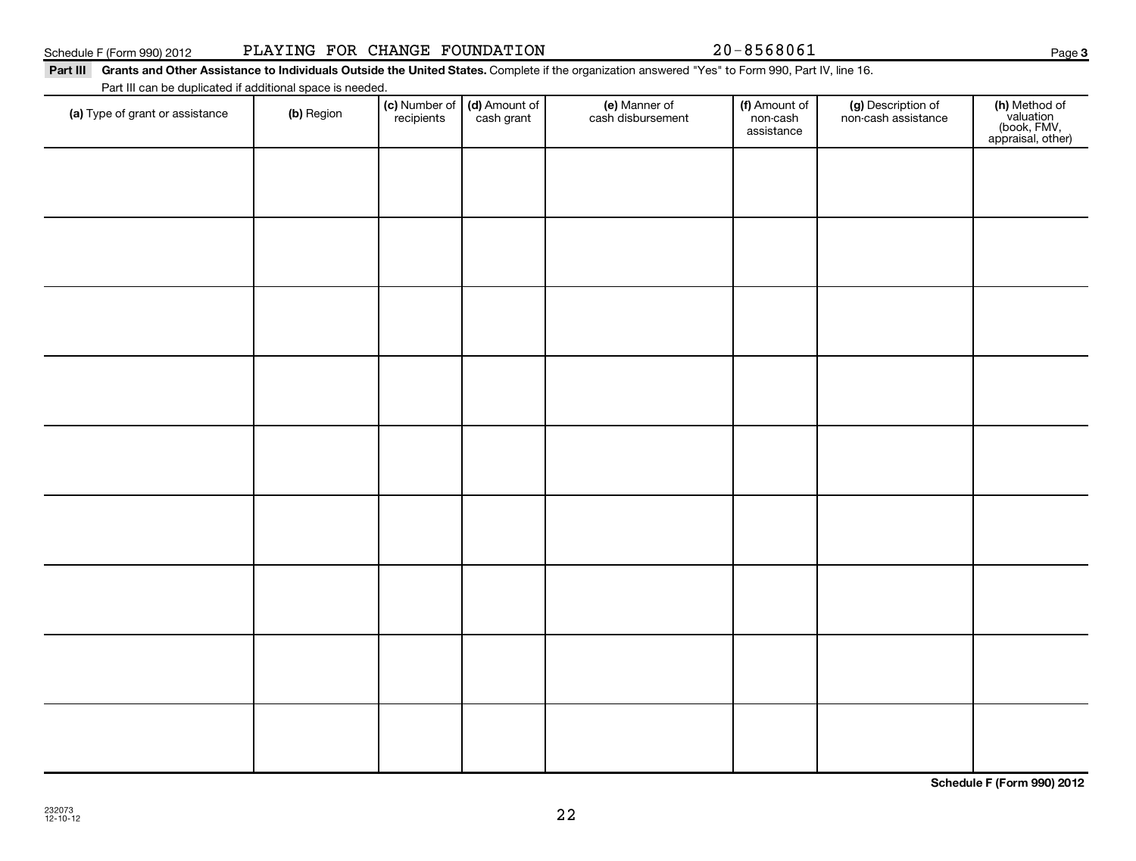**Schedule F (Form 990) 2012**

22

| (a) Type of grant or assistance | (b) Region | (c) Number of<br>recipients | (d) Amount of<br>cash grant | (e) Manner of<br>cash disbursement | (f) Amount of<br>non-cash<br>assistance | (g) Description of<br>non-cash assistance | (h) Method of<br>valuation<br>(book, FMV,<br>appraisal, other) |
|---------------------------------|------------|-----------------------------|-----------------------------|------------------------------------|-----------------------------------------|-------------------------------------------|----------------------------------------------------------------|
|                                 |            |                             |                             |                                    |                                         |                                           |                                                                |
|                                 |            |                             |                             |                                    |                                         |                                           |                                                                |
|                                 |            |                             |                             |                                    |                                         |                                           |                                                                |
|                                 |            |                             |                             |                                    |                                         |                                           |                                                                |
|                                 |            |                             |                             |                                    |                                         |                                           |                                                                |
|                                 |            |                             |                             |                                    |                                         |                                           |                                                                |
|                                 |            |                             |                             |                                    |                                         |                                           |                                                                |
|                                 |            |                             |                             |                                    |                                         |                                           |                                                                |
|                                 |            |                             |                             |                                    |                                         |                                           |                                                                |
|                                 |            |                             |                             |                                    |                                         |                                           |                                                                |
|                                 |            |                             |                             |                                    |                                         |                                           |                                                                |

# Schedule F (Form 990) 2012 PLAYING FOR CHANGE FOUNDATION 20-8568061 Page

Part III Grants and Other Assistance to Individuals Outside the United States. Complete if the organization answered "Yes" to Form 990, Part IV, line 16.

Part III can be duplicated if additional space is needed.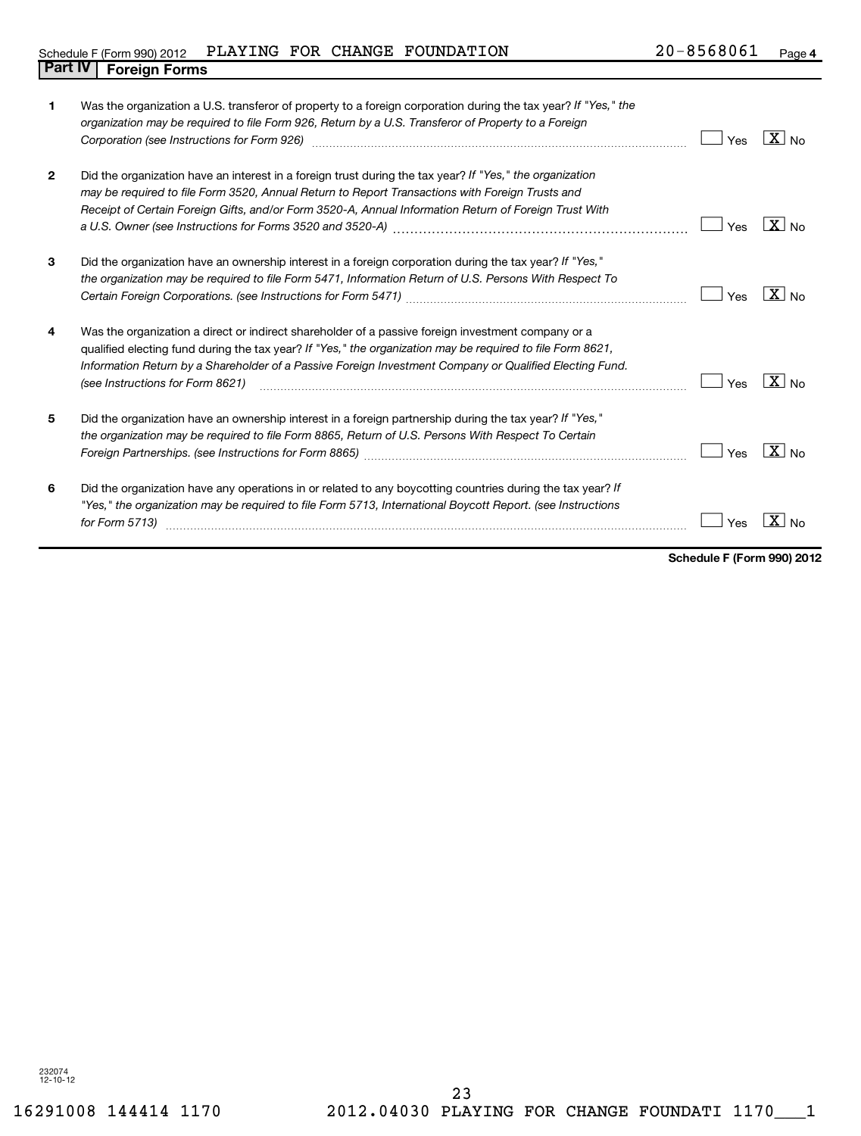# Schedule F (Form 990) 2012 PLAYING FOR CHANGE FOUNDATION  $20-8568061$  Page **Part IV Foreign Forms**

| 1            | Was the organization a U.S. transferor of property to a foreign corporation during the tax year? If "Yes," the<br>organization may be required to file Form 926, Return by a U.S. Transferor of Property to a Foreign<br>Corporation (see Instructions for Form 926) [11] Corporation (2015) [12] Corporation (see Instructions for Form 926)                   | Yes | $ X _{\text{No}}$ |
|--------------|-----------------------------------------------------------------------------------------------------------------------------------------------------------------------------------------------------------------------------------------------------------------------------------------------------------------------------------------------------------------|-----|-------------------|
| $\mathbf{2}$ | Did the organization have an interest in a foreign trust during the tax year? If "Yes," the organization<br>may be required to file Form 3520, Annual Return to Report Transactions with Foreign Trusts and<br>Receipt of Certain Foreign Gifts, and/or Form 3520-A, Annual Information Return of Foreign Trust With                                            | Yes | $ X _{\sf No}$    |
| 3            | Did the organization have an ownership interest in a foreign corporation during the tax year? If "Yes,"<br>the organization may be required to file Form 5471, Information Return of U.S. Persons With Respect To                                                                                                                                               | Yes | $X _{N_Q}$        |
| 4            | Was the organization a direct or indirect shareholder of a passive foreign investment company or a<br>qualified electing fund during the tax year? If "Yes," the organization may be required to file Form 8621,<br>Information Return by a Shareholder of a Passive Foreign Investment Company or Qualified Electing Fund.<br>(see Instructions for Form 8621) | Yes | $\sqrt{X}$ No     |
| 5            | Did the organization have an ownership interest in a foreign partnership during the tax year? If "Yes,"<br>the organization may be required to file Form 8865, Return of U.S. Persons With Respect To Certain                                                                                                                                                   | Yes | $X_{N0}$          |
| 6            | Did the organization have any operations in or related to any boycotting countries during the tax year? If<br>"Yes," the organization may be required to file Form 5713, International Boycott Report. (see Instructions<br>for Form 5713)                                                                                                                      | Yes |                   |

**Schedule F (Form 990) 2012**

232074 12-10-12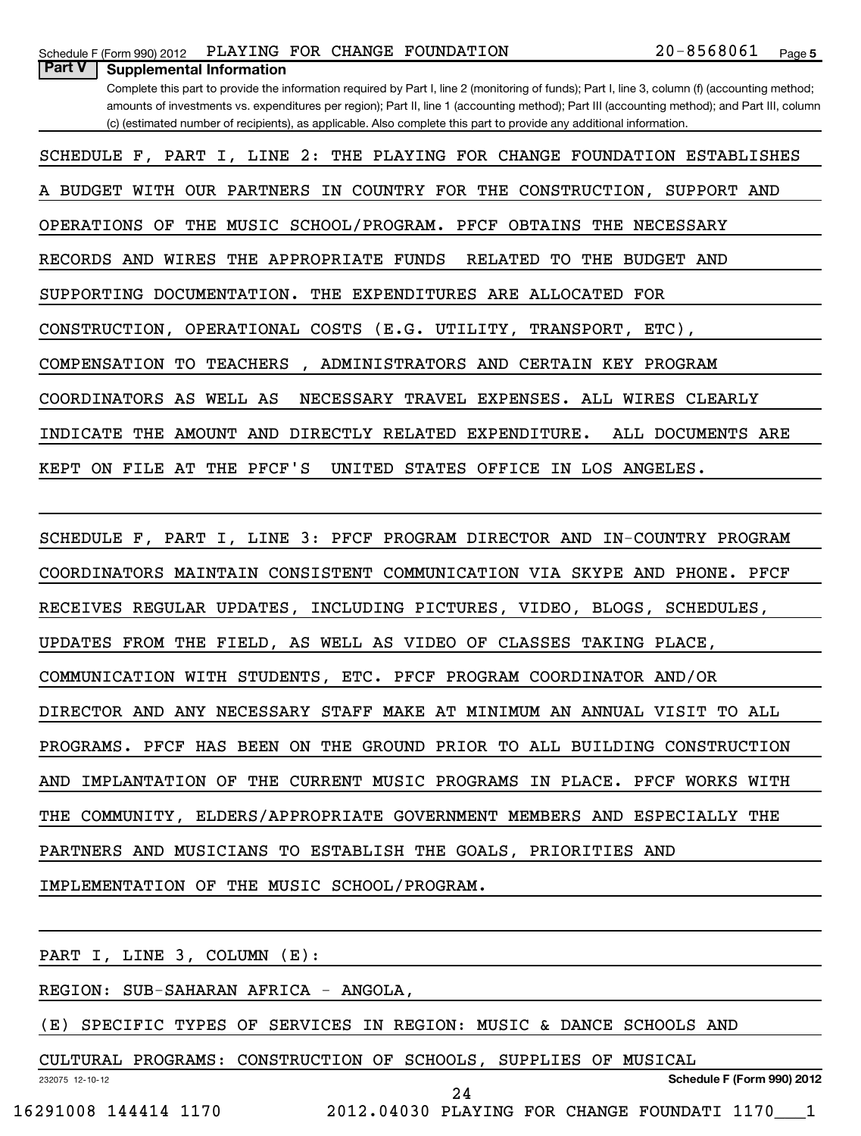| PLAYING FOR CHANGE FOUNDATION<br>Schedule F (Form 990) 2012                                                                                    | 20-8568061<br>Page 5 |  |
|------------------------------------------------------------------------------------------------------------------------------------------------|----------------------|--|
| <b>Part V</b><br><b>Supplemental Information</b>                                                                                               |                      |  |
| Complete this part to provide the information required by Part I, line 2 (monitoring of funds); Part I, line 3, column (f) (accounting method; |                      |  |
| amounts of investments vs. expenditures per region); Part II, line 1 (accounting method); Part III (accounting method); and Part III, column   |                      |  |
| (c) (estimated number of recipients), as applicable. Also complete this part to provide any additional information.                            |                      |  |
| SCHEDULE F, PART I, LINE 2: THE PLAYING FOR CHANGE FOUNDATION ESTABLISHES                                                                      |                      |  |
| A BUDGET WITH OUR PARTNERS IN COUNTRY FOR THE CONSTRUCTION,                                                                                    | SUPPORT AND          |  |
| THE MUSIC SCHOOL/PROGRAM. PFCF OBTAINS THE NECESSARY<br>OPERATIONS OF                                                                          |                      |  |
| RECORDS AND WIRES THE APPROPRIATE FUNDS<br>RELATED<br>TO.                                                                                      | THE BUDGET AND       |  |
| THE EXPENDITURES ARE ALLOCATED<br>SUPPORTING<br>DOCUMENTATION.                                                                                 | FOR                  |  |
| CONSTRUCTION, OPERATIONAL COSTS (E.G. UTILITY, TRANSPORT, ETC),                                                                                |                      |  |
| COMPENSATION TO TEACHERS<br>ADMINISTRATORS AND CERTAIN KEY PROGRAM                                                                             |                      |  |
| COORDINATORS AS WELL AS<br>NECESSARY TRAVEL<br>EXPENSES. ALL WIRES                                                                             | CLEARLY              |  |
| AMOUNT AND<br>DIRECTLY RELATED<br>EXPENDITURE.<br>INDICATE THE                                                                                 | ALL DOCUMENTS ARE    |  |
| ON FILE AT THE PFCF'S<br>UNITED<br><b>STATES</b><br>OFFICE<br>IN LOS<br>KEPT                                                                   | ANGELES.             |  |
|                                                                                                                                                |                      |  |

SCHEDULE F, PART I, LINE 3: PFCF PROGRAM DIRECTOR AND IN-COUNTRY PROGRAM COORDINATORS MAINTAIN CONSISTENT COMMUNICATION VIA SKYPE AND PHONE. PFCF RECEIVES REGULAR UPDATES, INCLUDING PICTURES, VIDEO, BLOGS, SCHEDULES, UPDATES FROM THE FIELD, AS WELL AS VIDEO OF CLASSES TAKING PLACE, COMMUNICATION WITH STUDENTS, ETC. PFCF PROGRAM COORDINATOR AND/OR DIRECTOR AND ANY NECESSARY STAFF MAKE AT MINIMUM AN ANNUAL VISIT TO ALL PROGRAMS. PFCF HAS BEEN ON THE GROUND PRIOR TO ALL BUILDING CONSTRUCTION AND IMPLANTATION OF THE CURRENT MUSIC PROGRAMS IN PLACE. PFCF WORKS WITH THE COMMUNITY, ELDERS/APPROPRIATE GOVERNMENT MEMBERS AND ESPECIALLY THE PARTNERS AND MUSICIANS TO ESTABLISH THE GOALS, PRIORITIES AND IMPLEMENTATION OF THE MUSIC SCHOOL/PROGRAM.

232075 12-10-12 **Schedule F (Form 990) 2012** PART I, LINE 3, COLUMN (E): REGION: SUB-SAHARAN AFRICA - ANGOLA, (E) SPECIFIC TYPES OF SERVICES IN REGION: MUSIC & DANCE SCHOOLS AND CULTURAL PROGRAMS: CONSTRUCTION OF SCHOOLS, SUPPLIES OF MUSICAL 16291008 144414 1170 2012.04030 PLAYING FOR CHANGE FOUNDATI 1170\_\_\_1 24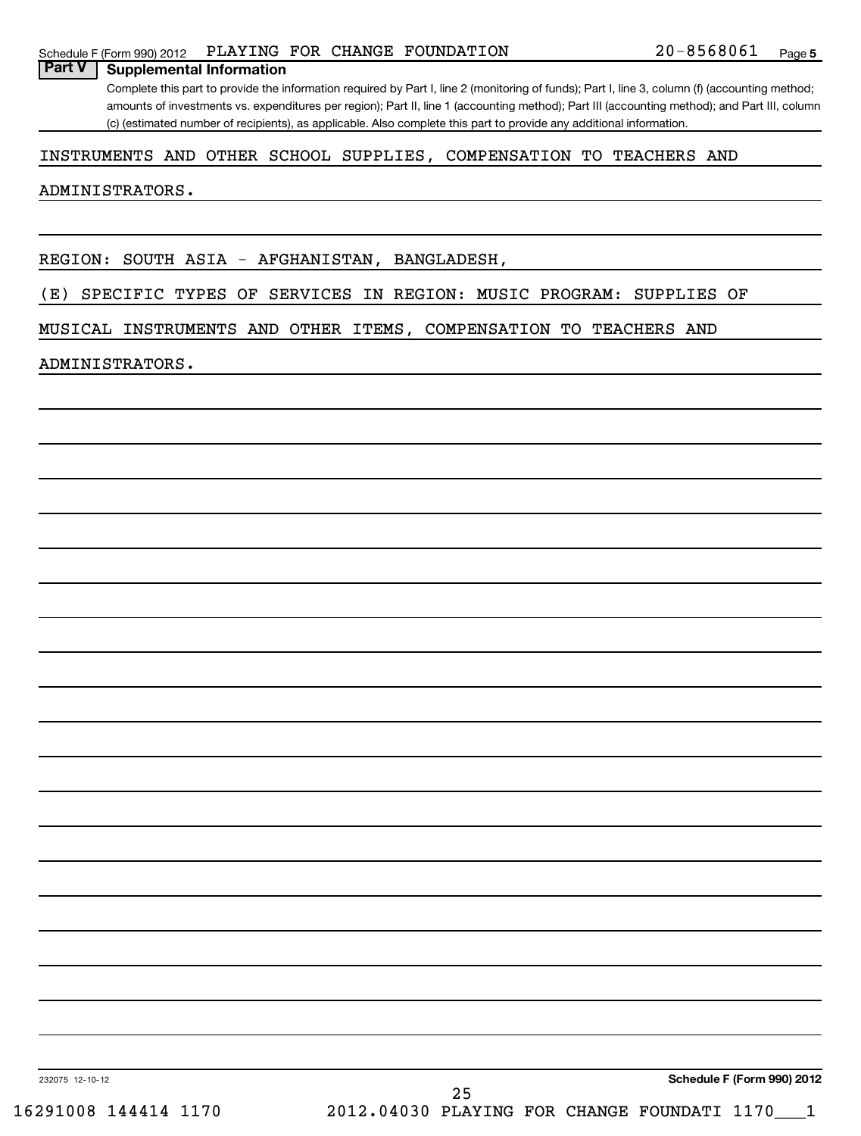### Schedule F (Form 990) 2012 PLAYING FOR CHANGE FOUNDATION  $20-8568061$  Page

Complete this part to provide the information required by Part I, line 2 (monitoring of funds); Part I, line 3, column (f) (accounting method; amounts of investments vs. expenditures per region); Part II, line 1 (accounting method); Part III (accounting method); and Part III, column (c) (estimated number of recipients), as applicable. Also complete this part to provide any additional information.

### INSTRUMENTS AND OTHER SCHOOL SUPPLIES, COMPENSATION TO TEACHERS AND

### ADMINISTRATORS.

**Part V Supplemental Information**

REGION: SOUTH ASIA - AFGHANISTAN, BANGLADESH,

(E) SPECIFIC TYPES OF SERVICES IN REGION: MUSIC PROGRAM: SUPPLIES OF

MUSICAL INSTRUMENTS AND OTHER ITEMS, COMPENSATION TO TEACHERS AND

### ADMINISTRATORS.

232075 12-10-12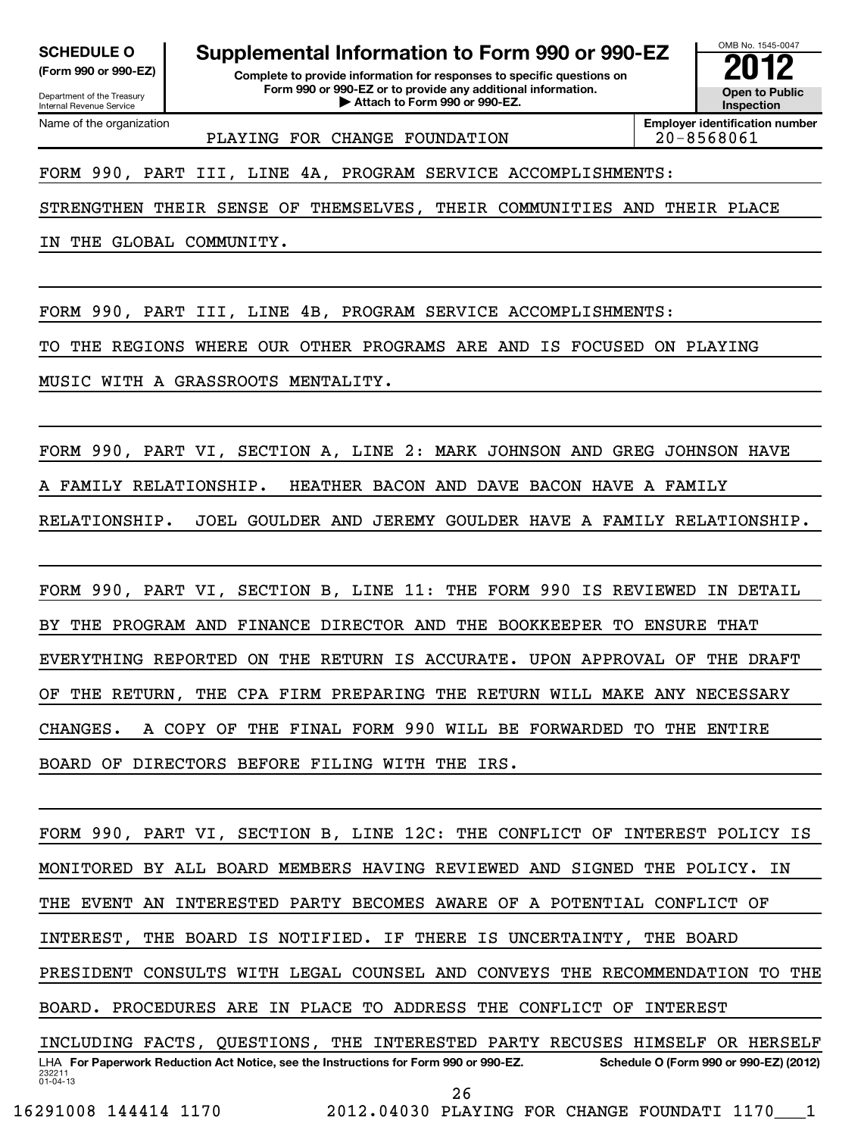Name of the organization

**SCHEDULE O Supplemental Information to Form 990 or 990-EZ 2012**

Department of the Treasury Internal Revenue Service

**(Form 990 or 990-EZ) Complete to provide information for responses to specific questions on Form 990 or 990-EZ or to provide any additional information.** <del>U</del> Open to Provide any additional information. <br>
→ Attach to Form 990 or 990-EZ.

**Inspection**

OMB No. 1545-0047

PLAYING FOR CHANGE FOUNDATION | 20-8568061

**Employer identification number**

FORM 990, PART III, LINE 4A, PROGRAM SERVICE ACCOMPLISHMENTS:

STRENGTHEN THEIR SENSE OF THEMSELVES, THEIR COMMUNITIES AND THEIR PLACE

IN THE GLOBAL COMMUNITY.

FORM 990, PART III, LINE 4B, PROGRAM SERVICE ACCOMPLISHMENTS:

TO THE REGIONS WHERE OUR OTHER PROGRAMS ARE AND IS FOCUSED ON PLAYING

MUSIC WITH A GRASSROOTS MENTALITY.

FORM 990, PART VI, SECTION A, LINE 2: MARK JOHNSON AND GREG JOHNSON HAVE A FAMILY RELATIONSHIP. HEATHER BACON AND DAVE BACON HAVE A FAMILY RELATIONSHIP. JOEL GOULDER AND JEREMY GOULDER HAVE A FAMILY RELATIONSHIP.

FORM 990, PART VI, SECTION B, LINE 11: THE FORM 990 IS REVIEWED IN DETAIL BY THE PROGRAM AND FINANCE DIRECTOR AND THE BOOKKEEPER TO ENSURE THAT EVERYTHING REPORTED ON THE RETURN IS ACCURATE. UPON APPROVAL OF THE DRAFT OF THE RETURN, THE CPA FIRM PREPARING THE RETURN WILL MAKE ANY NECESSARY CHANGES. A COPY OF THE FINAL FORM 990 WILL BE FORWARDED TO THE ENTIRE BOARD OF DIRECTORS BEFORE FILING WITH THE IRS.

232211 01-04-13 LHA For Paperwork Reduction Act Notice, see the Instructions for Form 990 or 990-EZ. Schedule O (Form 990 or 990-EZ) (2012) FORM 990, PART VI, SECTION B, LINE 12C: THE CONFLICT OF INTEREST POLICY IS MONITORED BY ALL BOARD MEMBERS HAVING REVIEWED AND SIGNED THE POLICY. IN THE EVENT AN INTERESTED PARTY BECOMES AWARE OF A POTENTIAL CONFLICT OF INTEREST, THE BOARD IS NOTIFIED. IF THERE IS UNCERTAINTY, THE BOARD PRESIDENT CONSULTS WITH LEGAL COUNSEL AND CONVEYS THE RECOMMENDATION TO THE BOARD. PROCEDURES ARE IN PLACE TO ADDRESS THE CONFLICT OF INTEREST INCLUDING FACTS, QUESTIONS, THE INTERESTED PARTY RECUSES HIMSELF OR HERSELF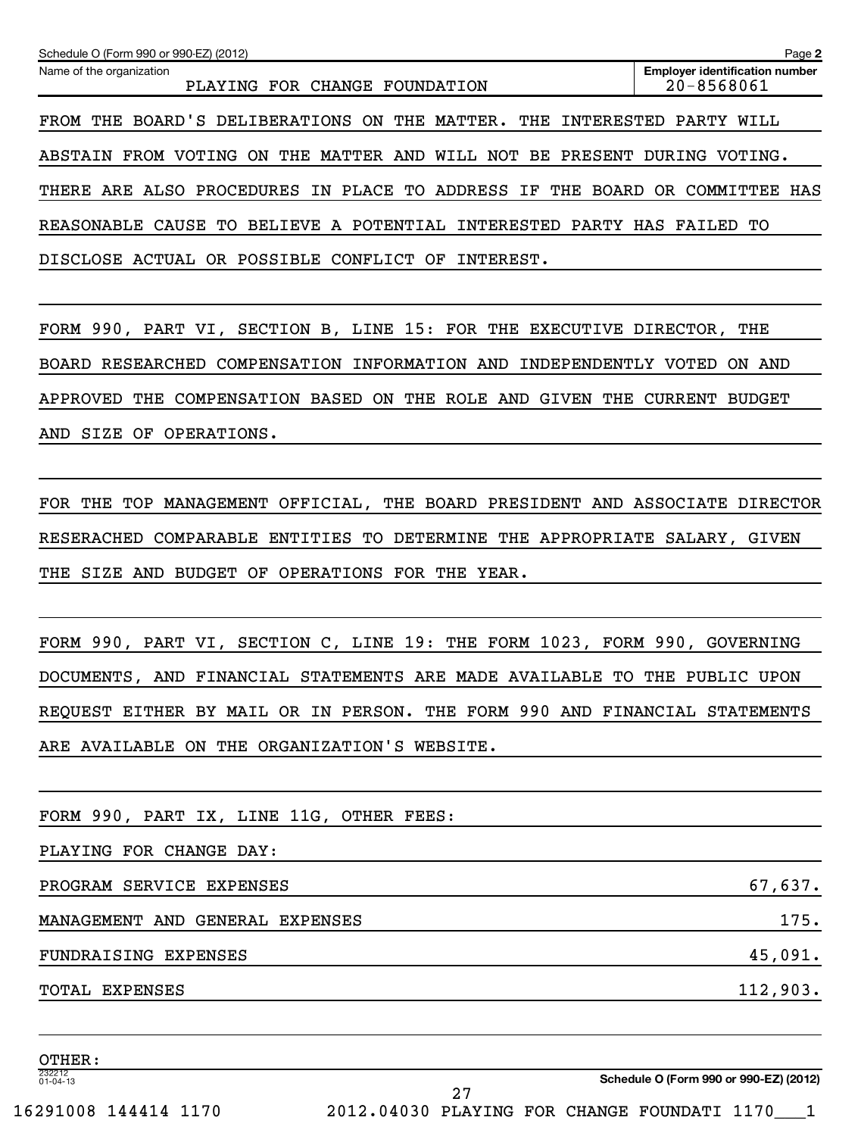| Schedule O (Form 990 or 990-EZ) (2012)                                  | Page 2                                              |
|-------------------------------------------------------------------------|-----------------------------------------------------|
| Name of the organization<br>PLAYING FOR CHANGE FOUNDATION               | <b>Employer identification number</b><br>20-8568061 |
| FROM THE BOARD'S DELIBERATIONS ON THE MATTER.<br>THE<br>INTERESTED      | PARTY<br>WILL                                       |
| ABSTAIN FROM VOTING ON THE MATTER AND<br>WILL NOT BE PRESENT            | DURING VOTING.                                      |
| THERE ARE ALSO PROCEDURES IN PLACE TO ADDRESS IF THE BOARD OR COMMITTEE | HAS                                                 |
| BELIEVE A POTENTIAL INTERESTED<br>REASONABLE CAUSE TO                   | PARTY HAS FAILED TO                                 |
| DISCLOSE ACTUAL OR POSSIBLE CONFLICT OF<br>INTEREST.                    |                                                     |

FORM 990, PART VI, SECTION B, LINE 15: FOR THE EXECUTIVE DIRECTOR, THE BOARD RESEARCHED COMPENSATION INFORMATION AND INDEPENDENTLY VOTED ON AND APPROVED THE COMPENSATION BASED ON THE ROLE AND GIVEN THE CURRENT BUDGET AND SIZE OF OPERATIONS.

FOR THE TOP MANAGEMENT OFFICIAL, THE BOARD PRESIDENT AND ASSOCIATE DIRECTOR RESERACHED COMPARABLE ENTITIES TO DETERMINE THE APPROPRIATE SALARY, GIVEN THE SIZE AND BUDGET OF OPERATIONS FOR THE YEAR.

FORM 990, PART VI, SECTION C, LINE 19: THE FORM 1023, FORM 990, GOVERNING DOCUMENTS, AND FINANCIAL STATEMENTS ARE MADE AVAILABLE TO THE PUBLIC UPON REQUEST EITHER BY MAIL OR IN PERSON. THE FORM 990 AND FINANCIAL STATEMENTS ARE AVAILABLE ON THE ORGANIZATION'S WEBSITE.

27

FORM 990, PART IX, LINE 11G, OTHER FEES:

PLAYING FOR CHANGE DAY:

PROGRAM SERVICE EXPENSES 67,637.

MANAGEMENT AND GENERAL EXPENSES 175.

FUNDRAISING EXPENSES 45,091.

TOTAL EXPENSES 112,903.

232212 01-04-13 OTHER:

**Schedule O (Form 990 or 990-EZ) (2012)**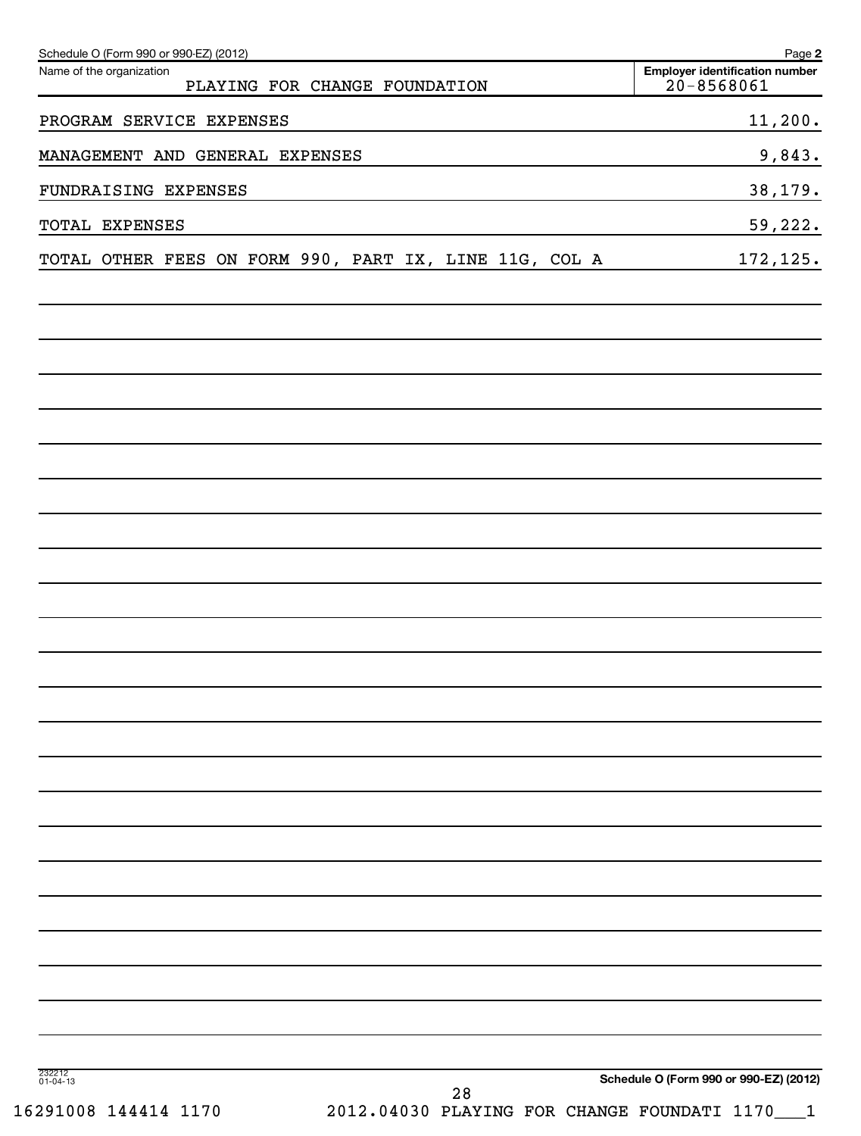| Schedule O (Form 990 or 990-EZ) (2012)<br>Name of the organization | PLAYING FOR CHANGE FOUNDATION |    | Page 2<br><b>Employer identification number</b><br>$20 - 8568061$ |
|--------------------------------------------------------------------|-------------------------------|----|-------------------------------------------------------------------|
|                                                                    |                               |    |                                                                   |
| PROGRAM SERVICE EXPENSES                                           |                               |    | 11,200.                                                           |
| MANAGEMENT AND GENERAL EXPENSES                                    |                               |    | 9,843.                                                            |
| FUNDRAISING EXPENSES                                               |                               |    | 38,179.                                                           |
| TOTAL EXPENSES                                                     |                               |    | 59,222.                                                           |
| TOTAL OTHER FEES ON FORM 990, PART IX, LINE 11G, COL A             |                               |    | 172, 125.                                                         |
|                                                                    |                               |    |                                                                   |
|                                                                    |                               |    |                                                                   |
|                                                                    |                               |    |                                                                   |
|                                                                    |                               |    |                                                                   |
|                                                                    |                               |    |                                                                   |
|                                                                    |                               |    |                                                                   |
|                                                                    |                               |    |                                                                   |
|                                                                    |                               |    |                                                                   |
|                                                                    |                               |    |                                                                   |
|                                                                    |                               |    |                                                                   |
|                                                                    |                               |    |                                                                   |
|                                                                    |                               |    |                                                                   |
|                                                                    |                               |    |                                                                   |
|                                                                    |                               |    |                                                                   |
|                                                                    |                               |    |                                                                   |
| 232212<br>01-04-13                                                 |                               |    | Schedule O (Form 990 or 990-EZ) (2012)                            |
| 16291008 144414 1170                                               |                               | 28 | 2012.04030 PLAYING FOR CHANGE FOUNDATI 1170<br>$\mathbf{1}$       |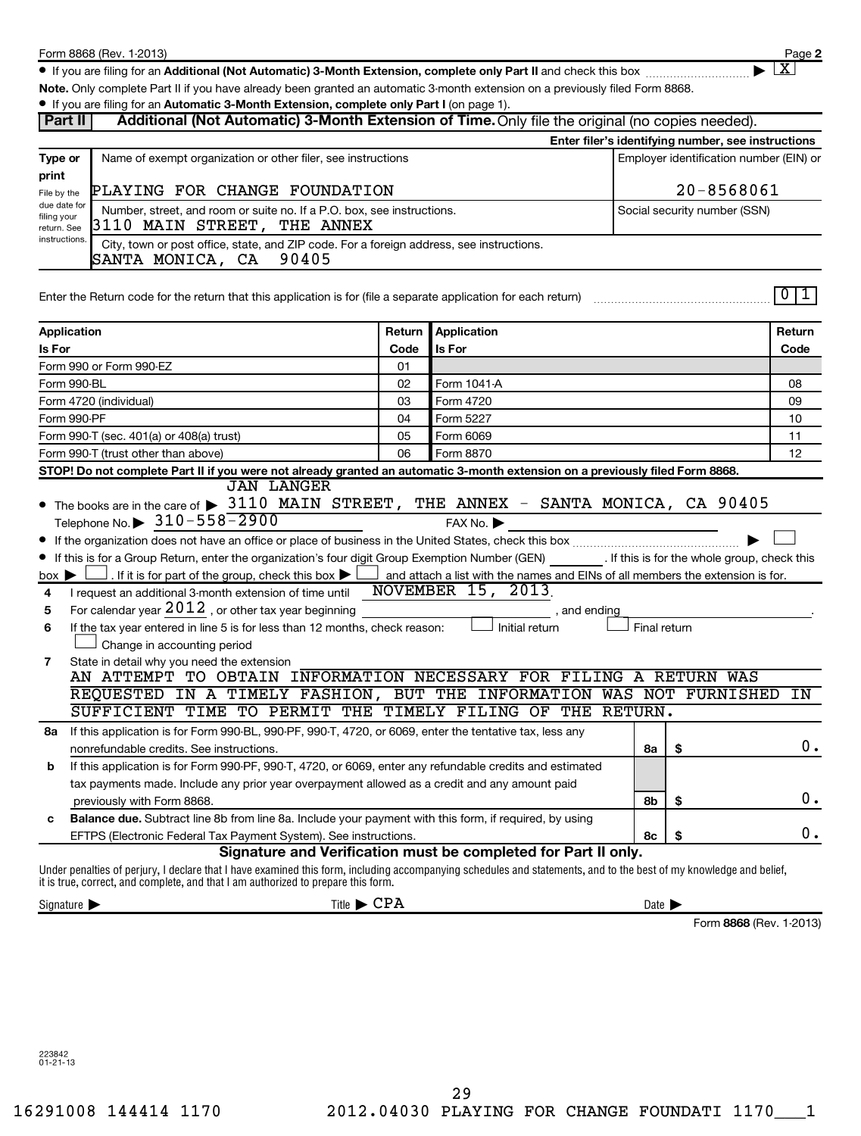**2**  $\lfloor x \rfloor$ 

● If you are filing for an Additional (Not Automatic) 3-Month Extension, complete only Part II and check this box <sub>……………………</sub>………

**Note.**  Only complete Part II if you have already been granted an automatic 3-month extension on a previously filed Form 8868.

|                                                                                                                                                                                                                                                                                                                                                                                                                                                                                                                                                                                                                                                                                                                                                                                                                      |                                                                                                                    |                                                                                                                                                                | . If you are filing for an Automatic 3-Month Extension, complete only Part I (on page 1). |                              |                                                    |  |  |
|----------------------------------------------------------------------------------------------------------------------------------------------------------------------------------------------------------------------------------------------------------------------------------------------------------------------------------------------------------------------------------------------------------------------------------------------------------------------------------------------------------------------------------------------------------------------------------------------------------------------------------------------------------------------------------------------------------------------------------------------------------------------------------------------------------------------|--------------------------------------------------------------------------------------------------------------------|----------------------------------------------------------------------------------------------------------------------------------------------------------------|-------------------------------------------------------------------------------------------|------------------------------|----------------------------------------------------|--|--|
|                                                                                                                                                                                                                                                                                                                                                                                                                                                                                                                                                                                                                                                                                                                                                                                                                      | Additional (Not Automatic) 3-Month Extension of Time. Only file the original (no copies needed).<br><b>Part II</b> |                                                                                                                                                                |                                                                                           |                              |                                                    |  |  |
|                                                                                                                                                                                                                                                                                                                                                                                                                                                                                                                                                                                                                                                                                                                                                                                                                      |                                                                                                                    |                                                                                                                                                                |                                                                                           |                              | Enter filer's identifying number, see instructions |  |  |
| Type or                                                                                                                                                                                                                                                                                                                                                                                                                                                                                                                                                                                                                                                                                                                                                                                                              | Name of exempt organization or other filer, see instructions                                                       |                                                                                                                                                                |                                                                                           |                              | Employer identification number (EIN) or            |  |  |
| print                                                                                                                                                                                                                                                                                                                                                                                                                                                                                                                                                                                                                                                                                                                                                                                                                |                                                                                                                    |                                                                                                                                                                |                                                                                           |                              |                                                    |  |  |
| PLAYING FOR CHANGE FOUNDATION<br>File by the<br>due date for                                                                                                                                                                                                                                                                                                                                                                                                                                                                                                                                                                                                                                                                                                                                                         |                                                                                                                    |                                                                                                                                                                |                                                                                           | 20-8568061                   |                                                    |  |  |
| Number, street, and room or suite no. If a P.O. box, see instructions.<br>filing your                                                                                                                                                                                                                                                                                                                                                                                                                                                                                                                                                                                                                                                                                                                                |                                                                                                                    |                                                                                                                                                                |                                                                                           | Social security number (SSN) |                                                    |  |  |
| 3110 MAIN STREET, THE ANNEX<br>return. See<br>instructions.                                                                                                                                                                                                                                                                                                                                                                                                                                                                                                                                                                                                                                                                                                                                                          |                                                                                                                    |                                                                                                                                                                |                                                                                           |                              |                                                    |  |  |
| City, town or post office, state, and ZIP code. For a foreign address, see instructions.<br>SANTA MONICA, CA 90405                                                                                                                                                                                                                                                                                                                                                                                                                                                                                                                                                                                                                                                                                                   |                                                                                                                    |                                                                                                                                                                |                                                                                           |                              |                                                    |  |  |
| Enter the Return code for the return that this application is for (file a separate application for each return)                                                                                                                                                                                                                                                                                                                                                                                                                                                                                                                                                                                                                                                                                                      |                                                                                                                    |                                                                                                                                                                |                                                                                           |                              | 0 1                                                |  |  |
| Application                                                                                                                                                                                                                                                                                                                                                                                                                                                                                                                                                                                                                                                                                                                                                                                                          | Return                                                                                                             | Application                                                                                                                                                    |                                                                                           |                              | Return                                             |  |  |
| Is For                                                                                                                                                                                                                                                                                                                                                                                                                                                                                                                                                                                                                                                                                                                                                                                                               | Code                                                                                                               | Is For                                                                                                                                                         |                                                                                           |                              | Code                                               |  |  |
| Form 990 or Form 990-EZ                                                                                                                                                                                                                                                                                                                                                                                                                                                                                                                                                                                                                                                                                                                                                                                              | 01                                                                                                                 |                                                                                                                                                                |                                                                                           |                              |                                                    |  |  |
| Form 990-BL                                                                                                                                                                                                                                                                                                                                                                                                                                                                                                                                                                                                                                                                                                                                                                                                          | 02                                                                                                                 | Form 1041-A                                                                                                                                                    |                                                                                           |                              | 08                                                 |  |  |
| Form 4720 (individual)                                                                                                                                                                                                                                                                                                                                                                                                                                                                                                                                                                                                                                                                                                                                                                                               | 03                                                                                                                 | Form 4720                                                                                                                                                      |                                                                                           |                              | 09                                                 |  |  |
| Form 990-PF                                                                                                                                                                                                                                                                                                                                                                                                                                                                                                                                                                                                                                                                                                                                                                                                          | 04                                                                                                                 | Form 5227                                                                                                                                                      |                                                                                           |                              | 10                                                 |  |  |
| Form 990-T (sec. 401(a) or 408(a) trust)                                                                                                                                                                                                                                                                                                                                                                                                                                                                                                                                                                                                                                                                                                                                                                             | 05                                                                                                                 | Form 6069                                                                                                                                                      |                                                                                           |                              | 11                                                 |  |  |
| Form 990-T (trust other than above)                                                                                                                                                                                                                                                                                                                                                                                                                                                                                                                                                                                                                                                                                                                                                                                  | 06                                                                                                                 | Form 8870                                                                                                                                                      |                                                                                           |                              | 12                                                 |  |  |
| STOP! Do not complete Part II if you were not already granted an automatic 3-month extension on a previously filed Form 8868.<br><b>JAN LANGER</b>                                                                                                                                                                                                                                                                                                                                                                                                                                                                                                                                                                                                                                                                   |                                                                                                                    |                                                                                                                                                                |                                                                                           |                              |                                                    |  |  |
| Telephone No. $\triangleright$ 310-558-2900<br>If this is for a Group Return, enter the organization's four digit Group Exemption Number (GEN) [If this is for the whole group, check this<br>. If it is for part of the group, check this box $\blacktriangleright$ L<br>$box \blacktriangleright$<br>I request an additional 3-month extension of time until<br>4<br>For calendar year $2012$ , or other tax year beginning<br>5<br>If the tax year entered in line 5 is for less than 12 months, check reason:<br>6<br>Change in accounting period<br>State in detail why you need the extension<br>7<br>AN ATTEMPT TO OBTAIN INFORMATION NECESSARY FOR FILING A RETURN WAS<br>REQUESTED IN A TIMELY FASHION, BUT THE INFORMATION WAS NOT FURNISHED<br>SUFFICIENT TIME TO PERMIT THE TIMELY FILING OF THE RETURN. |                                                                                                                    | FAX No.<br>$\Box$ and attach a list with the names and EINs of all members the extension is for.<br><b>NOVEMBER 15, 2013</b><br>, and ending<br>Initial return | Final return                                                                              |                              | ΙN                                                 |  |  |
| If this application is for Form 990-BL, 990-PF, 990-T, 4720, or 6069, enter the tentative tax, less any<br>8a                                                                                                                                                                                                                                                                                                                                                                                                                                                                                                                                                                                                                                                                                                        |                                                                                                                    |                                                                                                                                                                |                                                                                           |                              |                                                    |  |  |
| nonrefundable credits. See instructions.                                                                                                                                                                                                                                                                                                                                                                                                                                                                                                                                                                                                                                                                                                                                                                             |                                                                                                                    |                                                                                                                                                                | 8a                                                                                        |                              | 0.                                                 |  |  |
| If this application is for Form 990-PF, 990-T, 4720, or 6069, enter any refundable credits and estimated<br>b                                                                                                                                                                                                                                                                                                                                                                                                                                                                                                                                                                                                                                                                                                        |                                                                                                                    |                                                                                                                                                                |                                                                                           |                              |                                                    |  |  |
| tax payments made. Include any prior year overpayment allowed as a credit and any amount paid                                                                                                                                                                                                                                                                                                                                                                                                                                                                                                                                                                                                                                                                                                                        |                                                                                                                    |                                                                                                                                                                |                                                                                           |                              | 0.                                                 |  |  |
| previously with Form 8868.                                                                                                                                                                                                                                                                                                                                                                                                                                                                                                                                                                                                                                                                                                                                                                                           |                                                                                                                    |                                                                                                                                                                | 8b                                                                                        | \$                           |                                                    |  |  |
| Balance due. Subtract line 8b from line 8a. Include your payment with this form, if required, by using<br>c                                                                                                                                                                                                                                                                                                                                                                                                                                                                                                                                                                                                                                                                                                          |                                                                                                                    |                                                                                                                                                                |                                                                                           | \$                           | 0.                                                 |  |  |
| EFTPS (Electronic Federal Tax Payment System). See instructions.                                                                                                                                                                                                                                                                                                                                                                                                                                                                                                                                                                                                                                                                                                                                                     |                                                                                                                    | Signature and Verification must be completed for Part II only.                                                                                                 | 8с                                                                                        |                              |                                                    |  |  |
| Under penalties of perjury, I declare that I have examined this form, including accompanying schedules and statements, and to the best of my knowledge and belief,<br>it is true, correct, and complete, and that I am authorized to prepare this form.                                                                                                                                                                                                                                                                                                                                                                                                                                                                                                                                                              |                                                                                                                    |                                                                                                                                                                |                                                                                           |                              |                                                    |  |  |
| Signature $\blacktriangleright$                                                                                                                                                                                                                                                                                                                                                                                                                                                                                                                                                                                                                                                                                                                                                                                      | Title $\blacktriangleright$ CPA                                                                                    |                                                                                                                                                                | Date $\blacktriangleright$                                                                |                              |                                                    |  |  |

Form 8868 (Rev. 1-2013)

223842 01-21-13